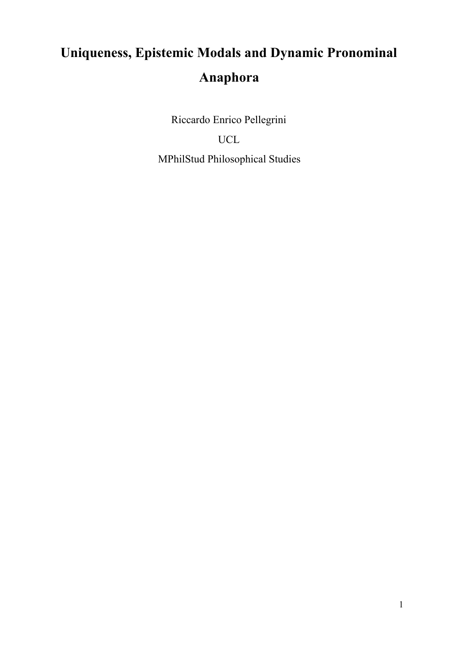# **Uniqueness, Epistemic Modals and Dynamic Pronominal Anaphora**

Riccardo Enrico Pellegrini UCL MPhilStud Philosophical Studies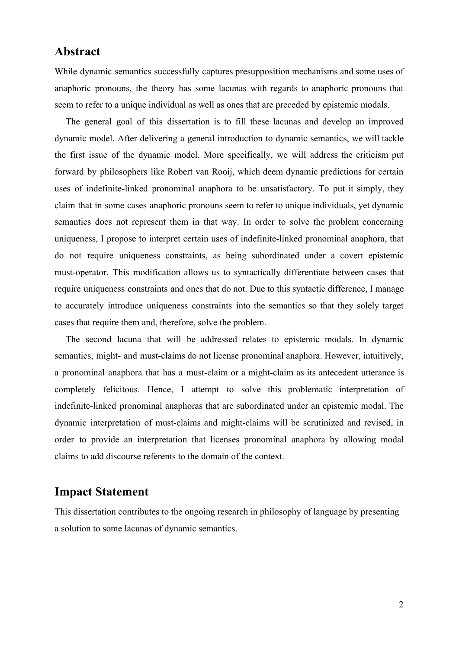### **Abstract**

While dynamic semantics successfully captures presupposition mechanisms and some uses of anaphoric pronouns, the theory has some lacunas with regards to anaphoric pronouns that seem to refer to a unique individual as well as ones that are preceded by epistemic modals.

The general goal of this dissertation is to fill these lacunas and develop an improved dynamic model. After delivering a general introduction to dynamic semantics, we will tackle the first issue of the dynamic model. More specifically, we will address the criticism put forward by philosophers like Robert van Rooij, which deem dynamic predictions for certain uses of indefinite-linked pronominal anaphora to be unsatisfactory. To put it simply, they claim that in some cases anaphoric pronouns seem to refer to unique individuals, yet dynamic semantics does not represent them in that way. In order to solve the problem concerning uniqueness, I propose to interpret certain uses of indefinite-linked pronominal anaphora, that do not require uniqueness constraints, as being subordinated under a covert epistemic must-operator. This modification allows us to syntactically differentiate between cases that require uniqueness constraints and ones that do not. Due to this syntactic difference, I manage to accurately introduce uniqueness constraints into the semantics so that they solely target cases that require them and, therefore, solve the problem.

The second lacuna that will be addressed relates to epistemic modals. In dynamic semantics, might- and must-claims do not license pronominal anaphora. However, intuitively, a pronominal anaphora that has a must-claim or a might-claim as its antecedent utterance is completely felicitous. Hence, I attempt to solve this problematic interpretation of indefinite-linked pronominal anaphoras that are subordinated under an epistemic modal. The dynamic interpretation of must-claims and might-claims will be scrutinized and revised, in order to provide an interpretation that licenses pronominal anaphora by allowing modal claims to add discourse referents to the domain of the context.

## **Impact Statement**

This dissertation contributes to the ongoing research in philosophy of language by presenting a solution to some lacunas of dynamic semantics.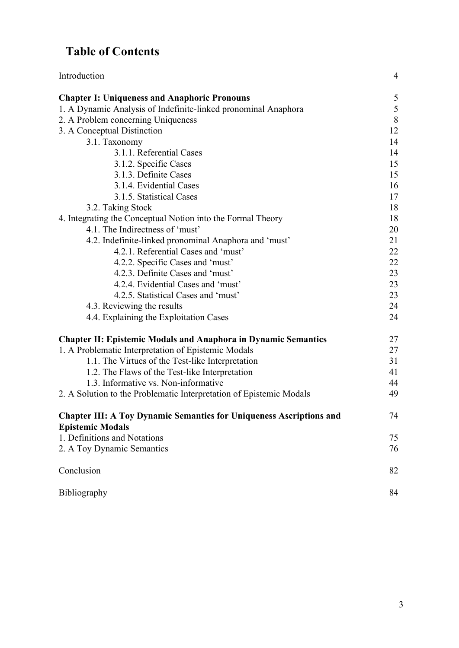# **Table of Contents**

| Introduction                                                                                          | $\overline{4}$ |
|-------------------------------------------------------------------------------------------------------|----------------|
| <b>Chapter I: Uniqueness and Anaphoric Pronouns</b>                                                   | $\sqrt{5}$     |
| 1. A Dynamic Analysis of Indefinite-linked pronominal Anaphora                                        | $\sqrt{5}$     |
| 2. A Problem concerning Uniqueness                                                                    | 8              |
| 3. A Conceptual Distinction                                                                           | 12             |
| 3.1. Taxonomy                                                                                         | 14             |
| 3.1.1. Referential Cases                                                                              | 14             |
| 3.1.2. Specific Cases                                                                                 | 15             |
| 3.1.3. Definite Cases                                                                                 | 15             |
| 3.1.4. Evidential Cases                                                                               | 16             |
| 3.1.5. Statistical Cases                                                                              | 17             |
| 3.2. Taking Stock                                                                                     | 18             |
| 4. Integrating the Conceptual Notion into the Formal Theory                                           | 18             |
| 4.1. The Indirectness of 'must'                                                                       | 20             |
| 4.2. Indefinite-linked pronominal Anaphora and 'must'                                                 | 21             |
| 4.2.1. Referential Cases and 'must'                                                                   | 22             |
| 4.2.2. Specific Cases and 'must'                                                                      | 22             |
| 4.2.3. Definite Cases and 'must'                                                                      | 23             |
| 4.2.4. Evidential Cases and 'must'                                                                    | 23             |
| 4.2.5. Statistical Cases and 'must'                                                                   | 23             |
| 4.3. Reviewing the results                                                                            | 24             |
| 4.4. Explaining the Exploitation Cases                                                                | 24             |
| <b>Chapter II: Epistemic Modals and Anaphora in Dynamic Semantics</b>                                 | 27             |
| 1. A Problematic Interpretation of Epistemic Modals                                                   | 27             |
| 1.1. The Virtues of the Test-like Interpretation                                                      | 31             |
| 1.2. The Flaws of the Test-like Interpretation                                                        | 41             |
| 1.3. Informative vs. Non-informative                                                                  | 44             |
| 2. A Solution to the Problematic Interpretation of Epistemic Modals                                   | 49             |
| <b>Chapter III: A Toy Dynamic Semantics for Uniqueness Ascriptions and</b><br><b>Epistemic Modals</b> | 74             |
| 1. Definitions and Notations                                                                          | 75             |
| 2. A Toy Dynamic Semantics                                                                            | 76             |
| Conclusion                                                                                            | 82             |
| Bibliography                                                                                          | 84             |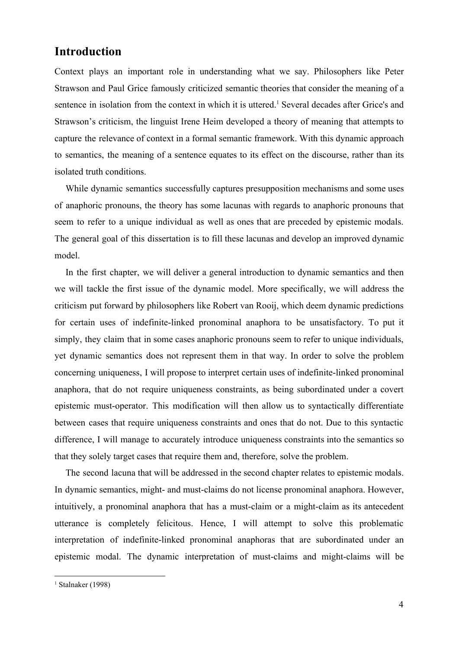# **Introduction**

Context plays an important role in understanding what we say. Philosophers like Peter Strawson and Paul Grice famously criticized semantic theories that consider the meaning of a sentence in isolation from the context in which it is uttered.<sup>1</sup> Several decades after Grice's and Strawson's criticism, the linguist Irene Heim developed a theory of meaning that attempts to capture the relevance of context in a formal semantic framework. With this dynamic approach to semantics, the meaning of a sentence equates to its effect on the discourse, rather than its isolated truth conditions.

While dynamic semantics successfully captures presupposition mechanisms and some uses of anaphoric pronouns, the theory has some lacunas with regards to anaphoric pronouns that seem to refer to a unique individual as well as ones that are preceded by epistemic modals. The general goal of this dissertation is to fill these lacunas and develop an improved dynamic model.

In the first chapter, we will deliver a general introduction to dynamic semantics and then we will tackle the first issue of the dynamic model. More specifically, we will address the criticism put forward by philosophers like Robert van Rooij, which deem dynamic predictions for certain uses of indefinite-linked pronominal anaphora to be unsatisfactory. To put it simply, they claim that in some cases anaphoric pronouns seem to refer to unique individuals, yet dynamic semantics does not represent them in that way. In order to solve the problem concerning uniqueness, I will propose to interpret certain uses of indefinite-linked pronominal anaphora, that do not require uniqueness constraints, as being subordinated under a covert epistemic must-operator. This modification will then allow us to syntactically differentiate between cases that require uniqueness constraints and ones that do not. Due to this syntactic difference, I will manage to accurately introduce uniqueness constraints into the semantics so that they solely target cases that require them and, therefore, solve the problem.

The second lacuna that will be addressed in the second chapter relates to epistemic modals. In dynamic semantics, might- and must-claims do not license pronominal anaphora. However, intuitively, a pronominal anaphora that has a must-claim or a might-claim as its antecedent utterance is completely felicitous. Hence, I will attempt to solve this problematic interpretation of indefinite-linked pronominal anaphoras that are subordinated under an epistemic modal. The dynamic interpretation of must-claims and might-claims will be

 $<sup>1</sup>$  Stalnaker (1998)</sup>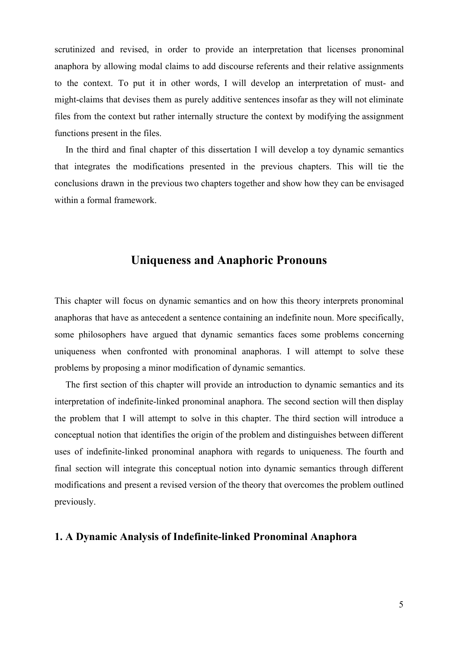scrutinized and revised, in order to provide an interpretation that licenses pronominal anaphora by allowing modal claims to add discourse referents and their relative assignments to the context. To put it in other words, I will develop an interpretation of must- and might-claims that devises them as purely additive sentences insofar as they will not eliminate files from the context but rather internally structure the context by modifying the assignment functions present in the files.

In the third and final chapter of this dissertation I will develop a toy dynamic semantics that integrates the modifications presented in the previous chapters. This will tie the conclusions drawn in the previous two chapters together and show how they can be envisaged within a formal framework.

### **Uniqueness and Anaphoric Pronouns**

This chapter will focus on dynamic semantics and on how this theory interprets pronominal anaphoras that have as antecedent a sentence containing an indefinite noun. More specifically, some philosophers have argued that dynamic semantics faces some problems concerning uniqueness when confronted with pronominal anaphoras. I will attempt to solve these problems by proposing a minor modification of dynamic semantics.

The first section of this chapter will provide an introduction to dynamic semantics and its interpretation of indefinite-linked pronominal anaphora. The second section will then display the problem that I will attempt to solve in this chapter. The third section will introduce a conceptual notion that identifies the origin of the problem and distinguishes between different uses of indefinite-linked pronominal anaphora with regards to uniqueness. The fourth and final section will integrate this conceptual notion into dynamic semantics through different modifications and present a revised version of the theory that overcomes the problem outlined previously.

#### **1. A Dynamic Analysis of Indefinite-linked Pronominal Anaphora**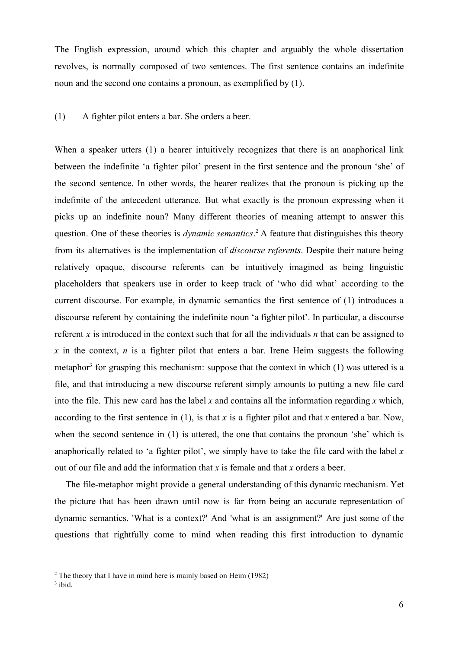The English expression, around which this chapter and arguably the whole dissertation revolves, is normally composed of two sentences. The first sentence contains an indefinite noun and the second one contains a pronoun, as exemplified by (1).

#### (1) A fighter pilot enters a bar. She orders a beer.

When a speaker utters (1) a hearer intuitively recognizes that there is an anaphorical link between the indefinite 'a fighter pilot' present in the first sentence and the pronoun 'she' of the second sentence. In other words, the hearer realizes that the pronoun is picking up the indefinite of the antecedent utterance. But what exactly is the pronoun expressing when it picks up an indefinite noun? Many different theories of meaning attempt to answer this question. One of these theories is *dynamic semantics*<sup>2</sup> A feature that distinguishes this theory from its alternatives is the implementation of *discourse referents*. Despite their nature being relatively opaque, discourse referents can be intuitively imagined as being linguistic placeholders that speakers use in order to keep track of 'who did what' according to the current discourse. For example, in dynamic semantics the first sentence of (1) introduces a discourse referent by containing the indefinite noun 'a fighter pilot'. In particular, a discourse referent *x* is introduced in the context such that for all the individuals *n* that can be assigned to  $\bar{x}$  in the context,  $\bar{n}$  is a fighter pilot that enters a bar. Irene Heim suggests the following metaphor<sup>3</sup> for grasping this mechanism: suppose that the context in which  $(1)$  was uttered is a file, and that introducing a new discourse referent simply amounts to putting a new file card into the file. This new card has the label *x* and contains all the information regarding *x* which, according to the first sentence in  $(1)$ , is that *x* is a fighter pilot and that *x* entered a bar. Now, when the second sentence in (1) is uttered, the one that contains the pronoun 'she' which is anaphorically related to 'a fighter pilot', we simply have to take the file card with the label *x* out of our file and add the information that *x* is female and that *x* orders a beer.

The file-metaphor might provide a general understanding of this dynamic mechanism. Yet the picture that has been drawn until now is far from being an accurate representation of dynamic semantics. 'What is a context?' And 'what is an assignment?' Are just some of the questions that rightfully come to mind when reading this first introduction to dynamic

<sup>2</sup> The theory that I have in mind here is mainly based on Heim (1982)

 $3$  ibid.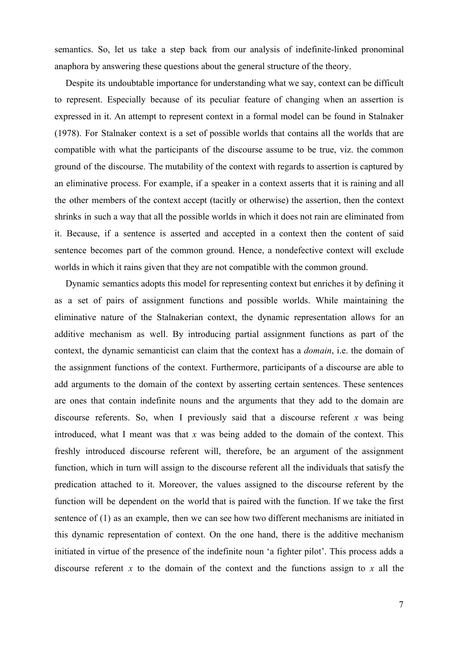semantics. So, let us take a step back from our analysis of indefinite-linked pronominal anaphora by answering these questions about the general structure of the theory.

Despite its undoubtable importance for understanding what we say, context can be difficult to represent. Especially because of its peculiar feature of changing when an assertion is expressed in it. An attempt to represent context in a formal model can be found in Stalnaker (1978). For Stalnaker context is a set of possible worlds that contains all the worlds that are compatible with what the participants of the discourse assume to be true, viz. the common ground of the discourse. The mutability of the context with regards to assertion is captured by an eliminative process. For example, if a speaker in a context asserts that it is raining and all the other members of the context accept (tacitly or otherwise) the assertion, then the context shrinks in such a way that all the possible worlds in which it does not rain are eliminated from it. Because, if a sentence is asserted and accepted in a context then the content of said sentence becomes part of the common ground. Hence, a nondefective context will exclude worlds in which it rains given that they are not compatible with the common ground.

Dynamic semantics adopts this model for representing context but enriches it by defining it as a set of pairs of assignment functions and possible worlds. While maintaining the eliminative nature of the Stalnakerian context, the dynamic representation allows for an additive mechanism as well. By introducing partial assignment functions as part of the context, the dynamic semanticist can claim that the context has a *domain*, i.e. the domain of the assignment functions of the context. Furthermore, participants of a discourse are able to add arguments to the domain of the context by asserting certain sentences. These sentences are ones that contain indefinite nouns and the arguments that they add to the domain are discourse referents. So, when I previously said that a discourse referent *x* was being introduced, what I meant was that *x* was being added to the domain of the context. This freshly introduced discourse referent will, therefore, be an argument of the assignment function, which in turn will assign to the discourse referent all the individuals that satisfy the predication attached to it. Moreover, the values assigned to the discourse referent by the function will be dependent on the world that is paired with the function. If we take the first sentence of (1) as an example, then we can see how two different mechanisms are initiated in this dynamic representation of context. On the one hand, there is the additive mechanism initiated in virtue of the presence of the indefinite noun 'a fighter pilot'. This process adds a discourse referent *x* to the domain of the context and the functions assign to *x* all the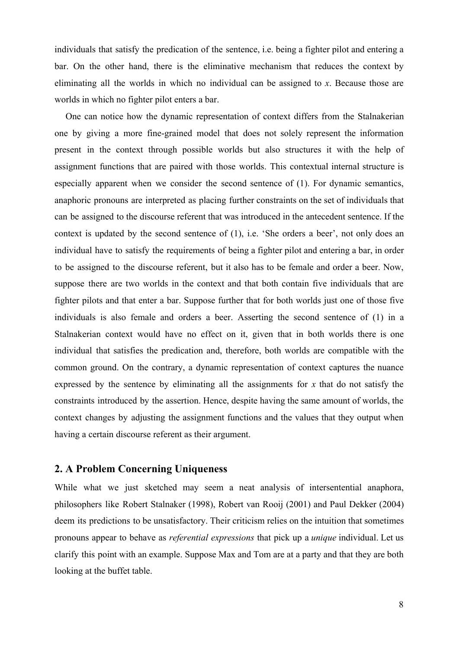individuals that satisfy the predication of the sentence, i.e. being a fighter pilot and entering a bar. On the other hand, there is the eliminative mechanism that reduces the context by eliminating all the worlds in which no individual can be assigned to *x*. Because those are worlds in which no fighter pilot enters a bar.

One can notice how the dynamic representation of context differs from the Stalnakerian one by giving a more fine-grained model that does not solely represent the information present in the context through possible worlds but also structures it with the help of assignment functions that are paired with those worlds. This contextual internal structure is especially apparent when we consider the second sentence of (1). For dynamic semantics, anaphoric pronouns are interpreted as placing further constraints on the set of individuals that can be assigned to the discourse referent that was introduced in the antecedent sentence. If the context is updated by the second sentence of (1), i.e. 'She orders a beer', not only does an individual have to satisfy the requirements of being a fighter pilot and entering a bar, in order to be assigned to the discourse referent, but it also has to be female and order a beer. Now, suppose there are two worlds in the context and that both contain five individuals that are fighter pilots and that enter a bar. Suppose further that for both worlds just one of those five individuals is also female and orders a beer. Asserting the second sentence of (1) in a Stalnakerian context would have no effect on it, given that in both worlds there is one individual that satisfies the predication and, therefore, both worlds are compatible with the common ground. On the contrary, a dynamic representation of context captures the nuance expressed by the sentence by eliminating all the assignments for *x* that do not satisfy the constraints introduced by the assertion. Hence, despite having the same amount of worlds, the context changes by adjusting the assignment functions and the values that they output when having a certain discourse referent as their argument.

#### **2. A Problem Concerning Uniqueness**

While what we just sketched may seem a neat analysis of intersentential anaphora, philosophers like Robert Stalnaker (1998), Robert van Rooij (2001) and Paul Dekker (2004) deem its predictions to be unsatisfactory. Their criticism relies on the intuition that sometimes pronouns appear to behave as *referential expressions* that pick up a *unique* individual. Let us clarify this point with an example. Suppose Max and Tom are at a party and that they are both looking at the buffet table.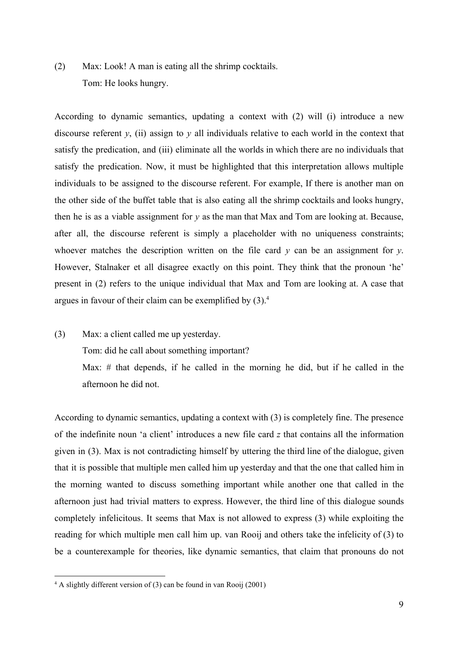(2) Max: Look! A man is eating all the shrimp cocktails. Tom: He looks hungry.

According to dynamic semantics, updating a context with (2) will (i) introduce a new discourse referent *y*, (ii) assign to *y* all individuals relative to each world in the context that satisfy the predication, and (iii) eliminate all the worlds in which there are no individuals that satisfy the predication. Now, it must be highlighted that this interpretation allows multiple individuals to be assigned to the discourse referent. For example, If there is another man on the other side of the buffet table that is also eating all the shrimp cocktails and looks hungry, then he is as a viable assignment for *y* as the man that Max and Tom are looking at. Because, after all, the discourse referent is simply a placeholder with no uniqueness constraints; whoever matches the description written on the file card *y* can be an assignment for *y*. However, Stalnaker et all disagree exactly on this point. They think that the pronoun 'he' present in (2) refers to the unique individual that Max and Tom are looking at. A case that argues in favour of their claim can be exemplified by  $(3)$ .<sup>4</sup>

(3) Max: a client called me up yesterday.

Tom: did he call about something important?

Max: # that depends, if he called in the morning he did, but if he called in the afternoon he did not.

According to dynamic semantics, updating a context with (3) is completely fine. The presence of the indefinite noun 'a client' introduces a new file card *z* that contains all the information given in (3). Max is not contradicting himself by uttering the third line of the dialogue, given that it is possible that multiple men called him up yesterday and that the one that called him in the morning wanted to discuss something important while another one that called in the afternoon just had trivial matters to express. However, the third line of this dialogue sounds completely infelicitous. It seems that Max is not allowed to express (3) while exploiting the reading for which multiple men call him up. van Rooij and others take the infelicity of (3) to be a counterexample for theories, like dynamic semantics, that claim that pronouns do not

 $4$  A slightly different version of (3) can be found in van Rooij (2001)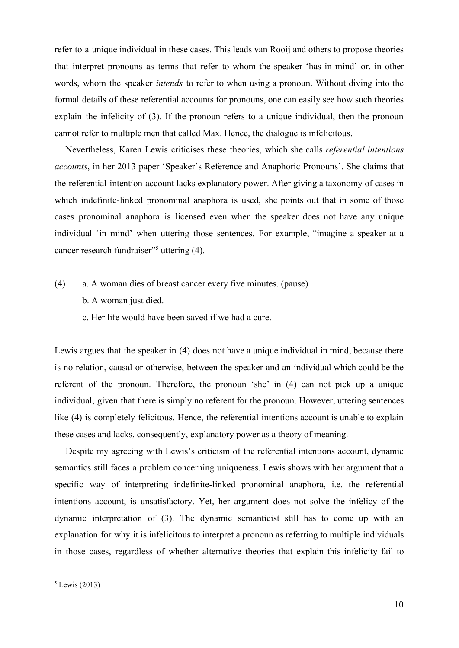refer to a unique individual in these cases. This leads van Rooij and others to propose theories that interpret pronouns as terms that refer to whom the speaker 'has in mind' or, in other words, whom the speaker *intends* to refer to when using a pronoun. Without diving into the formal details of these referential accounts for pronouns, one can easily see how such theories explain the infelicity of (3). If the pronoun refers to a unique individual, then the pronoun cannot refer to multiple men that called Max. Hence, the dialogue is infelicitous.

Nevertheless, Karen Lewis criticises these theories, which she calls *referential intentions accounts*, in her 2013 paper 'Speaker's Reference and Anaphoric Pronouns'. She claims that the referential intention account lacks explanatory power. After giving a taxonomy of cases in which indefinite-linked pronominal anaphora is used, she points out that in some of those cases pronominal anaphora is licensed even when the speaker does not have any unique individual 'in mind' when uttering those sentences. For example, "imagine a speaker at a cancer research fundraiser"<sup>5</sup> uttering  $(4)$ .

- (4) a. A woman dies of breast cancer every five minutes. (pause)
	- b. A woman just died.
	- c. Her life would have been saved if we had a cure.

Lewis argues that the speaker in (4) does not have a unique individual in mind, because there is no relation, causal or otherwise, between the speaker and an individual which could be the referent of the pronoun. Therefore, the pronoun 'she' in (4) can not pick up a unique individual, given that there is simply no referent for the pronoun. However, uttering sentences like (4) is completely felicitous. Hence, the referential intentions account is unable to explain these cases and lacks, consequently, explanatory power as a theory of meaning.

Despite my agreeing with Lewis's criticism of the referential intentions account, dynamic semantics still faces a problem concerning uniqueness. Lewis shows with her argument that a specific way of interpreting indefinite-linked pronominal anaphora, i.e. the referential intentions account, is unsatisfactory. Yet, her argument does not solve the infelicy of the dynamic interpretation of (3). The dynamic semanticist still has to come up with an explanation for why it is infelicitous to interpret a pronoun as referring to multiple individuals in those cases, regardless of whether alternative theories that explain this infelicity fail to

 $<sup>5</sup>$  Lewis (2013)</sup>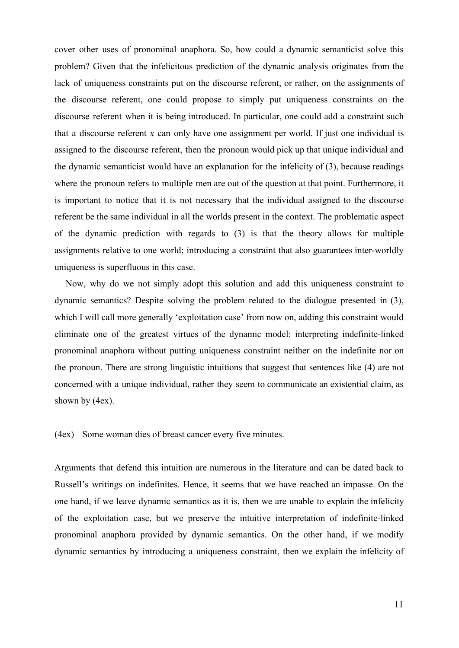cover other uses of pronominal anaphora. So, how could a dynamic semanticist solve this problem? Given that the infelicitous prediction of the dynamic analysis originates from the lack of uniqueness constraints put on the discourse referent, or rather, on the assignments of the discourse referent, one could propose to simply put uniqueness constraints on the discourse referent when it is being introduced. In particular, one could add a constraint such that a discourse referent *x* can only have one assignment per world. If just one individual is assigned to the discourse referent, then the pronoun would pick up that unique individual and the dynamic semanticist would have an explanation for the infelicity of (3), because readings where the pronoun refers to multiple men are out of the question at that point. Furthermore, it is important to notice that it is not necessary that the individual assigned to the discourse referent be the same individual in all the worlds present in the context. The problematic aspect of the dynamic prediction with regards to (3) is that the theory allows for multiple assignments relative to one world; introducing a constraint that also guarantees inter-worldly uniqueness is superfluous in this case.

Now, why do we not simply adopt this solution and add this uniqueness constraint to dynamic semantics? Despite solving the problem related to the dialogue presented in (3), which I will call more generally 'exploitation case' from now on, adding this constraint would eliminate one of the greatest virtues of the dynamic model: interpreting indefinite-linked pronominal anaphora without putting uniqueness constraint neither on the indefinite nor on the pronoun. There are strong linguistic intuitions that suggest that sentences like (4) are not concerned with a unique individual, rather they seem to communicate an existential claim, as shown by (4ex).

(4ex) Some woman dies of breast cancer every five minutes.

Arguments that defend this intuition are numerous in the literature and can be dated back to Russell's writings on indefinites. Hence, it seems that we have reached an impasse. On the one hand, if we leave dynamic semantics as it is, then we are unable to explain the infelicity of the exploitation case, but we preserve the intuitive interpretation of indefinite-linked pronominal anaphora provided by dynamic semantics. On the other hand, if we modify dynamic semantics by introducing a uniqueness constraint, then we explain the infelicity of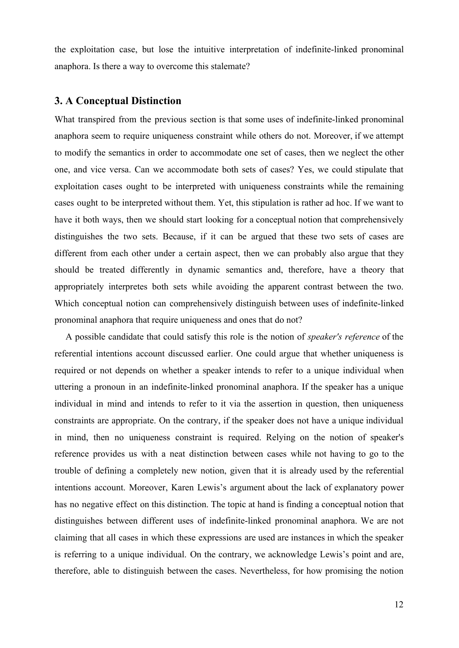the exploitation case, but lose the intuitive interpretation of indefinite-linked pronominal anaphora. Is there a way to overcome this stalemate?

#### **3. A Conceptual Distinction**

What transpired from the previous section is that some uses of indefinite-linked pronominal anaphora seem to require uniqueness constraint while others do not. Moreover, if we attempt to modify the semantics in order to accommodate one set of cases, then we neglect the other one, and vice versa. Can we accommodate both sets of cases? Yes, we could stipulate that exploitation cases ought to be interpreted with uniqueness constraints while the remaining cases ought to be interpreted without them. Yet, this stipulation is rather ad hoc. If we want to have it both ways, then we should start looking for a conceptual notion that comprehensively distinguishes the two sets. Because, if it can be argued that these two sets of cases are different from each other under a certain aspect, then we can probably also argue that they should be treated differently in dynamic semantics and, therefore, have a theory that appropriately interpretes both sets while avoiding the apparent contrast between the two. Which conceptual notion can comprehensively distinguish between uses of indefinite-linked pronominal anaphora that require uniqueness and ones that do not?

A possible candidate that could satisfy this role is the notion of *speaker's reference* of the referential intentions account discussed earlier. One could argue that whether uniqueness is required or not depends on whether a speaker intends to refer to a unique individual when uttering a pronoun in an indefinite-linked pronominal anaphora. If the speaker has a unique individual in mind and intends to refer to it via the assertion in question, then uniqueness constraints are appropriate. On the contrary, if the speaker does not have a unique individual in mind, then no uniqueness constraint is required. Relying on the notion of speaker's reference provides us with a neat distinction between cases while not having to go to the trouble of defining a completely new notion, given that it is already used by the referential intentions account. Moreover, Karen Lewis's argument about the lack of explanatory power has no negative effect on this distinction. The topic at hand is finding a conceptual notion that distinguishes between different uses of indefinite-linked pronominal anaphora. We are not claiming that all cases in which these expressions are used are instances in which the speaker is referring to a unique individual. On the contrary, we acknowledge Lewis's point and are, therefore, able to distinguish between the cases. Nevertheless, for how promising the notion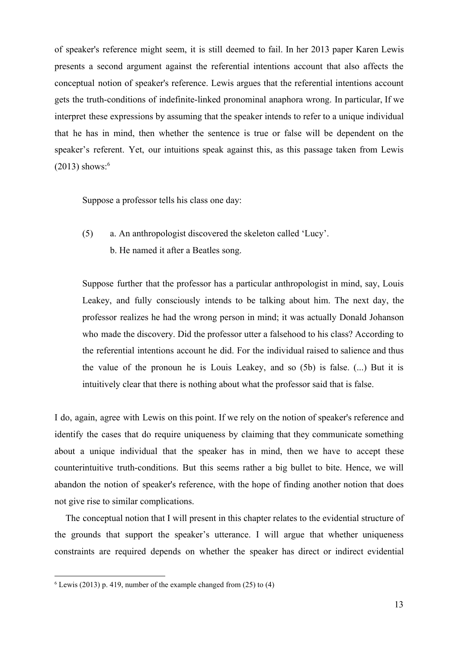of speaker's reference might seem, it is still deemed to fail. In her 2013 paper Karen Lewis presents a second argument against the referential intentions account that also affects the conceptual notion of speaker's reference. Lewis argues that the referential intentions account gets the truth-conditions of indefinite-linked pronominal anaphora wrong. In particular, If we interpret these expressions by assuming that the speaker intends to refer to a unique individual that he has in mind, then whether the sentence is true or false will be dependent on the speaker's referent. Yet, our intuitions speak against this, as this passage taken from Lewis  $(2013)$  shows:<sup>6</sup>

Suppose a professor tells his class one day:

(5) a. An anthropologist discovered the skeleton called 'Lucy'. b. He named it after a Beatles song.

Suppose further that the professor has a particular anthropologist in mind, say, Louis Leakey, and fully consciously intends to be talking about him. The next day, the professor realizes he had the wrong person in mind; it was actually Donald Johanson who made the discovery. Did the professor utter a falsehood to his class? According to the referential intentions account he did. For the individual raised to salience and thus the value of the pronoun he is Louis Leakey, and so (5b) is false. (...) But it is intuitively clear that there is nothing about what the professor said that is false.

I do, again, agree with Lewis on this point. If we rely on the notion of speaker's reference and identify the cases that do require uniqueness by claiming that they communicate something about a unique individual that the speaker has in mind, then we have to accept these counterintuitive truth-conditions. But this seems rather a big bullet to bite. Hence, we will abandon the notion of speaker's reference, with the hope of finding another notion that does not give rise to similar complications.

The conceptual notion that I will present in this chapter relates to the evidential structure of the grounds that support the speaker's utterance. I will argue that whether uniqueness constraints are required depends on whether the speaker has direct or indirect evidential

 $6$  Lewis (2013) p. 419, number of the example changed from (25) to (4)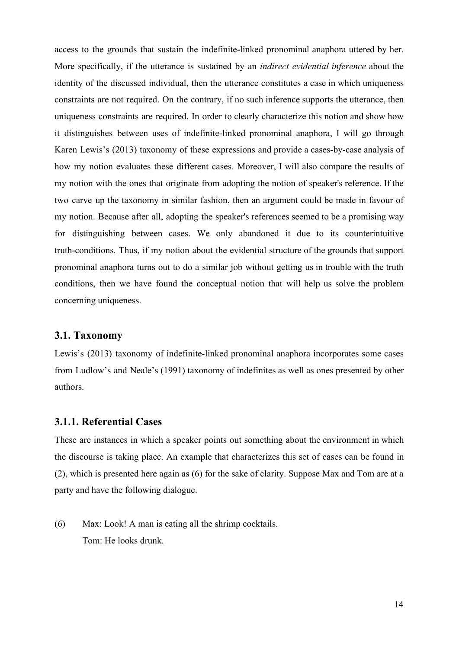access to the grounds that sustain the indefinite-linked pronominal anaphora uttered by her. More specifically, if the utterance is sustained by an *indirect evidential inference* about the identity of the discussed individual, then the utterance constitutes a case in which uniqueness constraints are not required. On the contrary, if no such inference supports the utterance, then uniqueness constraints are required. In order to clearly characterize this notion and show how it distinguishes between uses of indefinite-linked pronominal anaphora, I will go through Karen Lewis's (2013) taxonomy of these expressions and provide a cases-by-case analysis of how my notion evaluates these different cases. Moreover, I will also compare the results of my notion with the ones that originate from adopting the notion of speaker's reference. If the two carve up the taxonomy in similar fashion, then an argument could be made in favour of my notion. Because after all, adopting the speaker's references seemed to be a promising way for distinguishing between cases. We only abandoned it due to its counterintuitive truth-conditions. Thus, if my notion about the evidential structure of the grounds that support pronominal anaphora turns out to do a similar job without getting us in trouble with the truth conditions, then we have found the conceptual notion that will help us solve the problem concerning uniqueness.

#### **3.1. Taxonomy**

Lewis's (2013) taxonomy of indefinite-linked pronominal anaphora incorporates some cases from Ludlow's and Neale's (1991) taxonomy of indefinites as well as ones presented by other authors.

#### **3.1.1. Referential Cases**

These are instances in which a speaker points out something about the environment in which the discourse is taking place. An example that characterizes this set of cases can be found in (2), which is presented here again as (6) for the sake of clarity. Suppose Max and Tom are at a party and have the following dialogue.

(6) Max: Look! A man is eating all the shrimp cocktails. Tom: He looks drunk.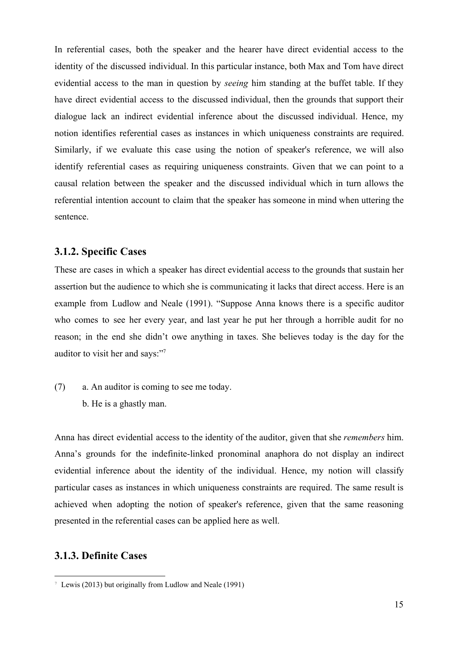In referential cases, both the speaker and the hearer have direct evidential access to the identity of the discussed individual. In this particular instance, both Max and Tom have direct evidential access to the man in question by *seeing* him standing at the buffet table. If they have direct evidential access to the discussed individual, then the grounds that support their dialogue lack an indirect evidential inference about the discussed individual. Hence, my notion identifies referential cases as instances in which uniqueness constraints are required. Similarly, if we evaluate this case using the notion of speaker's reference, we will also identify referential cases as requiring uniqueness constraints. Given that we can point to a causal relation between the speaker and the discussed individual which in turn allows the referential intention account to claim that the speaker has someone in mind when uttering the sentence.

#### **3.1.2. Specific Cases**

These are cases in which a speaker has direct evidential access to the grounds that sustain her assertion but the audience to which she is communicating it lacks that direct access. Here is an example from Ludlow and Neale (1991). "Suppose Anna knows there is a specific auditor who comes to see her every year, and last year he put her through a horrible audit for no reason; in the end she didn't owe anything in taxes. She believes today is the day for the auditor to visit her and says:"<sup>7</sup>

(7) a. An auditor is coming to see me today. b. He is a ghastly man.

Anna has direct evidential access to the identity of the auditor, given that she *remembers* him. Anna's grounds for the indefinite-linked pronominal anaphora do not display an indirect evidential inference about the identity of the individual. Hence, my notion will classify particular cases as instances in which uniqueness constraints are required. The same result is achieved when adopting the notion of speaker's reference, given that the same reasoning presented in the referential cases can be applied here as well.

#### **3.1.3. Definite Cases**

<sup>7</sup> Lewis (2013) but originally from Ludlow and Neale (1991)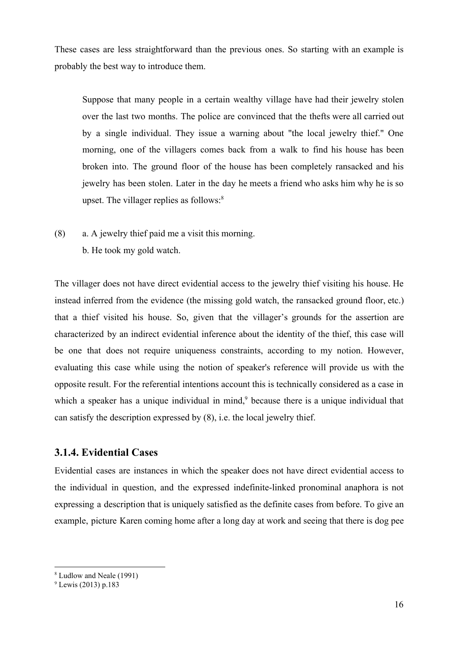These cases are less straightforward than the previous ones. So starting with an example is probably the best way to introduce them.

Suppose that many people in a certain wealthy village have had their jewelry stolen over the last two months. The police are convinced that the thefts were all carried out by a single individual. They issue a warning about "the local jewelry thief." One morning, one of the villagers comes back from a walk to find his house has been broken into. The ground floor of the house has been completely ransacked and his jewelry has been stolen. Later in the day he meets a friend who asks him why he is so upset. The villager replies as follows: $8$ 

(8) a. A jewelry thief paid me a visit this morning. b. He took my gold watch.

The villager does not have direct evidential access to the jewelry thief visiting his house. He instead inferred from the evidence (the missing gold watch, the ransacked ground floor, etc.) that a thief visited his house. So, given that the villager's grounds for the assertion are characterized by an indirect evidential inference about the identity of the thief, this case will be one that does not require uniqueness constraints, according to my notion. However, evaluating this case while using the notion of speaker's reference will provide us with the opposite result. For the referential intentions account this is technically considered as a case in which a speaker has a unique individual in mind, $9$  because there is a unique individual that can satisfy the description expressed by (8), i.e. the local jewelry thief.

#### **3.1.4. Evidential Cases**

Evidential cases are instances in which the speaker does not have direct evidential access to the individual in question, and the expressed indefinite-linked pronominal anaphora is not expressing a description that is uniquely satisfied as the definite cases from before. To give an example, picture Karen coming home after a long day at work and seeing that there is dog pee

<sup>8</sup> Ludlow and Neale (1991)

 $^{9}$  Lewis (2013) p.183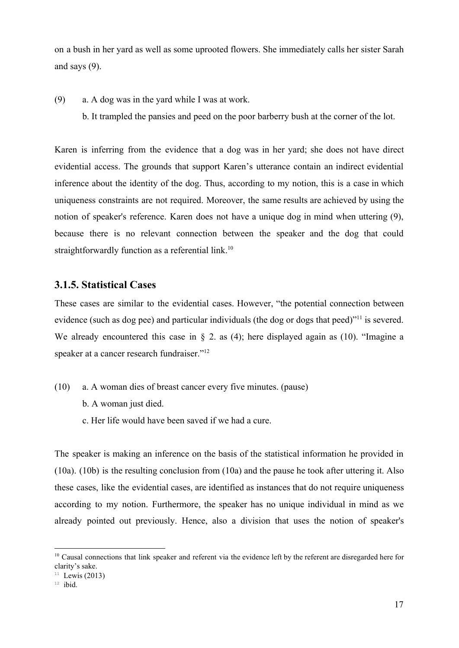on a bush in her yard as well as some uprooted flowers. She immediately calls her sister Sarah and says (9).

- (9) a. A dog was in the yard while I was at work.
	- b. It trampled the pansies and peed on the poor barberry bush at the corner of the lot.

Karen is inferring from the evidence that a dog was in her yard; she does not have direct evidential access. The grounds that support Karen's utterance contain an indirect evidential inference about the identity of the dog. Thus, according to my notion, this is a case in which uniqueness constraints are not required. Moreover, the same results are achieved by using the notion of speaker's reference. Karen does not have a unique dog in mind when uttering (9), because there is no relevant connection between the speaker and the dog that could straightforwardly function as a referential link.<sup>10</sup>

#### **3.1.5. Statistical Cases**

These cases are similar to the evidential cases. However, "the potential connection between evidence (such as dog pee) and particular individuals (the dog or dogs that peed) $^{\prime\prime}$ <sup>11</sup> is severed. We already encountered this case in § 2. as (4); here displayed again as (10). "Imagine a speaker at a cancer research fundraiser."<sup>12</sup>

- (10) a. A woman dies of breast cancer every five minutes. (pause)
	- b. A woman just died.
	- c. Her life would have been saved if we had a cure.

The speaker is making an inference on the basis of the statistical information he provided in (10a). (10b) is the resulting conclusion from (10a) and the pause he took after uttering it. Also these cases, like the evidential cases, are identified as instances that do not require uniqueness according to my notion. Furthermore, the speaker has no unique individual in mind as we already pointed out previously. Hence, also a division that uses the notion of speaker's

<sup>&</sup>lt;sup>10</sup> Causal connections that link speaker and referent via the evidence left by the referent are disregarded here for clarity's sake.

 $11$  Lewis (2013)

 $12$  ibid.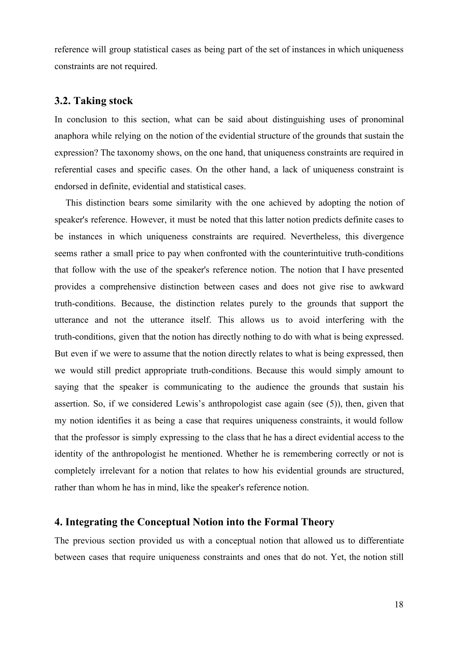reference will group statistical cases as being part of the set of instances in which uniqueness constraints are not required.

#### **3.2. Taking stock**

In conclusion to this section, what can be said about distinguishing uses of pronominal anaphora while relying on the notion of the evidential structure of the grounds that sustain the expression? The taxonomy shows, on the one hand, that uniqueness constraints are required in referential cases and specific cases. On the other hand, a lack of uniqueness constraint is endorsed in definite, evidential and statistical cases.

This distinction bears some similarity with the one achieved by adopting the notion of speaker's reference. However, it must be noted that this latter notion predicts definite cases to be instances in which uniqueness constraints are required. Nevertheless, this divergence seems rather a small price to pay when confronted with the counterintuitive truth-conditions that follow with the use of the speaker's reference notion. The notion that I have presented provides a comprehensive distinction between cases and does not give rise to awkward truth-conditions. Because, the distinction relates purely to the grounds that support the utterance and not the utterance itself. This allows us to avoid interfering with the truth-conditions, given that the notion has directly nothing to do with what is being expressed. But even if we were to assume that the notion directly relates to what is being expressed, then we would still predict appropriate truth-conditions. Because this would simply amount to saying that the speaker is communicating to the audience the grounds that sustain his assertion. So, if we considered Lewis's anthropologist case again (see (5)), then, given that my notion identifies it as being a case that requires uniqueness constraints, it would follow that the professor is simply expressing to the class that he has a direct evidential access to the identity of the anthropologist he mentioned. Whether he is remembering correctly or not is completely irrelevant for a notion that relates to how his evidential grounds are structured, rather than whom he has in mind, like the speaker's reference notion.

#### **4. Integrating the Conceptual Notion into the Formal Theory**

The previous section provided us with a conceptual notion that allowed us to differentiate between cases that require uniqueness constraints and ones that do not. Yet, the notion still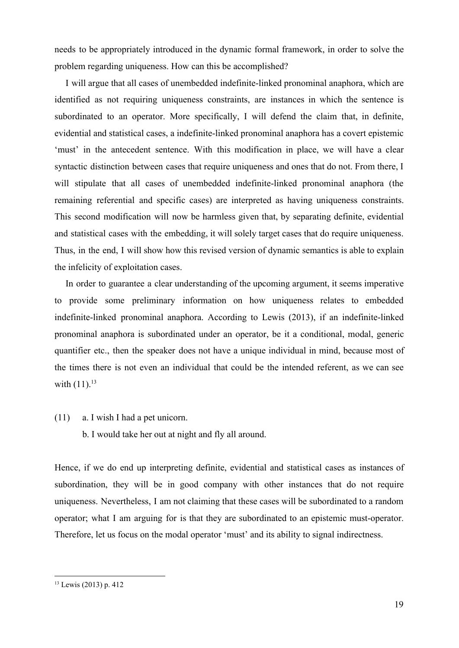needs to be appropriately introduced in the dynamic formal framework, in order to solve the problem regarding uniqueness. How can this be accomplished?

I will argue that all cases of unembedded indefinite-linked pronominal anaphora, which are identified as not requiring uniqueness constraints, are instances in which the sentence is subordinated to an operator. More specifically, I will defend the claim that, in definite, evidential and statistical cases, a indefinite-linked pronominal anaphora has a covert epistemic 'must' in the antecedent sentence. With this modification in place, we will have a clear syntactic distinction between cases that require uniqueness and ones that do not. From there, I will stipulate that all cases of unembedded indefinite-linked pronominal anaphora (the remaining referential and specific cases) are interpreted as having uniqueness constraints. This second modification will now be harmless given that, by separating definite, evidential and statistical cases with the embedding, it will solely target cases that do require uniqueness. Thus, in the end, I will show how this revised version of dynamic semantics is able to explain the infelicity of exploitation cases.

In order to guarantee a clear understanding of the upcoming argument, it seems imperative to provide some preliminary information on how uniqueness relates to embedded indefinite-linked pronominal anaphora. According to Lewis (2013), if an indefinite-linked pronominal anaphora is subordinated under an operator, be it a conditional, modal, generic quantifier etc., then the speaker does not have a unique individual in mind, because most of the times there is not even an individual that could be the intended referent, as we can see with  $(11).^{13}$ 

(11) a. I wish I had a pet unicorn.

b. I would take her out at night and fly all around.

Hence, if we do end up interpreting definite, evidential and statistical cases as instances of subordination, they will be in good company with other instances that do not require uniqueness. Nevertheless, I am not claiming that these cases will be subordinated to a random operator; what I am arguing for is that they are subordinated to an epistemic must-operator. Therefore, let us focus on the modal operator 'must' and its ability to signal indirectness.

<sup>13</sup> Lewis (2013) p. 412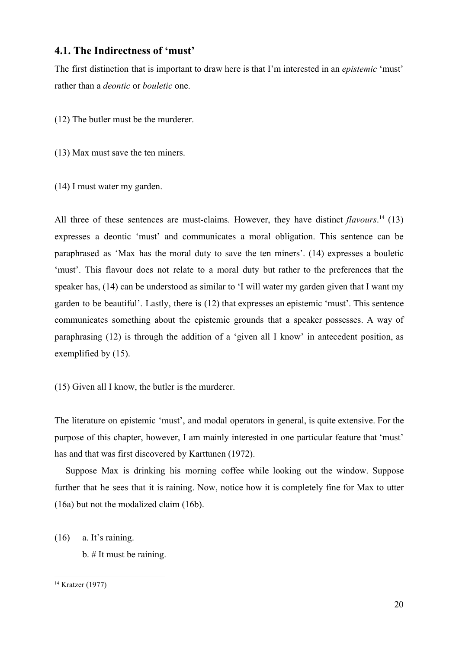#### **4.1. The Indirectness of 'must'**

The first distinction that is important to draw here is that I'm interested in an *epistemic* 'must' rather than a *deontic* or *bouletic* one.

(12) The butler must be the murderer.

(13) Max must save the ten miners.

(14) I must water my garden.

All three of these sentences are must-claims. However, they have distinct *flavours*.<sup>14</sup> (13) expresses a deontic 'must' and communicates a moral obligation. This sentence can be paraphrased as 'Max has the moral duty to save the ten miners'. (14) expresses a bouletic 'must'. This flavour does not relate to a moral duty but rather to the preferences that the speaker has, (14) can be understood as similar to 'I will water my garden given that I want my garden to be beautiful'. Lastly, there is (12) that expresses an epistemic 'must'. This sentence communicates something about the epistemic grounds that a speaker possesses. A way of paraphrasing (12) is through the addition of a 'given all I know' in antecedent position, as exemplified by (15).

(15) Given all I know, the butler is the murderer.

The literature on epistemic 'must', and modal operators in general, is quite extensive. For the purpose of this chapter, however, I am mainly interested in one particular feature that 'must' has and that was first discovered by Karttunen (1972).

Suppose Max is drinking his morning coffee while looking out the window. Suppose further that he sees that it is raining. Now, notice how it is completely fine for Max to utter (16a) but not the modalized claim (16b).

(16) a. It's raining.

b. # It must be raining.

<sup>14</sup> Kratzer (1977)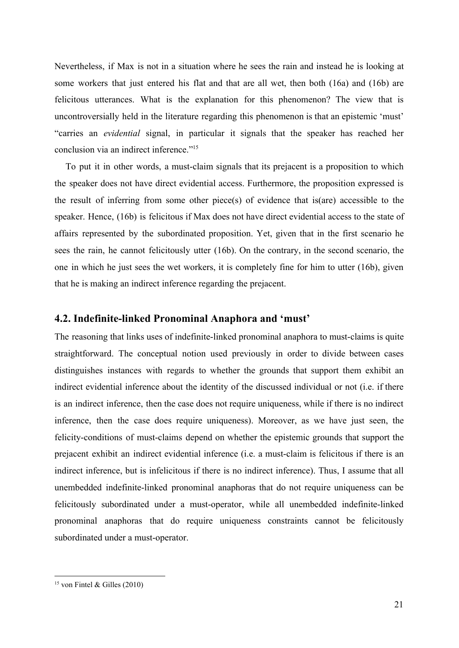Nevertheless, if Max is not in a situation where he sees the rain and instead he is looking at some workers that just entered his flat and that are all wet, then both (16a) and (16b) are felicitous utterances. What is the explanation for this phenomenon? The view that is uncontroversially held in the literature regarding this phenomenon is that an epistemic 'must' "carries an *evidential* signal, in particular it signals that the speaker has reached her conclusion via an indirect inference."<sup>15</sup>

To put it in other words, a must-claim signals that its prejacent is a proposition to which the speaker does not have direct evidential access. Furthermore, the proposition expressed is the result of inferring from some other piece(s) of evidence that is(are) accessible to the speaker. Hence, (16b) is felicitous if Max does not have direct evidential access to the state of affairs represented by the subordinated proposition. Yet, given that in the first scenario he sees the rain, he cannot felicitously utter (16b). On the contrary, in the second scenario, the one in which he just sees the wet workers, it is completely fine for him to utter (16b), given that he is making an indirect inference regarding the prejacent.

#### **4.2. Indefinite-linked Pronominal Anaphora and 'must'**

The reasoning that links uses of indefinite-linked pronominal anaphora to must-claims is quite straightforward. The conceptual notion used previously in order to divide between cases distinguishes instances with regards to whether the grounds that support them exhibit an indirect evidential inference about the identity of the discussed individual or not (i.e. if there is an indirect inference, then the case does not require uniqueness, while if there is no indirect inference, then the case does require uniqueness). Moreover, as we have just seen, the felicity-conditions of must-claims depend on whether the epistemic grounds that support the prejacent exhibit an indirect evidential inference (i.e. a must-claim is felicitous if there is an indirect inference, but is infelicitous if there is no indirect inference). Thus, I assume that all unembedded indefinite-linked pronominal anaphoras that do not require uniqueness can be felicitously subordinated under a must-operator, while all unembedded indefinite-linked pronominal anaphoras that do require uniqueness constraints cannot be felicitously subordinated under a must-operator.

<sup>&</sup>lt;sup>15</sup> von Fintel & Gilles (2010)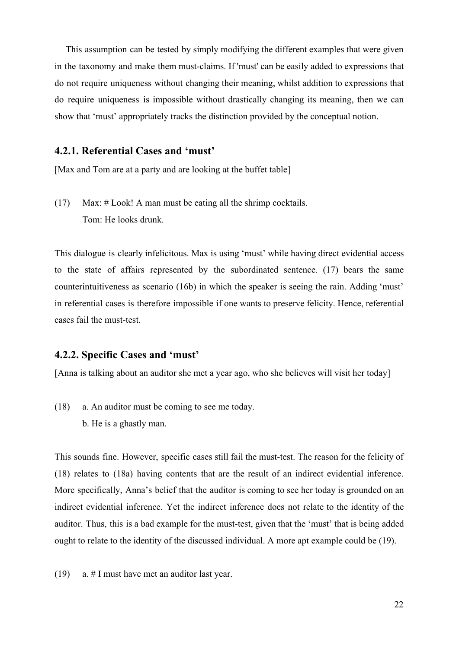This assumption can be tested by simply modifying the different examples that were given in the taxonomy and make them must-claims. If 'must' can be easily added to expressions that do not require uniqueness without changing their meaning, whilst addition to expressions that do require uniqueness is impossible without drastically changing its meaning, then we can show that 'must' appropriately tracks the distinction provided by the conceptual notion.

#### **4.2.1. Referential Cases and 'must'**

[Max and Tom are at a party and are looking at the buffet table]

(17) Max: # Look! A man must be eating all the shrimp cocktails. Tom: He looks drunk.

This dialogue is clearly infelicitous. Max is using 'must' while having direct evidential access to the state of affairs represented by the subordinated sentence. (17) bears the same counterintuitiveness as scenario (16b) in which the speaker is seeing the rain. Adding 'must' in referential cases is therefore impossible if one wants to preserve felicity. Hence, referential cases fail the must-test.

#### **4.2.2. Specific Cases and 'must'**

[Anna is talking about an auditor she met a year ago, who she believes will visit her today]

(18) a. An auditor must be coming to see me today. b. He is a ghastly man.

This sounds fine. However, specific cases still fail the must-test. The reason for the felicity of (18) relates to (18a) having contents that are the result of an indirect evidential inference. More specifically, Anna's belief that the auditor is coming to see her today is grounded on an indirect evidential inference. Yet the indirect inference does not relate to the identity of the auditor. Thus, this is a bad example for the must-test, given that the 'must' that is being added ought to relate to the identity of the discussed individual. A more apt example could be (19).

(19) a. # I must have met an auditor last year.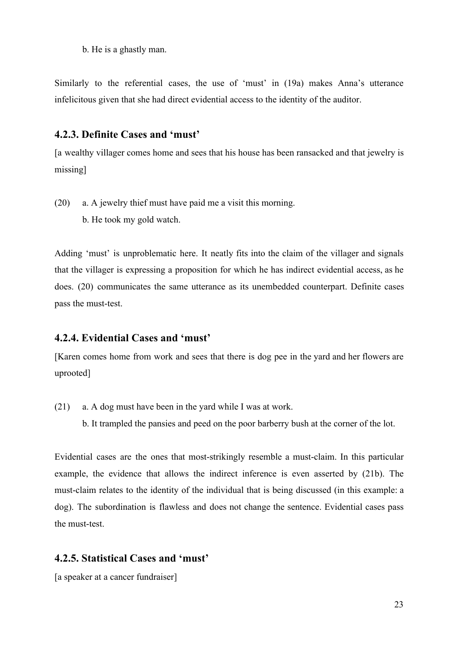b. He is a ghastly man.

Similarly to the referential cases, the use of 'must' in (19a) makes Anna's utterance infelicitous given that she had direct evidential access to the identity of the auditor.

#### **4.2.3. Definite Cases and 'must'**

[a wealthy villager comes home and sees that his house has been ransacked and that jewelry is missing]

- (20) a. A jewelry thief must have paid me a visit this morning. b. He took my gold watch.
	-

Adding 'must' is unproblematic here. It neatly fits into the claim of the villager and signals that the villager is expressing a proposition for which he has indirect evidential access, as he does. (20) communicates the same utterance as its unembedded counterpart. Definite cases pass the must-test.

#### **4.2.4. Evidential Cases and 'must'**

[Karen comes home from work and sees that there is dog pee in the yard and her flowers are uprooted]

- (21) a. A dog must have been in the yard while I was at work.
	- b. It trampled the pansies and peed on the poor barberry bush at the corner of the lot.

Evidential cases are the ones that most-strikingly resemble a must-claim. In this particular example, the evidence that allows the indirect inference is even asserted by (21b). The must-claim relates to the identity of the individual that is being discussed (in this example: a dog). The subordination is flawless and does not change the sentence. Evidential cases pass the must-test.

#### **4.2.5. Statistical Cases and 'must'**

[a speaker at a cancer fundraiser]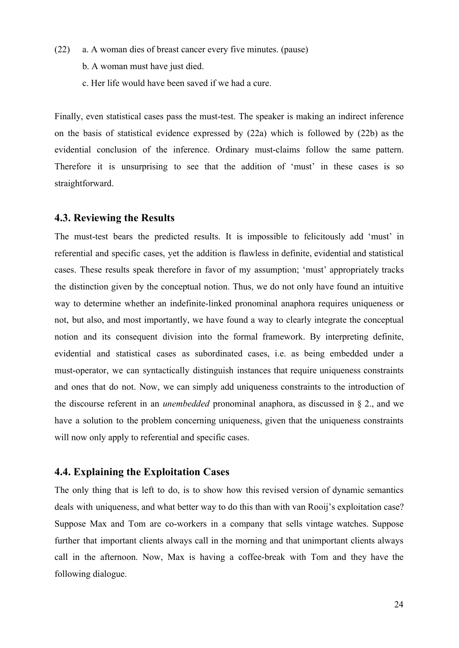- (22) a. A woman dies of breast cancer every five minutes. (pause)
	- b. A woman must have just died.
	- c. Her life would have been saved if we had a cure.

Finally, even statistical cases pass the must-test. The speaker is making an indirect inference on the basis of statistical evidence expressed by (22a) which is followed by (22b) as the evidential conclusion of the inference. Ordinary must-claims follow the same pattern. Therefore it is unsurprising to see that the addition of 'must' in these cases is so straightforward.

#### **4.3. Reviewing the Results**

The must-test bears the predicted results. It is impossible to felicitously add 'must' in referential and specific cases, yet the addition is flawless in definite, evidential and statistical cases. These results speak therefore in favor of my assumption; 'must' appropriately tracks the distinction given by the conceptual notion. Thus, we do not only have found an intuitive way to determine whether an indefinite-linked pronominal anaphora requires uniqueness or not, but also, and most importantly, we have found a way to clearly integrate the conceptual notion and its consequent division into the formal framework. By interpreting definite, evidential and statistical cases as subordinated cases, i.e. as being embedded under a must-operator, we can syntactically distinguish instances that require uniqueness constraints and ones that do not. Now, we can simply add uniqueness constraints to the introduction of the discourse referent in an *unembedded* pronominal anaphora, as discussed in § 2., and we have a solution to the problem concerning uniqueness, given that the uniqueness constraints will now only apply to referential and specific cases.

#### **4.4. Explaining the Exploitation Cases**

The only thing that is left to do, is to show how this revised version of dynamic semantics deals with uniqueness, and what better way to do this than with van Rooij's exploitation case? Suppose Max and Tom are co-workers in a company that sells vintage watches. Suppose further that important clients always call in the morning and that unimportant clients always call in the afternoon. Now, Max is having a coffee-break with Tom and they have the following dialogue.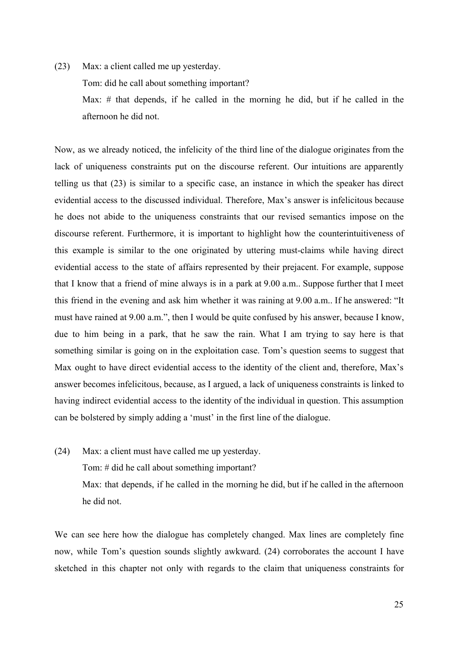(23) Max: a client called me up yesterday. Tom: did he call about something important? Max: # that depends, if he called in the morning he did, but if he called in the afternoon he did not.

Now, as we already noticed, the infelicity of the third line of the dialogue originates from the lack of uniqueness constraints put on the discourse referent. Our intuitions are apparently telling us that (23) is similar to a specific case, an instance in which the speaker has direct evidential access to the discussed individual. Therefore, Max's answer is infelicitous because he does not abide to the uniqueness constraints that our revised semantics impose on the discourse referent. Furthermore, it is important to highlight how the counterintuitiveness of this example is similar to the one originated by uttering must-claims while having direct evidential access to the state of affairs represented by their prejacent. For example, suppose that I know that a friend of mine always is in a park at 9.00 a.m.. Suppose further that I meet this friend in the evening and ask him whether it was raining at 9.00 a.m.. If he answered: "It must have rained at 9.00 a.m.", then I would be quite confused by his answer, because I know, due to him being in a park, that he saw the rain. What I am trying to say here is that something similar is going on in the exploitation case. Tom's question seems to suggest that Max ought to have direct evidential access to the identity of the client and, therefore, Max's answer becomes infelicitous, because, as I argued, a lack of uniqueness constraints is linked to having indirect evidential access to the identity of the individual in question. This assumption can be bolstered by simply adding a 'must' in the first line of the dialogue.

(24) Max: a client must have called me up yesterday. Tom: # did he call about something important? Max: that depends, if he called in the morning he did, but if he called in the afternoon he did not.

We can see here how the dialogue has completely changed. Max lines are completely fine now, while Tom's question sounds slightly awkward. (24) corroborates the account I have sketched in this chapter not only with regards to the claim that uniqueness constraints for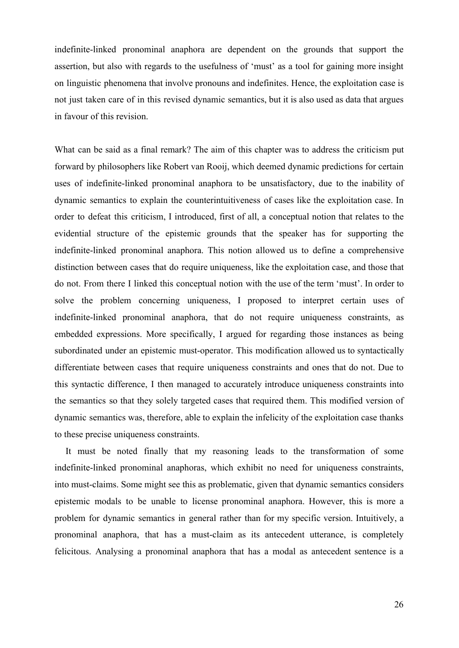indefinite-linked pronominal anaphora are dependent on the grounds that support the assertion, but also with regards to the usefulness of 'must' as a tool for gaining more insight on linguistic phenomena that involve pronouns and indefinites. Hence, the exploitation case is not just taken care of in this revised dynamic semantics, but it is also used as data that argues in favour of this revision.

What can be said as a final remark? The aim of this chapter was to address the criticism put forward by philosophers like Robert van Rooij, which deemed dynamic predictions for certain uses of indefinite-linked pronominal anaphora to be unsatisfactory, due to the inability of dynamic semantics to explain the counterintuitiveness of cases like the exploitation case. In order to defeat this criticism, I introduced, first of all, a conceptual notion that relates to the evidential structure of the epistemic grounds that the speaker has for supporting the indefinite-linked pronominal anaphora. This notion allowed us to define a comprehensive distinction between cases that do require uniqueness, like the exploitation case, and those that do not. From there I linked this conceptual notion with the use of the term 'must'. In order to solve the problem concerning uniqueness, I proposed to interpret certain uses of indefinite-linked pronominal anaphora, that do not require uniqueness constraints, as embedded expressions. More specifically, I argued for regarding those instances as being subordinated under an epistemic must-operator. This modification allowed us to syntactically differentiate between cases that require uniqueness constraints and ones that do not. Due to this syntactic difference, I then managed to accurately introduce uniqueness constraints into the semantics so that they solely targeted cases that required them. This modified version of dynamic semantics was, therefore, able to explain the infelicity of the exploitation case thanks to these precise uniqueness constraints.

It must be noted finally that my reasoning leads to the transformation of some indefinite-linked pronominal anaphoras, which exhibit no need for uniqueness constraints, into must-claims. Some might see this as problematic, given that dynamic semantics considers epistemic modals to be unable to license pronominal anaphora. However, this is more a problem for dynamic semantics in general rather than for my specific version. Intuitively, a pronominal anaphora, that has a must-claim as its antecedent utterance, is completely felicitous. Analysing a pronominal anaphora that has a modal as antecedent sentence is a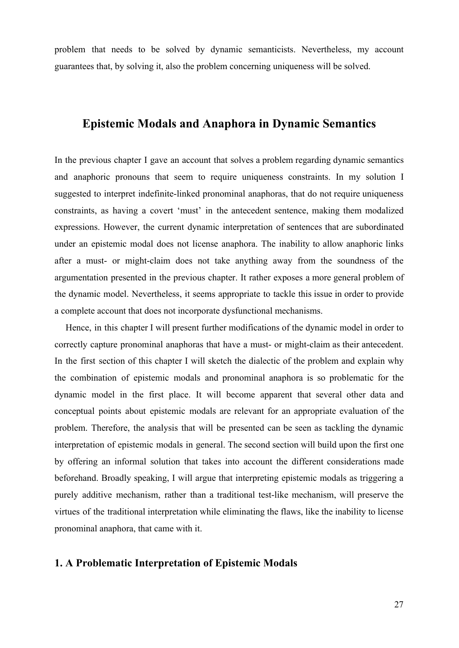problem that needs to be solved by dynamic semanticists. Nevertheless, my account guarantees that, by solving it, also the problem concerning uniqueness will be solved.

# **Epistemic Modals and Anaphora in Dynamic Semantics**

In the previous chapter I gave an account that solves a problem regarding dynamic semantics and anaphoric pronouns that seem to require uniqueness constraints. In my solution I suggested to interpret indefinite-linked pronominal anaphoras, that do not require uniqueness constraints, as having a covert 'must' in the antecedent sentence, making them modalized expressions. However, the current dynamic interpretation of sentences that are subordinated under an epistemic modal does not license anaphora. The inability to allow anaphoric links after a must- or might-claim does not take anything away from the soundness of the argumentation presented in the previous chapter. It rather exposes a more general problem of the dynamic model. Nevertheless, it seems appropriate to tackle this issue in order to provide a complete account that does not incorporate dysfunctional mechanisms.

Hence, in this chapter I will present further modifications of the dynamic model in order to correctly capture pronominal anaphoras that have a must- or might-claim as their antecedent. In the first section of this chapter I will sketch the dialectic of the problem and explain why the combination of epistemic modals and pronominal anaphora is so problematic for the dynamic model in the first place. It will become apparent that several other data and conceptual points about epistemic modals are relevant for an appropriate evaluation of the problem. Therefore, the analysis that will be presented can be seen as tackling the dynamic interpretation of epistemic modals in general. The second section will build upon the first one by offering an informal solution that takes into account the different considerations made beforehand. Broadly speaking, I will argue that interpreting epistemic modals as triggering a purely additive mechanism, rather than a traditional test-like mechanism, will preserve the virtues of the traditional interpretation while eliminating the flaws, like the inability to license pronominal anaphora, that came with it.

#### **1. A Problematic Interpretation of Epistemic Modals**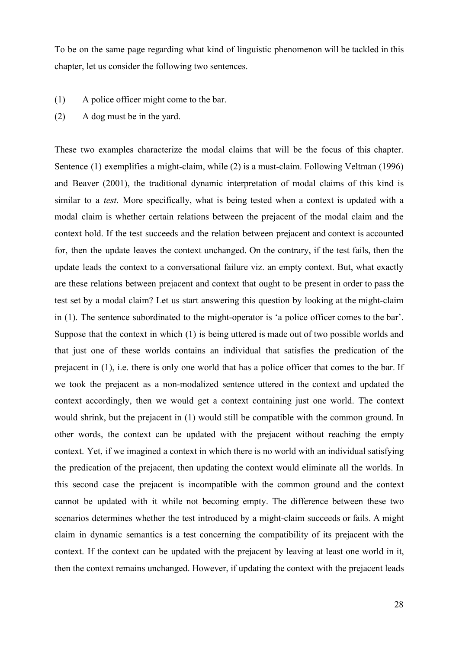To be on the same page regarding what kind of linguistic phenomenon will be tackled in this chapter, let us consider the following two sentences.

- (1) A police officer might come to the bar.
- (2) A dog must be in the yard.

These two examples characterize the modal claims that will be the focus of this chapter. Sentence (1) exemplifies a might-claim, while (2) is a must-claim. Following Veltman (1996) and Beaver (2001), the traditional dynamic interpretation of modal claims of this kind is similar to a *test*. More specifically, what is being tested when a context is updated with a modal claim is whether certain relations between the prejacent of the modal claim and the context hold. If the test succeeds and the relation between prejacent and context is accounted for, then the update leaves the context unchanged. On the contrary, if the test fails, then the update leads the context to a conversational failure viz. an empty context. But, what exactly are these relations between prejacent and context that ought to be present in order to pass the test set by a modal claim? Let us start answering this question by looking at the might-claim in (1). The sentence subordinated to the might-operator is 'a police officer comes to the bar'. Suppose that the context in which (1) is being uttered is made out of two possible worlds and that just one of these worlds contains an individual that satisfies the predication of the prejacent in (1), i.e. there is only one world that has a police officer that comes to the bar. If we took the prejacent as a non-modalized sentence uttered in the context and updated the context accordingly, then we would get a context containing just one world. The context would shrink, but the prejacent in (1) would still be compatible with the common ground. In other words, the context can be updated with the prejacent without reaching the empty context. Yet, if we imagined a context in which there is no world with an individual satisfying the predication of the prejacent, then updating the context would eliminate all the worlds. In this second case the prejacent is incompatible with the common ground and the context cannot be updated with it while not becoming empty. The difference between these two scenarios determines whether the test introduced by a might-claim succeeds or fails. A might claim in dynamic semantics is a test concerning the compatibility of its prejacent with the context. If the context can be updated with the prejacent by leaving at least one world in it, then the context remains unchanged. However, if updating the context with the prejacent leads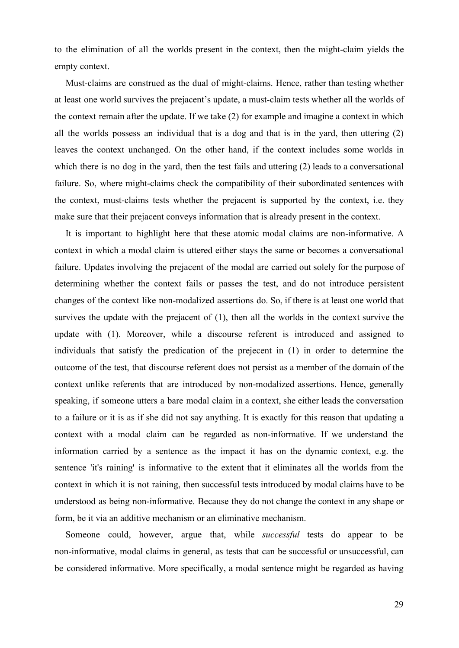to the elimination of all the worlds present in the context, then the might-claim yields the empty context.

Must-claims are construed as the dual of might-claims. Hence, rather than testing whether at least one world survives the prejacent's update, a must-claim tests whether all the worlds of the context remain after the update. If we take (2) for example and imagine a context in which all the worlds possess an individual that is a dog and that is in the yard, then uttering (2) leaves the context unchanged. On the other hand, if the context includes some worlds in which there is no dog in the yard, then the test fails and uttering (2) leads to a conversational failure. So, where might-claims check the compatibility of their subordinated sentences with the context, must-claims tests whether the prejacent is supported by the context, i.e. they make sure that their prejacent conveys information that is already present in the context.

It is important to highlight here that these atomic modal claims are non-informative. A context in which a modal claim is uttered either stays the same or becomes a conversational failure. Updates involving the prejacent of the modal are carried out solely for the purpose of determining whether the context fails or passes the test, and do not introduce persistent changes of the context like non-modalized assertions do. So, if there is at least one world that survives the update with the prejacent of (1), then all the worlds in the context survive the update with (1). Moreover, while a discourse referent is introduced and assigned to individuals that satisfy the predication of the prejecent in (1) in order to determine the outcome of the test, that discourse referent does not persist as a member of the domain of the context unlike referents that are introduced by non-modalized assertions. Hence, generally speaking, if someone utters a bare modal claim in a context, she either leads the conversation to a failure or it is as if she did not say anything. It is exactly for this reason that updating a context with a modal claim can be regarded as non-informative. If we understand the information carried by a sentence as the impact it has on the dynamic context, e.g. the sentence 'it's raining' is informative to the extent that it eliminates all the worlds from the context in which it is not raining, then successful tests introduced by modal claims have to be understood as being non-informative. Because they do not change the context in any shape or form, be it via an additive mechanism or an eliminative mechanism.

Someone could, however, argue that, while *successful* tests do appear to be non-informative, modal claims in general, as tests that can be successful or unsuccessful, can be considered informative. More specifically, a modal sentence might be regarded as having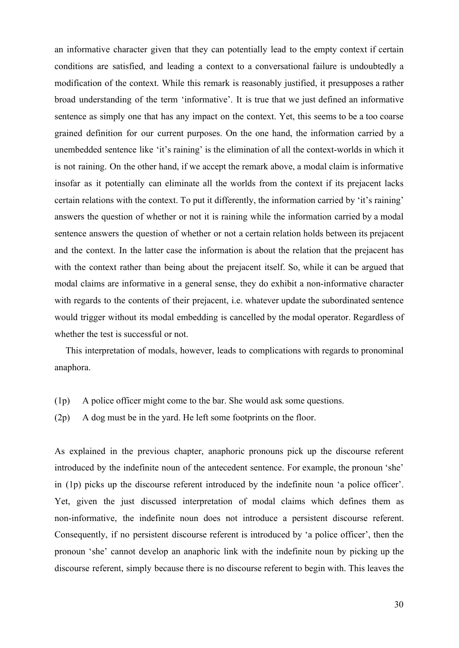an informative character given that they can potentially lead to the empty context if certain conditions are satisfied, and leading a context to a conversational failure is undoubtedly a modification of the context. While this remark is reasonably justified, it presupposes a rather broad understanding of the term 'informative'. It is true that we just defined an informative sentence as simply one that has any impact on the context. Yet, this seems to be a too coarse grained definition for our current purposes. On the one hand, the information carried by a unembedded sentence like 'it's raining' is the elimination of all the context-worlds in which it is not raining. On the other hand, if we accept the remark above, a modal claim is informative insofar as it potentially can eliminate all the worlds from the context if its prejacent lacks certain relations with the context. To put it differently, the information carried by 'it's raining' answers the question of whether or not it is raining while the information carried by a modal sentence answers the question of whether or not a certain relation holds between its prejacent and the context. In the latter case the information is about the relation that the prejacent has with the context rather than being about the prejacent itself. So, while it can be argued that modal claims are informative in a general sense, they do exhibit a non-informative character with regards to the contents of their prejacent, i.e. whatever update the subordinated sentence would trigger without its modal embedding is cancelled by the modal operator. Regardless of whether the test is successful or not.

This interpretation of modals, however, leads to complications with regards to pronominal anaphora.

- (1p) A police officer might come to the bar. She would ask some questions.
- (2p) A dog must be in the yard. He left some footprints on the floor.

As explained in the previous chapter, anaphoric pronouns pick up the discourse referent introduced by the indefinite noun of the antecedent sentence. For example, the pronoun 'she' in (1p) picks up the discourse referent introduced by the indefinite noun 'a police officer'. Yet, given the just discussed interpretation of modal claims which defines them as non-informative, the indefinite noun does not introduce a persistent discourse referent. Consequently, if no persistent discourse referent is introduced by 'a police officer', then the pronoun 'she' cannot develop an anaphoric link with the indefinite noun by picking up the discourse referent, simply because there is no discourse referent to begin with. This leaves the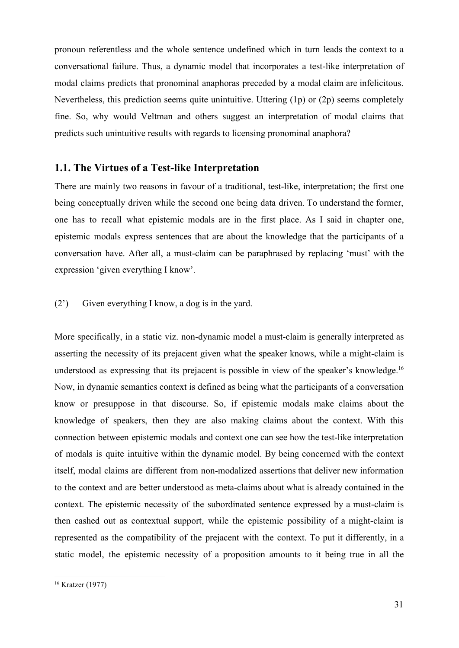pronoun referentless and the whole sentence undefined which in turn leads the context to a conversational failure. Thus, a dynamic model that incorporates a test-like interpretation of modal claims predicts that pronominal anaphoras preceded by a modal claim are infelicitous. Nevertheless, this prediction seems quite unintuitive. Uttering (1p) or (2p) seems completely fine. So, why would Veltman and others suggest an interpretation of modal claims that predicts such unintuitive results with regards to licensing pronominal anaphora?

#### **1.1. The Virtues of a Test-like Interpretation**

There are mainly two reasons in favour of a traditional, test-like, interpretation; the first one being conceptually driven while the second one being data driven. To understand the former, one has to recall what epistemic modals are in the first place. As I said in chapter one, epistemic modals express sentences that are about the knowledge that the participants of a conversation have. After all, a must-claim can be paraphrased by replacing 'must' with the expression 'given everything I know'.

#### (2') Given everything I know, a dog is in the yard.

More specifically, in a static viz. non-dynamic model a must-claim is generally interpreted as asserting the necessity of its prejacent given what the speaker knows, while a might-claim is understood as expressing that its prejacent is possible in view of the speaker's knowledge.<sup>16</sup> Now, in dynamic semantics context is defined as being what the participants of a conversation know or presuppose in that discourse. So, if epistemic modals make claims about the knowledge of speakers, then they are also making claims about the context. With this connection between epistemic modals and context one can see how the test-like interpretation of modals is quite intuitive within the dynamic model. By being concerned with the context itself, modal claims are different from non-modalized assertions that deliver new information to the context and are better understood as meta-claims about what is already contained in the context. The epistemic necessity of the subordinated sentence expressed by a must-claim is then cashed out as contextual support, while the epistemic possibility of a might-claim is represented as the compatibility of the prejacent with the context. To put it differently, in a static model, the epistemic necessity of a proposition amounts to it being true in all the

<sup>16</sup> Kratzer (1977)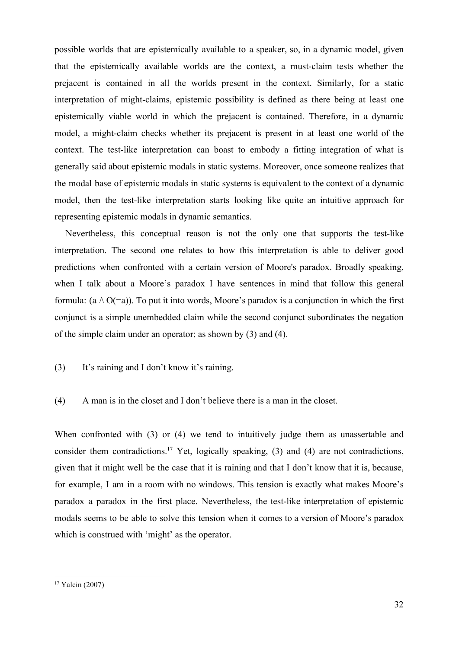possible worlds that are epistemically available to a speaker, so, in a dynamic model, given that the epistemically available worlds are the context, a must-claim tests whether the prejacent is contained in all the worlds present in the context. Similarly, for a static interpretation of might-claims, epistemic possibility is defined as there being at least one epistemically viable world in which the prejacent is contained. Therefore, in a dynamic model, a might-claim checks whether its prejacent is present in at least one world of the context. The test-like interpretation can boast to embody a fitting integration of what is generally said about epistemic modals in static systems. Moreover, once someone realizes that the modal base of epistemic modals in static systems is equivalent to the context of a dynamic model, then the test-like interpretation starts looking like quite an intuitive approach for representing epistemic modals in dynamic semantics.

Nevertheless, this conceptual reason is not the only one that supports the test-like interpretation. The second one relates to how this interpretation is able to deliver good predictions when confronted with a certain version of Moore's paradox. Broadly speaking, when I talk about a Moore's paradox I have sentences in mind that follow this general formula: (a  $\wedge$  O( $\neg$ a)). To put it into words, Moore's paradox is a conjunction in which the first conjunct is a simple unembedded claim while the second conjunct subordinates the negation of the simple claim under an operator; as shown by (3) and (4).

(3) It's raining and I don't know it's raining.

(4) A man is in the closet and I don't believe there is a man in the closet.

When confronted with (3) or (4) we tend to intuitively judge them as unassertable and consider them contradictions.<sup>17</sup> Yet, logically speaking, (3) and (4) are not contradictions, given that it might well be the case that it is raining and that I don't know that it is, because, for example, I am in a room with no windows. This tension is exactly what makes Moore's paradox a paradox in the first place. Nevertheless, the test-like interpretation of epistemic modals seems to be able to solve this tension when it comes to a version of Moore's paradox which is construed with 'might' as the operator.

<sup>17</sup> Yalcin (2007)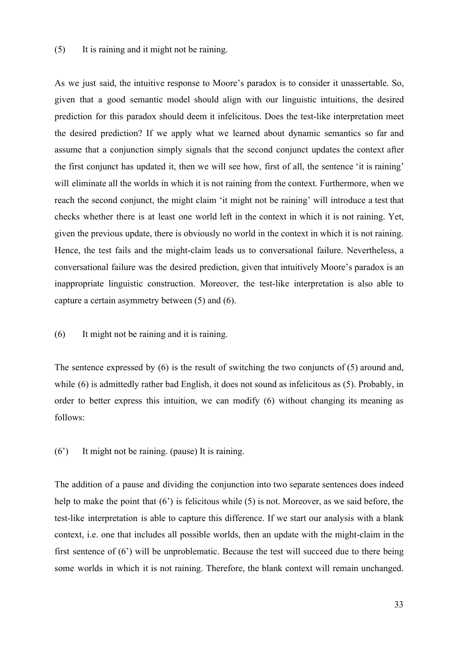#### (5) It is raining and it might not be raining.

As we just said, the intuitive response to Moore's paradox is to consider it unassertable. So, given that a good semantic model should align with our linguistic intuitions, the desired prediction for this paradox should deem it infelicitous. Does the test-like interpretation meet the desired prediction? If we apply what we learned about dynamic semantics so far and assume that a conjunction simply signals that the second conjunct updates the context after the first conjunct has updated it, then we will see how, first of all, the sentence 'it is raining' will eliminate all the worlds in which it is not raining from the context. Furthermore, when we reach the second conjunct, the might claim 'it might not be raining' will introduce a test that checks whether there is at least one world left in the context in which it is not raining. Yet, given the previous update, there is obviously no world in the context in which it is not raining. Hence, the test fails and the might-claim leads us to conversational failure. Nevertheless, a conversational failure was the desired prediction, given that intuitively Moore's paradox is an inappropriate linguistic construction. Moreover, the test-like interpretation is also able to capture a certain asymmetry between (5) and (6).

#### (6) It might not be raining and it is raining.

The sentence expressed by (6) is the result of switching the two conjuncts of (5) around and, while (6) is admittedly rather bad English, it does not sound as infelicitous as (5). Probably, in order to better express this intuition, we can modify (6) without changing its meaning as follows:

(6') It might not be raining. (pause) It is raining.

The addition of a pause and dividing the conjunction into two separate sentences does indeed help to make the point that (6<sup>2</sup>) is felicitous while (5) is not. Moreover, as we said before, the test-like interpretation is able to capture this difference. If we start our analysis with a blank context, i.e. one that includes all possible worlds, then an update with the might-claim in the first sentence of (6') will be unproblematic. Because the test will succeed due to there being some worlds in which it is not raining. Therefore, the blank context will remain unchanged.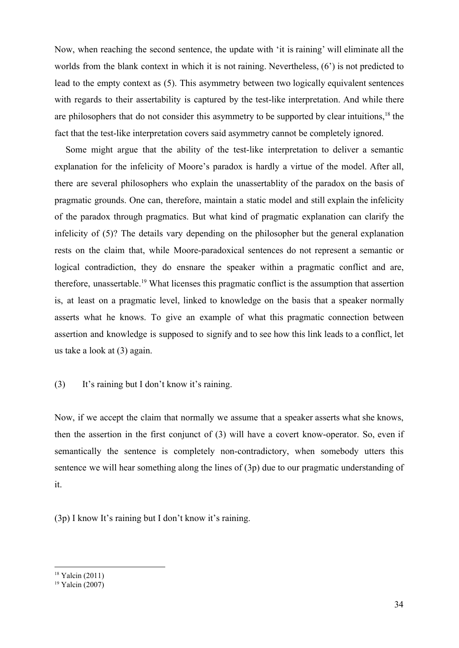Now, when reaching the second sentence, the update with 'it is raining' will eliminate all the worlds from the blank context in which it is not raining. Nevertheless, (6') is not predicted to lead to the empty context as (5). This asymmetry between two logically equivalent sentences with regards to their assertability is captured by the test-like interpretation. And while there are philosophers that do not consider this asymmetry to be supported by clear intuitions,<sup>18</sup> the fact that the test-like interpretation covers said asymmetry cannot be completely ignored.

Some might argue that the ability of the test-like interpretation to deliver a semantic explanation for the infelicity of Moore's paradox is hardly a virtue of the model. After all, there are several philosophers who explain the unassertablity of the paradox on the basis of pragmatic grounds. One can, therefore, maintain a static model and still explain the infelicity of the paradox through pragmatics. But what kind of pragmatic explanation can clarify the infelicity of (5)? The details vary depending on the philosopher but the general explanation rests on the claim that, while Moore-paradoxical sentences do not represent a semantic or logical contradiction, they do ensnare the speaker within a pragmatic conflict and are, therefore, unassertable.<sup>19</sup> What licenses this pragmatic conflict is the assumption that assertion is, at least on a pragmatic level, linked to knowledge on the basis that a speaker normally asserts what he knows. To give an example of what this pragmatic connection between assertion and knowledge is supposed to signify and to see how this link leads to a conflict, let us take a look at (3) again.

#### (3) It's raining but I don't know it's raining.

Now, if we accept the claim that normally we assume that a speaker asserts what she knows, then the assertion in the first conjunct of (3) will have a covert know-operator. So, even if semantically the sentence is completely non-contradictory, when somebody utters this sentence we will hear something along the lines of (3p) due to our pragmatic understanding of it.

(3p) I know It's raining but I don't know it's raining.

<sup>18</sup> Yalcin (2011)

<sup>19</sup> Yalcin (2007)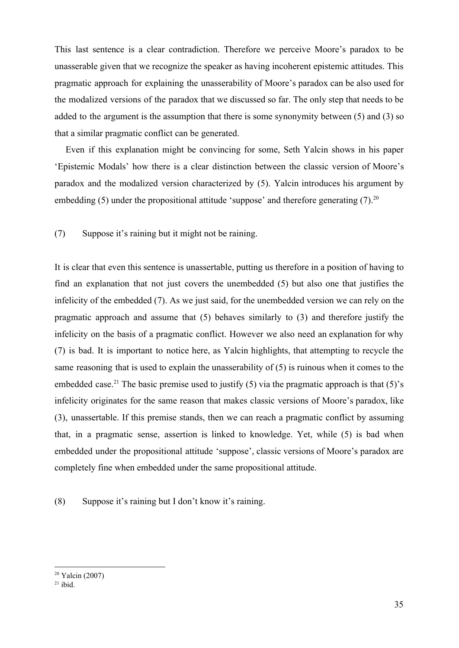This last sentence is a clear contradiction. Therefore we perceive Moore's paradox to be unasserable given that we recognize the speaker as having incoherent epistemic attitudes. This pragmatic approach for explaining the unasserability of Moore's paradox can be also used for the modalized versions of the paradox that we discussed so far. The only step that needs to be added to the argument is the assumption that there is some synonymity between (5) and (3) so that a similar pragmatic conflict can be generated.

Even if this explanation might be convincing for some, Seth Yalcin shows in his paper 'Epistemic Modals' how there is a clear distinction between the classic version of Moore's paradox and the modalized version characterized by (5). Yalcin introduces his argument by embedding  $(5)$  under the propositional attitude 'suppose' and therefore generating  $(7)$ <sup>20</sup>

(7) Suppose it's raining but it might not be raining.

It is clear that even this sentence is unassertable, putting us therefore in a position of having to find an explanation that not just covers the unembedded (5) but also one that justifies the infelicity of the embedded (7). As we just said, for the unembedded version we can rely on the pragmatic approach and assume that (5) behaves similarly to (3) and therefore justify the infelicity on the basis of a pragmatic conflict. However we also need an explanation for why (7) is bad. It is important to notice here, as Yalcin highlights, that attempting to recycle the same reasoning that is used to explain the unasserability of (5) is ruinous when it comes to the embedded case.<sup>21</sup> The basic premise used to justify (5) via the pragmatic approach is that (5)'s infelicity originates for the same reason that makes classic versions of Moore's paradox, like (3), unassertable. If this premise stands, then we can reach a pragmatic conflict by assuming that, in a pragmatic sense, assertion is linked to knowledge. Yet, while (5) is bad when embedded under the propositional attitude 'suppose', classic versions of Moore's paradox are completely fine when embedded under the same propositional attitude.

(8) Suppose it's raining but I don't know it's raining.

<sup>20</sup> Yalcin (2007)

 $21$  ibid.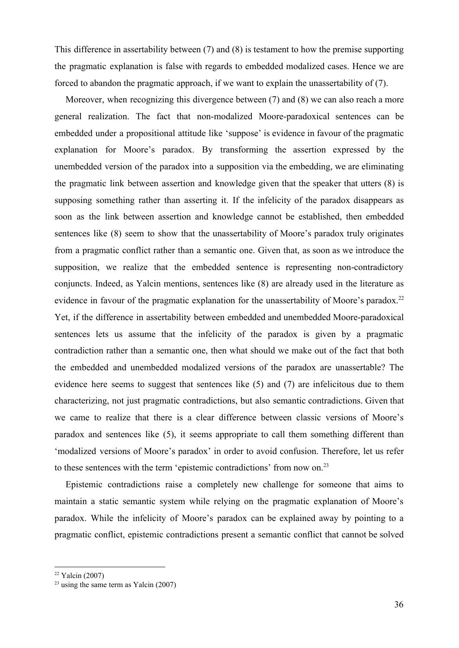This difference in assertability between (7) and (8) is testament to how the premise supporting the pragmatic explanation is false with regards to embedded modalized cases. Hence we are forced to abandon the pragmatic approach, if we want to explain the unassertability of (7).

Moreover, when recognizing this divergence between (7) and (8) we can also reach a more general realization. The fact that non-modalized Moore-paradoxical sentences can be embedded under a propositional attitude like 'suppose' is evidence in favour of the pragmatic explanation for Moore's paradox. By transforming the assertion expressed by the unembedded version of the paradox into a supposition via the embedding, we are eliminating the pragmatic link between assertion and knowledge given that the speaker that utters (8) is supposing something rather than asserting it. If the infelicity of the paradox disappears as soon as the link between assertion and knowledge cannot be established, then embedded sentences like (8) seem to show that the unassertability of Moore's paradox truly originates from a pragmatic conflict rather than a semantic one. Given that, as soon as we introduce the supposition, we realize that the embedded sentence is representing non-contradictory conjuncts. Indeed, as Yalcin mentions, sentences like (8) are already used in the literature as evidence in favour of the pragmatic explanation for the unassertability of Moore's paradox.<sup>22</sup> Yet, if the difference in assertability between embedded and unembedded Moore-paradoxical sentences lets us assume that the infelicity of the paradox is given by a pragmatic contradiction rather than a semantic one, then what should we make out of the fact that both the embedded and unembedded modalized versions of the paradox are unassertable? The evidence here seems to suggest that sentences like (5) and (7) are infelicitous due to them characterizing, not just pragmatic contradictions, but also semantic contradictions. Given that we came to realize that there is a clear difference between classic versions of Moore's paradox and sentences like (5), it seems appropriate to call them something different than 'modalized versions of Moore's paradox' in order to avoid confusion. Therefore, let us refer to these sentences with the term 'epistemic contradictions' from now on.<sup>23</sup>

Epistemic contradictions raise a completely new challenge for someone that aims to maintain a static semantic system while relying on the pragmatic explanation of Moore's paradox. While the infelicity of Moore's paradox can be explained away by pointing to a pragmatic conflict, epistemic contradictions present a semantic conflict that cannot be solved

 $22$  Yalcin (2007)

 $23$  using the same term as Yalcin (2007)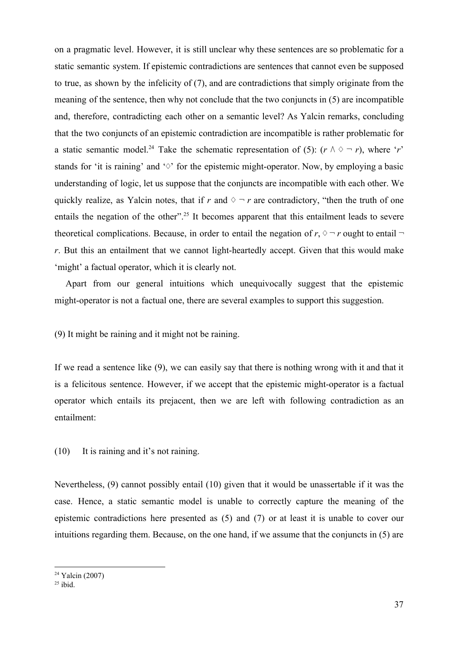on a pragmatic level. However, it is still unclear why these sentences are so problematic for a static semantic system. If epistemic contradictions are sentences that cannot even be supposed to true, as shown by the infelicity of (7), and are contradictions that simply originate from the meaning of the sentence, then why not conclude that the two conjuncts in (5) are incompatible and, therefore, contradicting each other on a semantic level? As Yalcin remarks, concluding that the two conjuncts of an epistemic contradiction are incompatible is rather problematic for a static semantic model.<sup>24</sup> Take the schematic representation of (5):  $(r \wedge \Diamond \neg r)$ , where '*r*' stands for 'it is raining' and '◇' for the epistemic might-operator. Now, by employing a basic understanding of logic, let us suppose that the conjuncts are incompatible with each other. We quickly realize, as Yalcin notes, that if *r* and  $\diamond \neg r$  are contradictory, "then the truth of one entails the negation of the other".<sup>25</sup> It becomes apparent that this entailment leads to severe theoretical complications. Because, in order to entail the negation of  $r, \Diamond \neg r$  ought to entail  $\neg$ *r*. But this an entailment that we cannot light-heartedly accept. Given that this would make 'might' a factual operator, which it is clearly not.

Apart from our general intuitions which unequivocally suggest that the epistemic might-operator is not a factual one, there are several examples to support this suggestion.

(9) It might be raining and it might not be raining.

If we read a sentence like (9), we can easily say that there is nothing wrong with it and that it is a felicitous sentence. However, if we accept that the epistemic might-operator is a factual operator which entails its prejacent, then we are left with following contradiction as an entailment:

(10) It is raining and it's not raining.

Nevertheless, (9) cannot possibly entail (10) given that it would be unassertable if it was the case. Hence, a static semantic model is unable to correctly capture the meaning of the epistemic contradictions here presented as (5) and (7) or at least it is unable to cover our intuitions regarding them. Because, on the one hand, if we assume that the conjuncts in (5) are

<sup>24</sup> Yalcin (2007)

 $25$  ibid.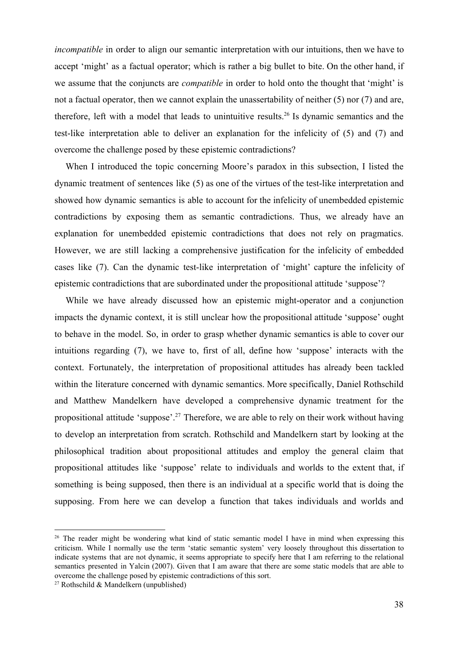*incompatible* in order to align our semantic interpretation with our intuitions, then we have to accept 'might' as a factual operator; which is rather a big bullet to bite. On the other hand, if we assume that the conjuncts are *compatible* in order to hold onto the thought that 'might' is not a factual operator, then we cannot explain the unassertability of neither (5) nor (7) and are, therefore, left with a model that leads to unintuitive results.<sup>26</sup> Is dynamic semantics and the test-like interpretation able to deliver an explanation for the infelicity of (5) and (7) and overcome the challenge posed by these epistemic contradictions?

When I introduced the topic concerning Moore's paradox in this subsection, I listed the dynamic treatment of sentences like (5) as one of the virtues of the test-like interpretation and showed how dynamic semantics is able to account for the infelicity of unembedded epistemic contradictions by exposing them as semantic contradictions. Thus, we already have an explanation for unembedded epistemic contradictions that does not rely on pragmatics. However, we are still lacking a comprehensive justification for the infelicity of embedded cases like (7). Can the dynamic test-like interpretation of 'might' capture the infelicity of epistemic contradictions that are subordinated under the propositional attitude 'suppose'?

While we have already discussed how an epistemic might-operator and a conjunction impacts the dynamic context, it is still unclear how the propositional attitude 'suppose' ought to behave in the model. So, in order to grasp whether dynamic semantics is able to cover our intuitions regarding (7), we have to, first of all, define how 'suppose' interacts with the context. Fortunately, the interpretation of propositional attitudes has already been tackled within the literature concerned with dynamic semantics. More specifically, Daniel Rothschild and Matthew Mandelkern have developed a comprehensive dynamic treatment for the propositional attitude 'suppose'.<sup>27</sup> Therefore, we are able to rely on their work without having to develop an interpretation from scratch. Rothschild and Mandelkern start by looking at the philosophical tradition about propositional attitudes and employ the general claim that propositional attitudes like 'suppose' relate to individuals and worlds to the extent that, if something is being supposed, then there is an individual at a specific world that is doing the supposing. From here we can develop a function that takes individuals and worlds and

<sup>&</sup>lt;sup>26</sup> The reader might be wondering what kind of static semantic model I have in mind when expressing this criticism. While I normally use the term 'static semantic system' very loosely throughout this dissertation to indicate systems that are not dynamic, it seems appropriate to specify here that I am referring to the relational semantics presented in Yalcin (2007). Given that I am aware that there are some static models that are able to overcome the challenge posed by epistemic contradictions of this sort.

<sup>&</sup>lt;sup>27</sup> Rothschild & Mandelkern (unpublished)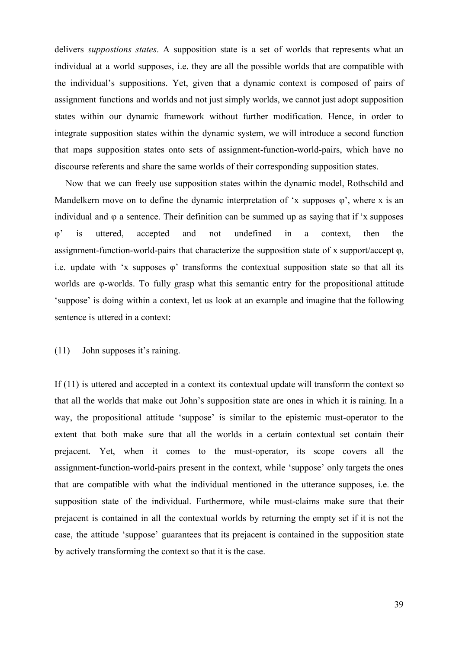delivers *suppostions states*. A supposition state is a set of worlds that represents what an individual at a world supposes, i.e. they are all the possible worlds that are compatible with the individual's suppositions. Yet, given that a dynamic context is composed of pairs of assignment functions and worlds and not just simply worlds, we cannot just adopt supposition states within our dynamic framework without further modification. Hence, in order to integrate supposition states within the dynamic system, we will introduce a second function that maps supposition states onto sets of assignment-function-world-pairs, which have no discourse referents and share the same worlds of their corresponding supposition states.

Now that we can freely use supposition states within the dynamic model, Rothschild and Mandelkern move on to define the dynamic interpretation of 'x supposes  $\varphi$ ', where x is an individual and φ a sentence. Their definition can be summed up as saying that if 'x supposes φ' is uttered, accepted and not undefined in a context, then the assignment-function-world-pairs that characterize the supposition state of x support/accept φ, i.e. update with 'x supposes  $\varphi$ ' transforms the contextual supposition state so that all its worlds are φ-worlds. To fully grasp what this semantic entry for the propositional attitude 'suppose' is doing within a context, let us look at an example and imagine that the following sentence is uttered in a context:

## (11) John supposes it's raining.

If (11) is uttered and accepted in a context its contextual update will transform the context so that all the worlds that make out John's supposition state are ones in which it is raining. In a way, the propositional attitude 'suppose' is similar to the epistemic must-operator to the extent that both make sure that all the worlds in a certain contextual set contain their prejacent. Yet, when it comes to the must-operator, its scope covers all the assignment-function-world-pairs present in the context, while 'suppose' only targets the ones that are compatible with what the individual mentioned in the utterance supposes, i.e. the supposition state of the individual. Furthermore, while must-claims make sure that their prejacent is contained in all the contextual worlds by returning the empty set if it is not the case, the attitude 'suppose' guarantees that its prejacent is contained in the supposition state by actively transforming the context so that it is the case.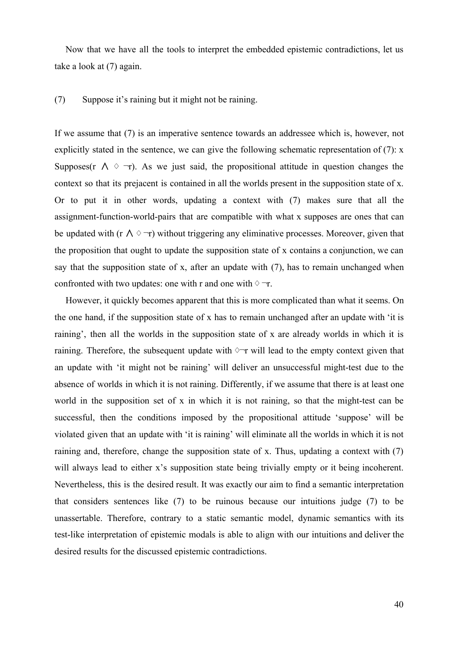Now that we have all the tools to interpret the embedded epistemic contradictions, let us take a look at (7) again.

#### (7) Suppose it's raining but it might not be raining.

If we assume that (7) is an imperative sentence towards an addressee which is, however, not explicitly stated in the sentence, we can give the following schematic representation of (7): x Supposes(r  $\wedge$   $\Diamond$   $\neg$ r). As we just said, the propositional attitude in question changes the context so that its prejacent is contained in all the worlds present in the supposition state of x. Or to put it in other words, updating a context with (7) makes sure that all the assignment-function-world-pairs that are compatible with what x supposes are ones that can be updated with (r  $\wedge \Diamond \neg r$ ) without triggering any eliminative processes. Moreover, given that the proposition that ought to update the supposition state of x contains a conjunction, we can say that the supposition state of x, after an update with (7), has to remain unchanged when confronted with two updates: one with r and one with  $\diamond \neg r$ .

However, it quickly becomes apparent that this is more complicated than what it seems. On the one hand, if the supposition state of x has to remain unchanged after an update with 'it is raining', then all the worlds in the supposition state of x are already worlds in which it is raining. Therefore, the subsequent update with  $\Diamond$ ¬r will lead to the empty context given that an update with 'it might not be raining' will deliver an unsuccessful might-test due to the absence of worlds in which it is not raining. Differently, if we assume that there is at least one world in the supposition set of x in which it is not raining, so that the might-test can be successful, then the conditions imposed by the propositional attitude 'suppose' will be violated given that an update with 'it is raining' will eliminate all the worlds in which it is not raining and, therefore, change the supposition state of x. Thus, updating a context with (7) will always lead to either x's supposition state being trivially empty or it being incoherent. Nevertheless, this is the desired result. It was exactly our aim to find a semantic interpretation that considers sentences like (7) to be ruinous because our intuitions judge (7) to be unassertable. Therefore, contrary to a static semantic model, dynamic semantics with its test-like interpretation of epistemic modals is able to align with our intuitions and deliver the desired results for the discussed epistemic contradictions.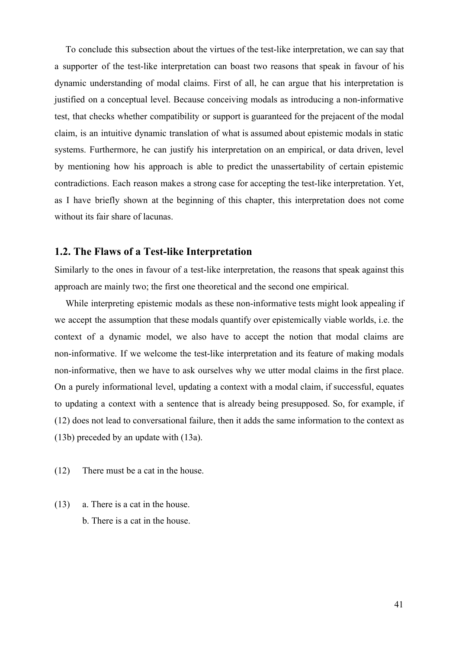To conclude this subsection about the virtues of the test-like interpretation, we can say that a supporter of the test-like interpretation can boast two reasons that speak in favour of his dynamic understanding of modal claims. First of all, he can argue that his interpretation is justified on a conceptual level. Because conceiving modals as introducing a non-informative test, that checks whether compatibility or support is guaranteed for the prejacent of the modal claim, is an intuitive dynamic translation of what is assumed about epistemic modals in static systems. Furthermore, he can justify his interpretation on an empirical, or data driven, level by mentioning how his approach is able to predict the unassertability of certain epistemic contradictions. Each reason makes a strong case for accepting the test-like interpretation. Yet, as I have briefly shown at the beginning of this chapter, this interpretation does not come without its fair share of lacunas.

## **1.2. The Flaws of a Test-like Interpretation**

Similarly to the ones in favour of a test-like interpretation, the reasons that speak against this approach are mainly two; the first one theoretical and the second one empirical.

While interpreting epistemic modals as these non-informative tests might look appealing if we accept the assumption that these modals quantify over epistemically viable worlds, i.e. the context of a dynamic model, we also have to accept the notion that modal claims are non-informative. If we welcome the test-like interpretation and its feature of making modals non-informative, then we have to ask ourselves why we utter modal claims in the first place. On a purely informational level, updating a context with a modal claim, if successful, equates to updating a context with a sentence that is already being presupposed. So, for example, if (12) does not lead to conversational failure, then it adds the same information to the context as (13b) preceded by an update with (13a).

- (12) There must be a cat in the house.
- (13) a. There is a cat in the house. b. There is a cat in the house.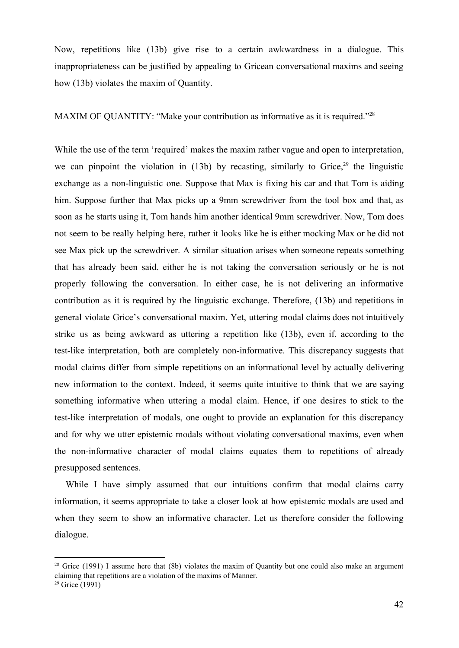Now, repetitions like (13b) give rise to a certain awkwardness in a dialogue. This inappropriateness can be justified by appealing to Gricean conversational maxims and seeing how (13b) violates the maxim of Quantity.

MAXIM OF QUANTITY: "Make your contribution as informative as it is required."<sup>28</sup>

While the use of the term 'required' makes the maxim rather vague and open to interpretation, we can pinpoint the violation in  $(13b)$  by recasting, similarly to Grice, <sup>29</sup> the linguistic exchange as a non-linguistic one. Suppose that Max is fixing his car and that Tom is aiding him. Suppose further that Max picks up a 9mm screwdriver from the tool box and that, as soon as he starts using it, Tom hands him another identical 9mm screwdriver. Now, Tom does not seem to be really helping here, rather it looks like he is either mocking Max or he did not see Max pick up the screwdriver. A similar situation arises when someone repeats something that has already been said. either he is not taking the conversation seriously or he is not properly following the conversation. In either case, he is not delivering an informative contribution as it is required by the linguistic exchange. Therefore, (13b) and repetitions in general violate Grice's conversational maxim. Yet, uttering modal claims does not intuitively strike us as being awkward as uttering a repetition like (13b), even if, according to the test-like interpretation, both are completely non-informative. This discrepancy suggests that modal claims differ from simple repetitions on an informational level by actually delivering new information to the context. Indeed, it seems quite intuitive to think that we are saying something informative when uttering a modal claim. Hence, if one desires to stick to the test-like interpretation of modals, one ought to provide an explanation for this discrepancy and for why we utter epistemic modals without violating conversational maxims, even when the non-informative character of modal claims equates them to repetitions of already presupposed sentences.

While I have simply assumed that our intuitions confirm that modal claims carry information, it seems appropriate to take a closer look at how epistemic modals are used and when they seem to show an informative character. Let us therefore consider the following dialogue.

<sup>&</sup>lt;sup>28</sup> Grice (1991) I assume here that (8b) violates the maxim of Quantity but one could also make an argument claiming that repetitions are a violation of the maxims of Manner.

 $29$  Grice (1991)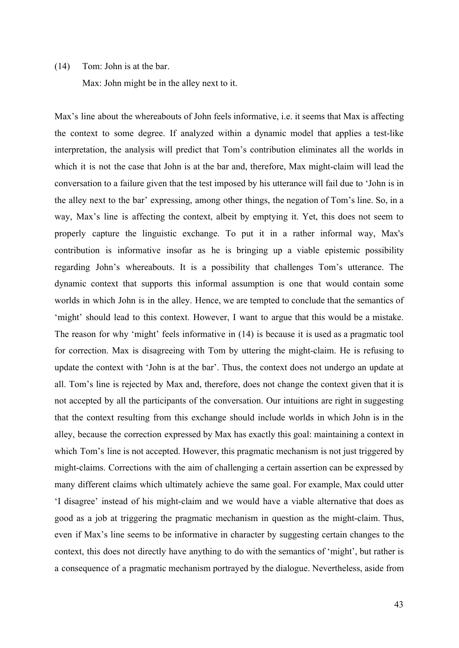## (14) Tom: John is at the bar.

Max: John might be in the alley next to it.

Max's line about the whereabouts of John feels informative, i.e. it seems that Max is affecting the context to some degree. If analyzed within a dynamic model that applies a test-like interpretation, the analysis will predict that Tom's contribution eliminates all the worlds in which it is not the case that John is at the bar and, therefore, Max might-claim will lead the conversation to a failure given that the test imposed by his utterance will fail due to 'John is in the alley next to the bar' expressing, among other things, the negation of Tom's line. So, in a way, Max's line is affecting the context, albeit by emptying it. Yet, this does not seem to properly capture the linguistic exchange. To put it in a rather informal way, Max's contribution is informative insofar as he is bringing up a viable epistemic possibility regarding John's whereabouts. It is a possibility that challenges Tom's utterance. The dynamic context that supports this informal assumption is one that would contain some worlds in which John is in the alley. Hence, we are tempted to conclude that the semantics of 'might' should lead to this context. However, I want to argue that this would be a mistake. The reason for why 'might' feels informative in (14) is because it is used as a pragmatic tool for correction. Max is disagreeing with Tom by uttering the might-claim. He is refusing to update the context with 'John is at the bar'. Thus, the context does not undergo an update at all. Tom's line is rejected by Max and, therefore, does not change the context given that it is not accepted by all the participants of the conversation. Our intuitions are right in suggesting that the context resulting from this exchange should include worlds in which John is in the alley, because the correction expressed by Max has exactly this goal: maintaining a context in which Tom's line is not accepted. However, this pragmatic mechanism is not just triggered by might-claims. Corrections with the aim of challenging a certain assertion can be expressed by many different claims which ultimately achieve the same goal. For example, Max could utter 'I disagree' instead of his might-claim and we would have a viable alternative that does as good as a job at triggering the pragmatic mechanism in question as the might-claim. Thus, even if Max's line seems to be informative in character by suggesting certain changes to the context, this does not directly have anything to do with the semantics of 'might', but rather is a consequence of a pragmatic mechanism portrayed by the dialogue. Nevertheless, aside from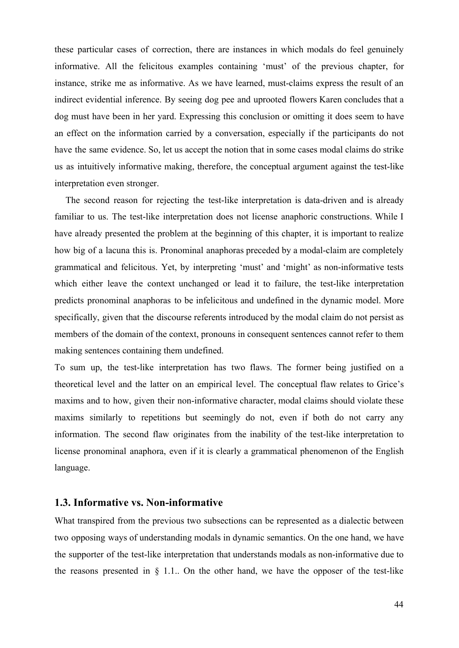these particular cases of correction, there are instances in which modals do feel genuinely informative. All the felicitous examples containing 'must' of the previous chapter, for instance, strike me as informative. As we have learned, must-claims express the result of an indirect evidential inference. By seeing dog pee and uprooted flowers Karen concludes that a dog must have been in her yard. Expressing this conclusion or omitting it does seem to have an effect on the information carried by a conversation, especially if the participants do not have the same evidence. So, let us accept the notion that in some cases modal claims do strike us as intuitively informative making, therefore, the conceptual argument against the test-like interpretation even stronger.

The second reason for rejecting the test-like interpretation is data-driven and is already familiar to us. The test-like interpretation does not license anaphoric constructions. While I have already presented the problem at the beginning of this chapter, it is important to realize how big of a lacuna this is. Pronominal anaphoras preceded by a modal-claim are completely grammatical and felicitous. Yet, by interpreting 'must' and 'might' as non-informative tests which either leave the context unchanged or lead it to failure, the test-like interpretation predicts pronominal anaphoras to be infelicitous and undefined in the dynamic model. More specifically, given that the discourse referents introduced by the modal claim do not persist as members of the domain of the context, pronouns in consequent sentences cannot refer to them making sentences containing them undefined.

To sum up, the test-like interpretation has two flaws. The former being justified on a theoretical level and the latter on an empirical level. The conceptual flaw relates to Grice's maxims and to how, given their non-informative character, modal claims should violate these maxims similarly to repetitions but seemingly do not, even if both do not carry any information. The second flaw originates from the inability of the test-like interpretation to license pronominal anaphora, even if it is clearly a grammatical phenomenon of the English language.

## **1.3. Informative vs. Non-informative**

What transpired from the previous two subsections can be represented as a dialectic between two opposing ways of understanding modals in dynamic semantics. On the one hand, we have the supporter of the test-like interpretation that understands modals as non-informative due to the reasons presented in  $\S$  1.1. On the other hand, we have the opposer of the test-like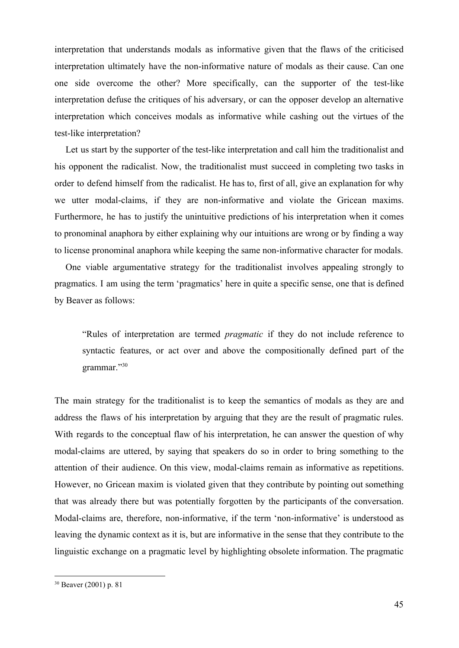interpretation that understands modals as informative given that the flaws of the criticised interpretation ultimately have the non-informative nature of modals as their cause. Can one one side overcome the other? More specifically, can the supporter of the test-like interpretation defuse the critiques of his adversary, or can the opposer develop an alternative interpretation which conceives modals as informative while cashing out the virtues of the test-like interpretation?

Let us start by the supporter of the test-like interpretation and call him the traditionalist and his opponent the radicalist. Now, the traditionalist must succeed in completing two tasks in order to defend himself from the radicalist. He has to, first of all, give an explanation for why we utter modal-claims, if they are non-informative and violate the Gricean maxims. Furthermore, he has to justify the unintuitive predictions of his interpretation when it comes to pronominal anaphora by either explaining why our intuitions are wrong or by finding a way to license pronominal anaphora while keeping the same non-informative character for modals.

One viable argumentative strategy for the traditionalist involves appealing strongly to pragmatics. I am using the term 'pragmatics' here in quite a specific sense, one that is defined by Beaver as follows:

"Rules of interpretation are termed *pragmatic* if they do not include reference to syntactic features, or act over and above the compositionally defined part of the grammar."30

The main strategy for the traditionalist is to keep the semantics of modals as they are and address the flaws of his interpretation by arguing that they are the result of pragmatic rules. With regards to the conceptual flaw of his interpretation, he can answer the question of why modal-claims are uttered, by saying that speakers do so in order to bring something to the attention of their audience. On this view, modal-claims remain as informative as repetitions. However, no Gricean maxim is violated given that they contribute by pointing out something that was already there but was potentially forgotten by the participants of the conversation. Modal-claims are, therefore, non-informative, if the term 'non-informative' is understood as leaving the dynamic context as it is, but are informative in the sense that they contribute to the linguistic exchange on a pragmatic level by highlighting obsolete information. The pragmatic

<sup>30</sup> Beaver (2001) p. 81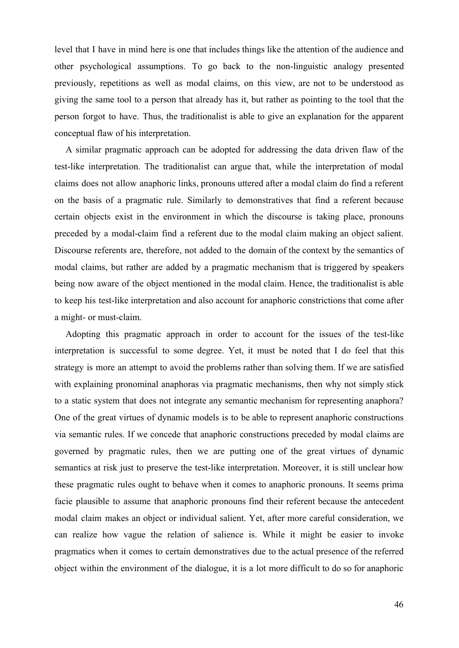level that I have in mind here is one that includes things like the attention of the audience and other psychological assumptions. To go back to the non-linguistic analogy presented previously, repetitions as well as modal claims, on this view, are not to be understood as giving the same tool to a person that already has it, but rather as pointing to the tool that the person forgot to have. Thus, the traditionalist is able to give an explanation for the apparent conceptual flaw of his interpretation.

A similar pragmatic approach can be adopted for addressing the data driven flaw of the test-like interpretation. The traditionalist can argue that, while the interpretation of modal claims does not allow anaphoric links, pronouns uttered after a modal claim do find a referent on the basis of a pragmatic rule. Similarly to demonstratives that find a referent because certain objects exist in the environment in which the discourse is taking place, pronouns preceded by a modal-claim find a referent due to the modal claim making an object salient. Discourse referents are, therefore, not added to the domain of the context by the semantics of modal claims, but rather are added by a pragmatic mechanism that is triggered by speakers being now aware of the object mentioned in the modal claim. Hence, the traditionalist is able to keep his test-like interpretation and also account for anaphoric constrictions that come after a might- or must-claim.

Adopting this pragmatic approach in order to account for the issues of the test-like interpretation is successful to some degree. Yet, it must be noted that I do feel that this strategy is more an attempt to avoid the problems rather than solving them. If we are satisfied with explaining pronominal anaphoras via pragmatic mechanisms, then why not simply stick to a static system that does not integrate any semantic mechanism for representing anaphora? One of the great virtues of dynamic models is to be able to represent anaphoric constructions via semantic rules. If we concede that anaphoric constructions preceded by modal claims are governed by pragmatic rules, then we are putting one of the great virtues of dynamic semantics at risk just to preserve the test-like interpretation. Moreover, it is still unclear how these pragmatic rules ought to behave when it comes to anaphoric pronouns. It seems prima facie plausible to assume that anaphoric pronouns find their referent because the antecedent modal claim makes an object or individual salient. Yet, after more careful consideration, we can realize how vague the relation of salience is. While it might be easier to invoke pragmatics when it comes to certain demonstratives due to the actual presence of the referred object within the environment of the dialogue, it is a lot more difficult to do so for anaphoric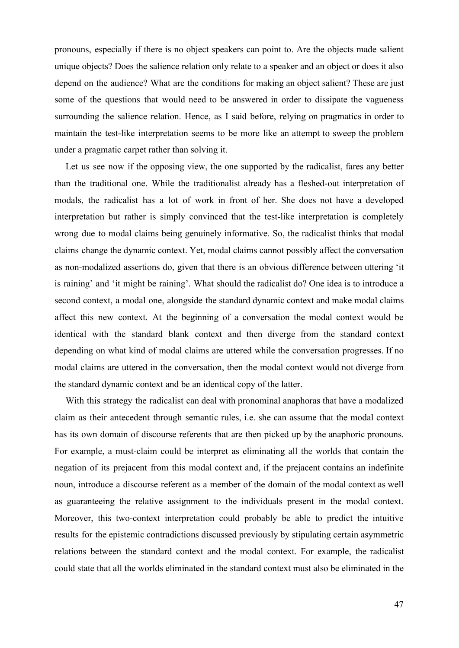pronouns, especially if there is no object speakers can point to. Are the objects made salient unique objects? Does the salience relation only relate to a speaker and an object or does it also depend on the audience? What are the conditions for making an object salient? These are just some of the questions that would need to be answered in order to dissipate the vagueness surrounding the salience relation. Hence, as I said before, relying on pragmatics in order to maintain the test-like interpretation seems to be more like an attempt to sweep the problem under a pragmatic carpet rather than solving it.

Let us see now if the opposing view, the one supported by the radicalist, fares any better than the traditional one. While the traditionalist already has a fleshed-out interpretation of modals, the radicalist has a lot of work in front of her. She does not have a developed interpretation but rather is simply convinced that the test-like interpretation is completely wrong due to modal claims being genuinely informative. So, the radicalist thinks that modal claims change the dynamic context. Yet, modal claims cannot possibly affect the conversation as non-modalized assertions do, given that there is an obvious difference between uttering 'it is raining' and 'it might be raining'. What should the radicalist do? One idea is to introduce a second context, a modal one, alongside the standard dynamic context and make modal claims affect this new context. At the beginning of a conversation the modal context would be identical with the standard blank context and then diverge from the standard context depending on what kind of modal claims are uttered while the conversation progresses. If no modal claims are uttered in the conversation, then the modal context would not diverge from the standard dynamic context and be an identical copy of the latter.

With this strategy the radicalist can deal with pronominal anaphoras that have a modalized claim as their antecedent through semantic rules, i.e. she can assume that the modal context has its own domain of discourse referents that are then picked up by the anaphoric pronouns. For example, a must-claim could be interpret as eliminating all the worlds that contain the negation of its prejacent from this modal context and, if the prejacent contains an indefinite noun, introduce a discourse referent as a member of the domain of the modal context as well as guaranteeing the relative assignment to the individuals present in the modal context. Moreover, this two-context interpretation could probably be able to predict the intuitive results for the epistemic contradictions discussed previously by stipulating certain asymmetric relations between the standard context and the modal context. For example, the radicalist could state that all the worlds eliminated in the standard context must also be eliminated in the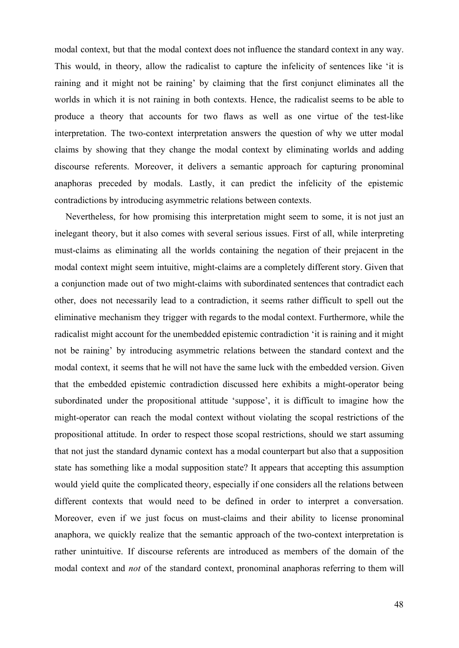modal context, but that the modal context does not influence the standard context in any way. This would, in theory, allow the radicalist to capture the infelicity of sentences like 'it is raining and it might not be raining' by claiming that the first conjunct eliminates all the worlds in which it is not raining in both contexts. Hence, the radicalist seems to be able to produce a theory that accounts for two flaws as well as one virtue of the test-like interpretation. The two-context interpretation answers the question of why we utter modal claims by showing that they change the modal context by eliminating worlds and adding discourse referents. Moreover, it delivers a semantic approach for capturing pronominal anaphoras preceded by modals. Lastly, it can predict the infelicity of the epistemic contradictions by introducing asymmetric relations between contexts.

Nevertheless, for how promising this interpretation might seem to some, it is not just an inelegant theory, but it also comes with several serious issues. First of all, while interpreting must-claims as eliminating all the worlds containing the negation of their prejacent in the modal context might seem intuitive, might-claims are a completely different story. Given that a conjunction made out of two might-claims with subordinated sentences that contradict each other, does not necessarily lead to a contradiction, it seems rather difficult to spell out the eliminative mechanism they trigger with regards to the modal context. Furthermore, while the radicalist might account for the unembedded epistemic contradiction 'it is raining and it might not be raining' by introducing asymmetric relations between the standard context and the modal context, it seems that he will not have the same luck with the embedded version. Given that the embedded epistemic contradiction discussed here exhibits a might-operator being subordinated under the propositional attitude 'suppose', it is difficult to imagine how the might-operator can reach the modal context without violating the scopal restrictions of the propositional attitude. In order to respect those scopal restrictions, should we start assuming that not just the standard dynamic context has a modal counterpart but also that a supposition state has something like a modal supposition state? It appears that accepting this assumption would yield quite the complicated theory, especially if one considers all the relations between different contexts that would need to be defined in order to interpret a conversation. Moreover, even if we just focus on must-claims and their ability to license pronominal anaphora, we quickly realize that the semantic approach of the two-context interpretation is rather unintuitive. If discourse referents are introduced as members of the domain of the modal context and *not* of the standard context, pronominal anaphoras referring to them will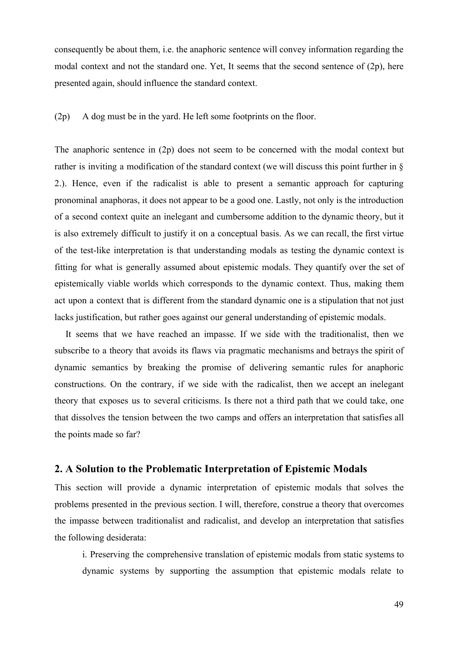consequently be about them, i.e. the anaphoric sentence will convey information regarding the modal context and not the standard one. Yet, It seems that the second sentence of (2p), here presented again, should influence the standard context.

(2p) A dog must be in the yard. He left some footprints on the floor.

The anaphoric sentence in (2p) does not seem to be concerned with the modal context but rather is inviting a modification of the standard context (we will discuss this point further in § 2.). Hence, even if the radicalist is able to present a semantic approach for capturing pronominal anaphoras, it does not appear to be a good one. Lastly, not only is the introduction of a second context quite an inelegant and cumbersome addition to the dynamic theory, but it is also extremely difficult to justify it on a conceptual basis. As we can recall, the first virtue of the test-like interpretation is that understanding modals as testing the dynamic context is fitting for what is generally assumed about epistemic modals. They quantify over the set of epistemically viable worlds which corresponds to the dynamic context. Thus, making them act upon a context that is different from the standard dynamic one is a stipulation that not just lacks justification, but rather goes against our general understanding of epistemic modals.

It seems that we have reached an impasse. If we side with the traditionalist, then we subscribe to a theory that avoids its flaws via pragmatic mechanisms and betrays the spirit of dynamic semantics by breaking the promise of delivering semantic rules for anaphoric constructions. On the contrary, if we side with the radicalist, then we accept an inelegant theory that exposes us to several criticisms. Is there not a third path that we could take, one that dissolves the tension between the two camps and offers an interpretation that satisfies all the points made so far?

## **2. A Solution to the Problematic Interpretation of Epistemic Modals**

This section will provide a dynamic interpretation of epistemic modals that solves the problems presented in the previous section. I will, therefore, construe a theory that overcomes the impasse between traditionalist and radicalist, and develop an interpretation that satisfies the following desiderata:

i. Preserving the comprehensive translation of epistemic modals from static systems to dynamic systems by supporting the assumption that epistemic modals relate to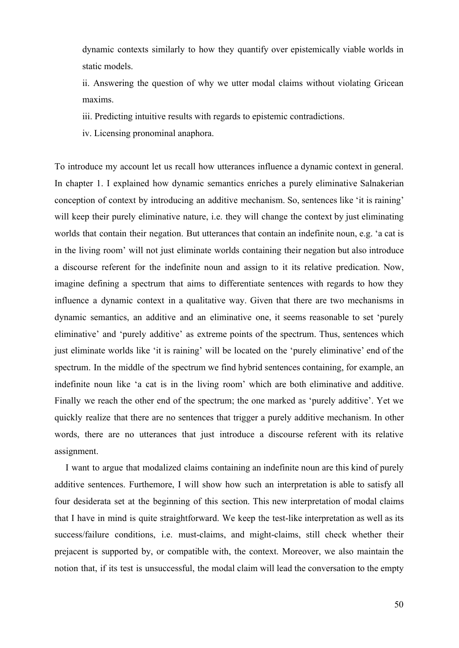dynamic contexts similarly to how they quantify over epistemically viable worlds in static models.

ii. Answering the question of why we utter modal claims without violating Gricean maxims.

iii. Predicting intuitive results with regards to epistemic contradictions.

iv. Licensing pronominal anaphora.

To introduce my account let us recall how utterances influence a dynamic context in general. In chapter 1. I explained how dynamic semantics enriches a purely eliminative Salnakerian conception of context by introducing an additive mechanism. So, sentences like 'it is raining' will keep their purely eliminative nature, i.e. they will change the context by just eliminating worlds that contain their negation. But utterances that contain an indefinite noun, e.g. 'a cat is in the living room' will not just eliminate worlds containing their negation but also introduce a discourse referent for the indefinite noun and assign to it its relative predication. Now, imagine defining a spectrum that aims to differentiate sentences with regards to how they influence a dynamic context in a qualitative way. Given that there are two mechanisms in dynamic semantics, an additive and an eliminative one, it seems reasonable to set 'purely eliminative' and 'purely additive' as extreme points of the spectrum. Thus, sentences which just eliminate worlds like 'it is raining' will be located on the 'purely eliminative' end of the spectrum. In the middle of the spectrum we find hybrid sentences containing, for example, an indefinite noun like 'a cat is in the living room' which are both eliminative and additive. Finally we reach the other end of the spectrum; the one marked as 'purely additive'. Yet we quickly realize that there are no sentences that trigger a purely additive mechanism. In other words, there are no utterances that just introduce a discourse referent with its relative assignment.

I want to argue that modalized claims containing an indefinite noun are this kind of purely additive sentences. Furthemore, I will show how such an interpretation is able to satisfy all four desiderata set at the beginning of this section. This new interpretation of modal claims that I have in mind is quite straightforward. We keep the test-like interpretation as well as its success/failure conditions, i.e. must-claims, and might-claims, still check whether their prejacent is supported by, or compatible with, the context. Moreover, we also maintain the notion that, if its test is unsuccessful, the modal claim will lead the conversation to the empty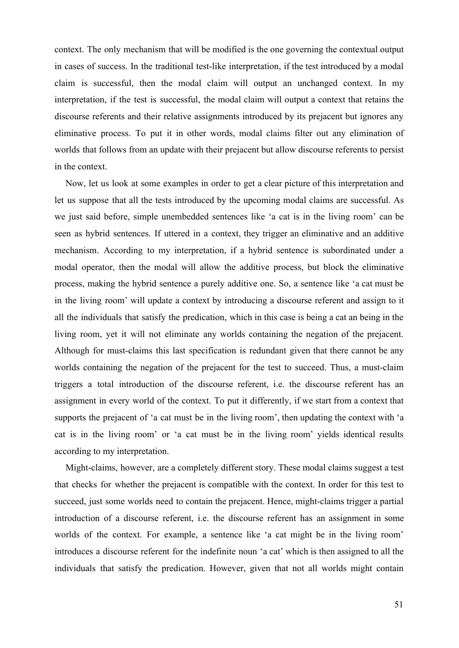context. The only mechanism that will be modified is the one governing the contextual output in cases of success. In the traditional test-like interpretation, if the test introduced by a modal claim is successful, then the modal claim will output an unchanged context. In my interpretation, if the test is successful, the modal claim will output a context that retains the discourse referents and their relative assignments introduced by its prejacent but ignores any eliminative process. To put it in other words, modal claims filter out any elimination of worlds that follows from an update with their prejacent but allow discourse referents to persist in the context.

Now, let us look at some examples in order to get a clear picture of this interpretation and let us suppose that all the tests introduced by the upcoming modal claims are successful. As we just said before, simple unembedded sentences like 'a cat is in the living room' can be seen as hybrid sentences. If uttered in a context, they trigger an eliminative and an additive mechanism. According to my interpretation, if a hybrid sentence is subordinated under a modal operator, then the modal will allow the additive process, but block the eliminative process, making the hybrid sentence a purely additive one. So, a sentence like 'a cat must be in the living room' will update a context by introducing a discourse referent and assign to it all the individuals that satisfy the predication, which in this case is being a cat an being in the living room, yet it will not eliminate any worlds containing the negation of the prejacent. Although for must-claims this last specification is redundant given that there cannot be any worlds containing the negation of the prejacent for the test to succeed. Thus, a must-claim triggers a total introduction of the discourse referent, i.e. the discourse referent has an assignment in every world of the context. To put it differently, if we start from a context that supports the prejacent of 'a cat must be in the living room', then updating the context with 'a cat is in the living room' or 'a cat must be in the living room' yields identical results according to my interpretation.

Might-claims, however, are a completely different story. These modal claims suggest a test that checks for whether the prejacent is compatible with the context. In order for this test to succeed, just some worlds need to contain the prejacent. Hence, might-claims trigger a partial introduction of a discourse referent, i.e. the discourse referent has an assignment in some worlds of the context. For example, a sentence like 'a cat might be in the living room' introduces a discourse referent for the indefinite noun 'a cat' which is then assigned to all the individuals that satisfy the predication. However, given that not all worlds might contain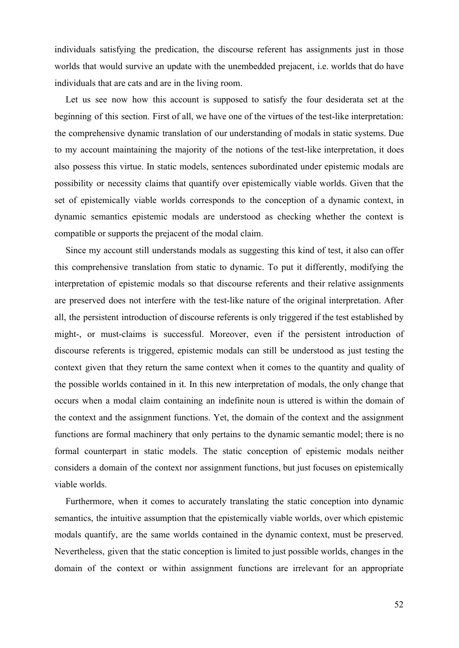individuals satisfying the predication, the discourse referent has assignments just in those worlds that would survive an update with the unembedded prejacent, i.e. worlds that do have individuals that are cats and are in the living room.

Let us see now how this account is supposed to satisfy the four desiderata set at the beginning of this section. First of all, we have one of the virtues of the test-like interpretation: the comprehensive dynamic translation of our understanding of modals in static systems. Due to my account maintaining the majority of the notions of the test-like interpretation, it does also possess this virtue. In static models, sentences subordinated under epistemic modals are possibility or necessity claims that quantify over epistemically viable worlds. Given that the set of epistemically viable worlds corresponds to the conception of a dynamic context, in dynamic semantics epistemic modals are understood as checking whether the context is compatible or supports the prejacent of the modal claim.

Since my account still understands modals as suggesting this kind of test, it also can offer this comprehensive translation from static to dynamic. To put it differently, modifying the interpretation of epistemic modals so that discourse referents and their relative assignments are preserved does not interfere with the test-like nature of the original interpretation. After all, the persistent introduction of discourse referents is only triggered if the test established by might-, or must-claims is successful. Moreover, even if the persistent introduction of discourse referents is triggered, epistemic modals can still be understood as just testing the context given that they return the same context when it comes to the quantity and quality of the possible worlds contained in it. In this new interpretation of modals, the only change that occurs when a modal claim containing an indefinite noun is uttered is within the domain of the context and the assignment functions. Yet, the domain of the context and the assignment functions are formal machinery that only pertains to the dynamic semantic model; there is no formal counterpart in static models. The static conception of epistemic modals neither considers a domain of the context nor assignment functions, but just focuses on epistemically viable worlds.

Furthermore, when it comes to accurately translating the static conception into dynamic semantics, the intuitive assumption that the epistemically viable worlds, over which epistemic modals quantify, are the same worlds contained in the dynamic context, must be preserved. Nevertheless, given that the static conception is limited to just possible worlds, changes in the domain of the context or within assignment functions are irrelevant for an appropriate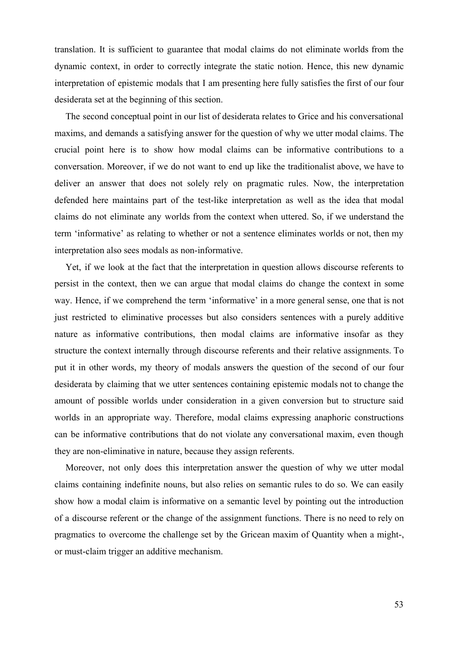translation. It is sufficient to guarantee that modal claims do not eliminate worlds from the dynamic context, in order to correctly integrate the static notion. Hence, this new dynamic interpretation of epistemic modals that I am presenting here fully satisfies the first of our four desiderata set at the beginning of this section.

The second conceptual point in our list of desiderata relates to Grice and his conversational maxims, and demands a satisfying answer for the question of why we utter modal claims. The crucial point here is to show how modal claims can be informative contributions to a conversation. Moreover, if we do not want to end up like the traditionalist above, we have to deliver an answer that does not solely rely on pragmatic rules. Now, the interpretation defended here maintains part of the test-like interpretation as well as the idea that modal claims do not eliminate any worlds from the context when uttered. So, if we understand the term 'informative' as relating to whether or not a sentence eliminates worlds or not, then my interpretation also sees modals as non-informative.

Yet, if we look at the fact that the interpretation in question allows discourse referents to persist in the context, then we can argue that modal claims do change the context in some way. Hence, if we comprehend the term 'informative' in a more general sense, one that is not just restricted to eliminative processes but also considers sentences with a purely additive nature as informative contributions, then modal claims are informative insofar as they structure the context internally through discourse referents and their relative assignments. To put it in other words, my theory of modals answers the question of the second of our four desiderata by claiming that we utter sentences containing epistemic modals not to change the amount of possible worlds under consideration in a given conversion but to structure said worlds in an appropriate way. Therefore, modal claims expressing anaphoric constructions can be informative contributions that do not violate any conversational maxim, even though they are non-eliminative in nature, because they assign referents.

Moreover, not only does this interpretation answer the question of why we utter modal claims containing indefinite nouns, but also relies on semantic rules to do so. We can easily show how a modal claim is informative on a semantic level by pointing out the introduction of a discourse referent or the change of the assignment functions. There is no need to rely on pragmatics to overcome the challenge set by the Gricean maxim of Quantity when a might-, or must-claim trigger an additive mechanism.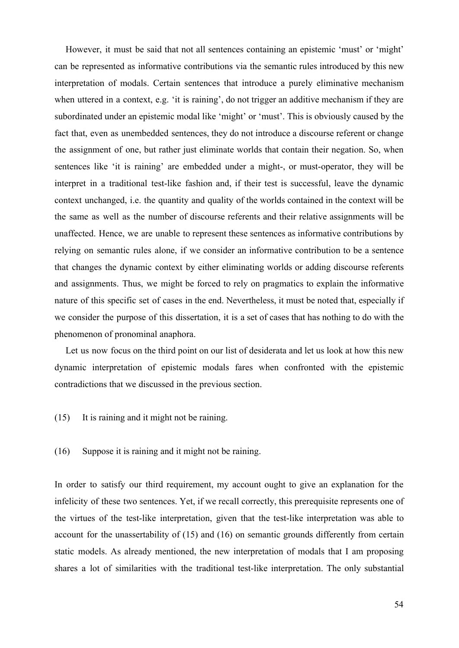However, it must be said that not all sentences containing an epistemic 'must' or 'might' can be represented as informative contributions via the semantic rules introduced by this new interpretation of modals. Certain sentences that introduce a purely eliminative mechanism when uttered in a context, e.g. 'it is raining', do not trigger an additive mechanism if they are subordinated under an epistemic modal like 'might' or 'must'. This is obviously caused by the fact that, even as unembedded sentences, they do not introduce a discourse referent or change the assignment of one, but rather just eliminate worlds that contain their negation. So, when sentences like 'it is raining' are embedded under a might-, or must-operator, they will be interpret in a traditional test-like fashion and, if their test is successful, leave the dynamic context unchanged, i.e. the quantity and quality of the worlds contained in the context will be the same as well as the number of discourse referents and their relative assignments will be unaffected. Hence, we are unable to represent these sentences as informative contributions by relying on semantic rules alone, if we consider an informative contribution to be a sentence that changes the dynamic context by either eliminating worlds or adding discourse referents and assignments. Thus, we might be forced to rely on pragmatics to explain the informative nature of this specific set of cases in the end. Nevertheless, it must be noted that, especially if we consider the purpose of this dissertation, it is a set of cases that has nothing to do with the phenomenon of pronominal anaphora.

Let us now focus on the third point on our list of desiderata and let us look at how this new dynamic interpretation of epistemic modals fares when confronted with the epistemic contradictions that we discussed in the previous section.

(15) It is raining and it might not be raining.

(16) Suppose it is raining and it might not be raining.

In order to satisfy our third requirement, my account ought to give an explanation for the infelicity of these two sentences. Yet, if we recall correctly, this prerequisite represents one of the virtues of the test-like interpretation, given that the test-like interpretation was able to account for the unassertability of (15) and (16) on semantic grounds differently from certain static models. As already mentioned, the new interpretation of modals that I am proposing shares a lot of similarities with the traditional test-like interpretation. The only substantial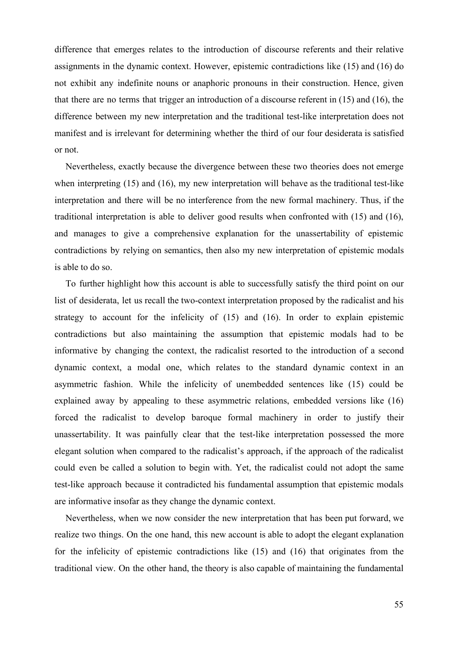difference that emerges relates to the introduction of discourse referents and their relative assignments in the dynamic context. However, epistemic contradictions like (15) and (16) do not exhibit any indefinite nouns or anaphoric pronouns in their construction. Hence, given that there are no terms that trigger an introduction of a discourse referent in (15) and (16), the difference between my new interpretation and the traditional test-like interpretation does not manifest and is irrelevant for determining whether the third of our four desiderata is satisfied or not.

Nevertheless, exactly because the divergence between these two theories does not emerge when interpreting (15) and (16), my new interpretation will behave as the traditional test-like interpretation and there will be no interference from the new formal machinery. Thus, if the traditional interpretation is able to deliver good results when confronted with (15) and (16), and manages to give a comprehensive explanation for the unassertability of epistemic contradictions by relying on semantics, then also my new interpretation of epistemic modals is able to do so.

To further highlight how this account is able to successfully satisfy the third point on our list of desiderata, let us recall the two-context interpretation proposed by the radicalist and his strategy to account for the infelicity of (15) and (16). In order to explain epistemic contradictions but also maintaining the assumption that epistemic modals had to be informative by changing the context, the radicalist resorted to the introduction of a second dynamic context, a modal one, which relates to the standard dynamic context in an asymmetric fashion. While the infelicity of unembedded sentences like (15) could be explained away by appealing to these asymmetric relations, embedded versions like (16) forced the radicalist to develop baroque formal machinery in order to justify their unassertability. It was painfully clear that the test-like interpretation possessed the more elegant solution when compared to the radicalist's approach, if the approach of the radicalist could even be called a solution to begin with. Yet, the radicalist could not adopt the same test-like approach because it contradicted his fundamental assumption that epistemic modals are informative insofar as they change the dynamic context.

Nevertheless, when we now consider the new interpretation that has been put forward, we realize two things. On the one hand, this new account is able to adopt the elegant explanation for the infelicity of epistemic contradictions like (15) and (16) that originates from the traditional view. On the other hand, the theory is also capable of maintaining the fundamental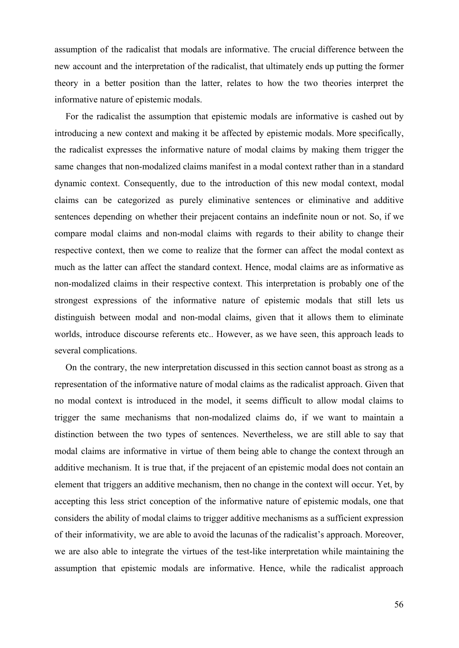assumption of the radicalist that modals are informative. The crucial difference between the new account and the interpretation of the radicalist, that ultimately ends up putting the former theory in a better position than the latter, relates to how the two theories interpret the informative nature of epistemic modals.

For the radicalist the assumption that epistemic modals are informative is cashed out by introducing a new context and making it be affected by epistemic modals. More specifically, the radicalist expresses the informative nature of modal claims by making them trigger the same changes that non-modalized claims manifest in a modal context rather than in a standard dynamic context. Consequently, due to the introduction of this new modal context, modal claims can be categorized as purely eliminative sentences or eliminative and additive sentences depending on whether their prejacent contains an indefinite noun or not. So, if we compare modal claims and non-modal claims with regards to their ability to change their respective context, then we come to realize that the former can affect the modal context as much as the latter can affect the standard context. Hence, modal claims are as informative as non-modalized claims in their respective context. This interpretation is probably one of the strongest expressions of the informative nature of epistemic modals that still lets us distinguish between modal and non-modal claims, given that it allows them to eliminate worlds, introduce discourse referents etc.. However, as we have seen, this approach leads to several complications.

On the contrary, the new interpretation discussed in this section cannot boast as strong as a representation of the informative nature of modal claims as the radicalist approach. Given that no modal context is introduced in the model, it seems difficult to allow modal claims to trigger the same mechanisms that non-modalized claims do, if we want to maintain a distinction between the two types of sentences. Nevertheless, we are still able to say that modal claims are informative in virtue of them being able to change the context through an additive mechanism. It is true that, if the prejacent of an epistemic modal does not contain an element that triggers an additive mechanism, then no change in the context will occur. Yet, by accepting this less strict conception of the informative nature of epistemic modals, one that considers the ability of modal claims to trigger additive mechanisms as a sufficient expression of their informativity, we are able to avoid the lacunas of the radicalist's approach. Moreover, we are also able to integrate the virtues of the test-like interpretation while maintaining the assumption that epistemic modals are informative. Hence, while the radicalist approach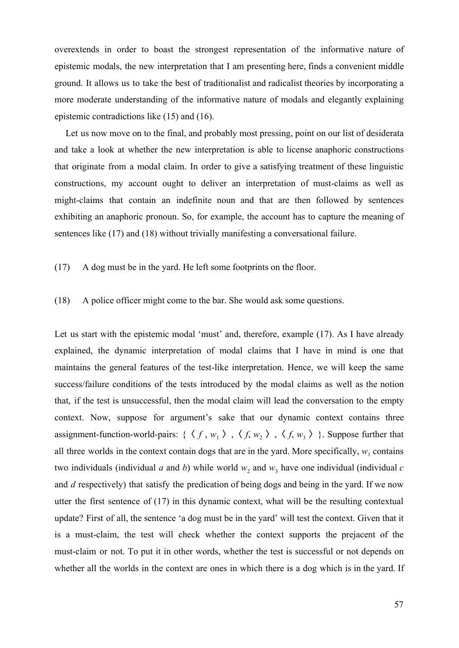overextends in order to boast the strongest representation of the informative nature of epistemic modals, the new interpretation that I am presenting here, finds a convenient middle ground. It allows us to take the best of traditionalist and radicalist theories by incorporating a more moderate understanding of the informative nature of modals and elegantly explaining epistemic contradictions like (15) and (16).

Let us now move on to the final, and probably most pressing, point on our list of desiderata and take a look at whether the new interpretation is able to license anaphoric constructions that originate from a modal claim. In order to give a satisfying treatment of these linguistic constructions, my account ought to deliver an interpretation of must-claims as well as might-claims that contain an indefinite noun and that are then followed by sentences exhibiting an anaphoric pronoun. So, for example, the account has to capture the meaning of sentences like (17) and (18) without trivially manifesting a conversational failure.

(17) A dog must be in the yard. He left some footprints on the floor.

(18) A police officer might come to the bar. She would ask some questions.

Let us start with the epistemic modal 'must' and, therefore, example (17). As I have already explained, the dynamic interpretation of modal claims that I have in mind is one that maintains the general features of the test-like interpretation. Hence, we will keep the same success/failure conditions of the tests introduced by the modal claims as well as the notion that, if the test is unsuccessful, then the modal claim will lead the conversation to the empty context. Now, suppose for argument's sake that our dynamic context contains three assignment-function-world-pairs: {  $\langle f, w_1 \rangle$ ,  $\langle f, w_2 \rangle$ ,  $\langle f, w_3 \rangle$ }. Suppose further that all three worlds in the context contain dogs that are in the yard. More specifically,  $w_1$  contains two individuals (individual *a* and *b*) while world  $w_2$  and  $w_3$  have one individual (individual *c* and *d* respectively) that satisfy the predication of being dogs and being in the yard. If we now utter the first sentence of (17) in this dynamic context, what will be the resulting contextual update? First of all, the sentence 'a dog must be in the yard' will test the context. Given that it is a must-claim, the test will check whether the context supports the prejacent of the must-claim or not. To put it in other words, whether the test is successful or not depends on whether all the worlds in the context are ones in which there is a dog which is in the yard. If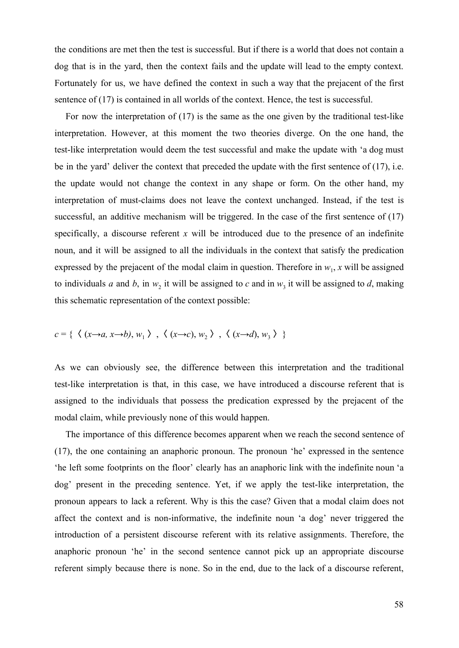the conditions are met then the test is successful. But if there is a world that does not contain a dog that is in the yard, then the context fails and the update will lead to the empty context. Fortunately for us, we have defined the context in such a way that the prejacent of the first sentence of (17) is contained in all worlds of the context. Hence, the test is successful.

For now the interpretation of (17) is the same as the one given by the traditional test-like interpretation. However, at this moment the two theories diverge. On the one hand, the test-like interpretation would deem the test successful and make the update with 'a dog must be in the yard' deliver the context that preceded the update with the first sentence of (17), i.e. the update would not change the context in any shape or form. On the other hand, my interpretation of must-claims does not leave the context unchanged. Instead, if the test is successful, an additive mechanism will be triggered. In the case of the first sentence of (17) specifically, a discourse referent  $x$  will be introduced due to the presence of an indefinite noun, and it will be assigned to all the individuals in the context that satisfy the predication expressed by the prejacent of the modal claim in question. Therefore in  $w_1$ , x will be assigned to individuals *a* and *b*, in  $w_2$  it will be assigned to *c* and in  $w_3$  it will be assigned to *d*, making this schematic representation of the context possible:

$$
c = \{ \langle (x \rightarrow a, x \rightarrow b), w_1 \rangle , \langle (x \rightarrow c), w_2 \rangle , \langle (x \rightarrow d), w_3 \rangle \}
$$

As we can obviously see, the difference between this interpretation and the traditional test-like interpretation is that, in this case, we have introduced a discourse referent that is assigned to the individuals that possess the predication expressed by the prejacent of the modal claim, while previously none of this would happen.

The importance of this difference becomes apparent when we reach the second sentence of (17), the one containing an anaphoric pronoun. The pronoun 'he' expressed in the sentence 'he left some footprints on the floor' clearly has an anaphoric link with the indefinite noun 'a dog' present in the preceding sentence. Yet, if we apply the test-like interpretation, the pronoun appears to lack a referent. Why is this the case? Given that a modal claim does not affect the context and is non-informative, the indefinite noun 'a dog' never triggered the introduction of a persistent discourse referent with its relative assignments. Therefore, the anaphoric pronoun 'he' in the second sentence cannot pick up an appropriate discourse referent simply because there is none. So in the end, due to the lack of a discourse referent,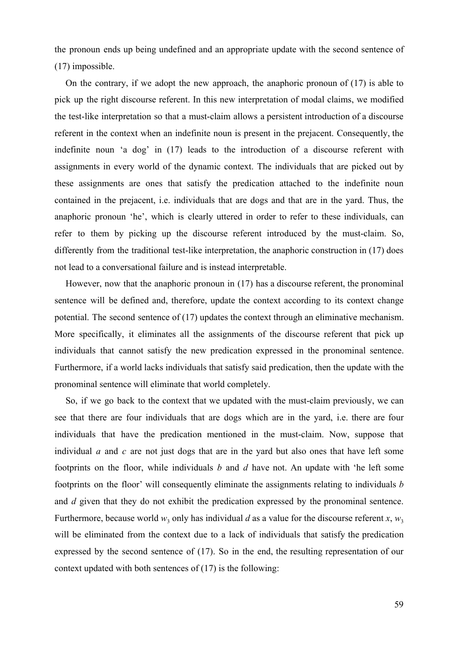the pronoun ends up being undefined and an appropriate update with the second sentence of (17) impossible.

On the contrary, if we adopt the new approach, the anaphoric pronoun of (17) is able to pick up the right discourse referent. In this new interpretation of modal claims, we modified the test-like interpretation so that a must-claim allows a persistent introduction of a discourse referent in the context when an indefinite noun is present in the prejacent. Consequently, the indefinite noun 'a dog' in (17) leads to the introduction of a discourse referent with assignments in every world of the dynamic context. The individuals that are picked out by these assignments are ones that satisfy the predication attached to the indefinite noun contained in the prejacent, i.e. individuals that are dogs and that are in the yard. Thus, the anaphoric pronoun 'he', which is clearly uttered in order to refer to these individuals, can refer to them by picking up the discourse referent introduced by the must-claim. So, differently from the traditional test-like interpretation, the anaphoric construction in (17) does not lead to a conversational failure and is instead interpretable.

However, now that the anaphoric pronoun in (17) has a discourse referent, the pronominal sentence will be defined and, therefore, update the context according to its context change potential. The second sentence of (17) updates the context through an eliminative mechanism. More specifically, it eliminates all the assignments of the discourse referent that pick up individuals that cannot satisfy the new predication expressed in the pronominal sentence. Furthermore, if a world lacks individuals that satisfy said predication, then the update with the pronominal sentence will eliminate that world completely.

So, if we go back to the context that we updated with the must-claim previously, we can see that there are four individuals that are dogs which are in the yard, i.e. there are four individuals that have the predication mentioned in the must-claim. Now, suppose that individual *a* and *c* are not just dogs that are in the yard but also ones that have left some footprints on the floor, while individuals *b* and *d* have not. An update with 'he left some footprints on the floor' will consequently eliminate the assignments relating to individuals *b* and *d* given that they do not exhibit the predication expressed by the pronominal sentence. Furthermore, because world  $w_3$  only has individual *d* as a value for the discourse referent *x*,  $w_3$ will be eliminated from the context due to a lack of individuals that satisfy the predication expressed by the second sentence of (17). So in the end, the resulting representation of our context updated with both sentences of (17) is the following: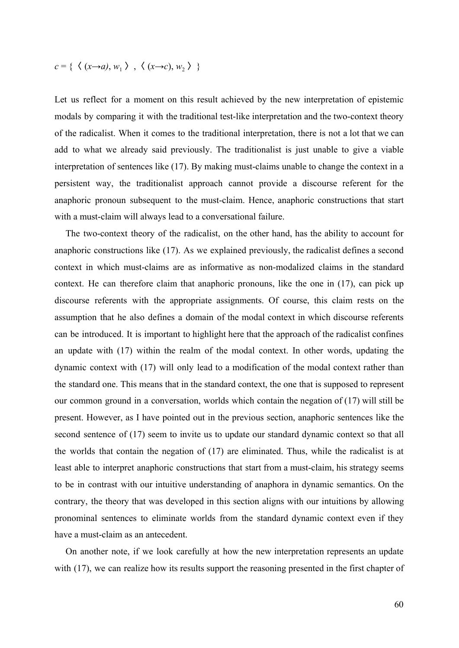$$
c = \{ \langle (x \rightarrow a), w_1 \rangle , \langle (x \rightarrow c), w_2 \rangle \}
$$

Let us reflect for a moment on this result achieved by the new interpretation of epistemic modals by comparing it with the traditional test-like interpretation and the two-context theory of the radicalist. When it comes to the traditional interpretation, there is not a lot that we can add to what we already said previously. The traditionalist is just unable to give a viable interpretation of sentences like (17). By making must-claims unable to change the context in a persistent way, the traditionalist approach cannot provide a discourse referent for the anaphoric pronoun subsequent to the must-claim. Hence, anaphoric constructions that start with a must-claim will always lead to a conversational failure.

The two-context theory of the radicalist, on the other hand, has the ability to account for anaphoric constructions like (17). As we explained previously, the radicalist defines a second context in which must-claims are as informative as non-modalized claims in the standard context. He can therefore claim that anaphoric pronouns, like the one in (17), can pick up discourse referents with the appropriate assignments. Of course, this claim rests on the assumption that he also defines a domain of the modal context in which discourse referents can be introduced. It is important to highlight here that the approach of the radicalist confines an update with (17) within the realm of the modal context. In other words, updating the dynamic context with (17) will only lead to a modification of the modal context rather than the standard one. This means that in the standard context, the one that is supposed to represent our common ground in a conversation, worlds which contain the negation of (17) will still be present. However, as I have pointed out in the previous section, anaphoric sentences like the second sentence of (17) seem to invite us to update our standard dynamic context so that all the worlds that contain the negation of (17) are eliminated. Thus, while the radicalist is at least able to interpret anaphoric constructions that start from a must-claim, his strategy seems to be in contrast with our intuitive understanding of anaphora in dynamic semantics. On the contrary, the theory that was developed in this section aligns with our intuitions by allowing pronominal sentences to eliminate worlds from the standard dynamic context even if they have a must-claim as an antecedent.

On another note, if we look carefully at how the new interpretation represents an update with (17), we can realize how its results support the reasoning presented in the first chapter of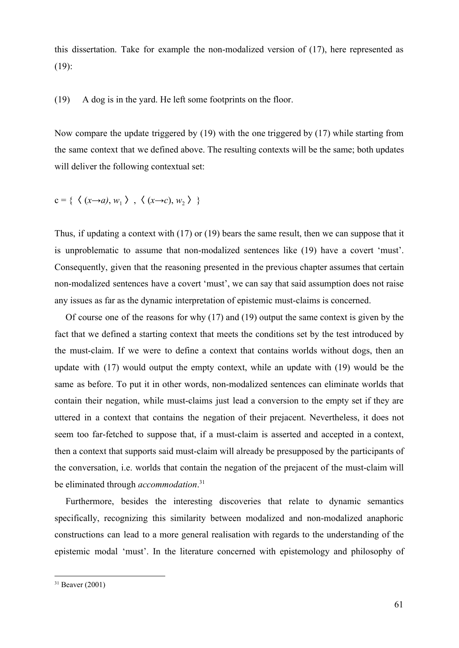this dissertation. Take for example the non-modalized version of (17), here represented as (19):

(19) A dog is in the yard. He left some footprints on the floor.

Now compare the update triggered by (19) with the one triggered by (17) while starting from the same context that we defined above. The resulting contexts will be the same; both updates will deliver the following contextual set:

$$
c = \{ \langle (x \rightarrow a), w_1 \rangle , \langle (x \rightarrow c), w_2 \rangle \}
$$

Thus, if updating a context with (17) or (19) bears the same result, then we can suppose that it is unproblematic to assume that non-modalized sentences like (19) have a covert 'must'. Consequently, given that the reasoning presented in the previous chapter assumes that certain non-modalized sentences have a covert 'must', we can say that said assumption does not raise any issues as far as the dynamic interpretation of epistemic must-claims is concerned.

Of course one of the reasons for why (17) and (19) output the same context is given by the fact that we defined a starting context that meets the conditions set by the test introduced by the must-claim. If we were to define a context that contains worlds without dogs, then an update with (17) would output the empty context, while an update with (19) would be the same as before. To put it in other words, non-modalized sentences can eliminate worlds that contain their negation, while must-claims just lead a conversion to the empty set if they are uttered in a context that contains the negation of their prejacent. Nevertheless, it does not seem too far-fetched to suppose that, if a must-claim is asserted and accepted in a context, then a context that supports said must-claim will already be presupposed by the participants of the conversation, i.e. worlds that contain the negation of the prejacent of the must-claim will be eliminated through *accommodation*. 31

Furthermore, besides the interesting discoveries that relate to dynamic semantics specifically, recognizing this similarity between modalized and non-modalized anaphoric constructions can lead to a more general realisation with regards to the understanding of the epistemic modal 'must'. In the literature concerned with epistemology and philosophy of

 $31$  Beaver (2001)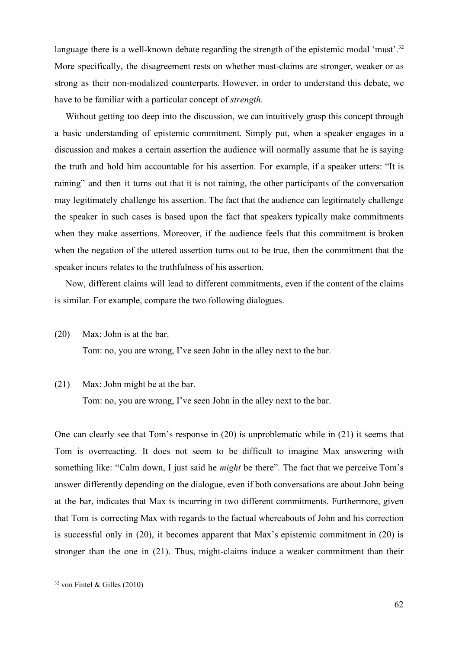language there is a well-known debate regarding the strength of the epistemic modal 'must'.<sup>32</sup> More specifically, the disagreement rests on whether must-claims are stronger, weaker or as strong as their non-modalized counterparts. However, in order to understand this debate, we have to be familiar with a particular concept of *strength*.

Without getting too deep into the discussion, we can intuitively grasp this concept through a basic understanding of epistemic commitment. Simply put, when a speaker engages in a discussion and makes a certain assertion the audience will normally assume that he is saying the truth and hold him accountable for his assertion. For example, if a speaker utters: "It is raining" and then it turns out that it is not raining, the other participants of the conversation may legitimately challenge his assertion. The fact that the audience can legitimately challenge the speaker in such cases is based upon the fact that speakers typically make commitments when they make assertions. Moreover, if the audience feels that this commitment is broken when the negation of the uttered assertion turns out to be true, then the commitment that the speaker incurs relates to the truthfulness of his assertion.

Now, different claims will lead to different commitments, even if the content of the claims is similar. For example, compare the two following dialogues.

(20) Max: John is at the bar.

Tom: no, you are wrong, I've seen John in the alley next to the bar.

#### (21) Max: John might be at the bar.

Tom: no, you are wrong, I've seen John in the alley next to the bar.

One can clearly see that Tom's response in (20) is unproblematic while in (21) it seems that Tom is overreacting. It does not seem to be difficult to imagine Max answering with something like: "Calm down, I just said he *might* be there". The fact that we perceive Tom's answer differently depending on the dialogue, even if both conversations are about John being at the bar, indicates that Max is incurring in two different commitments. Furthermore, given that Tom is correcting Max with regards to the factual whereabouts of John and his correction is successful only in (20), it becomes apparent that Max's epistemic commitment in (20) is stronger than the one in (21). Thus, might-claims induce a weaker commitment than their

 $32$  von Fintel & Gilles (2010)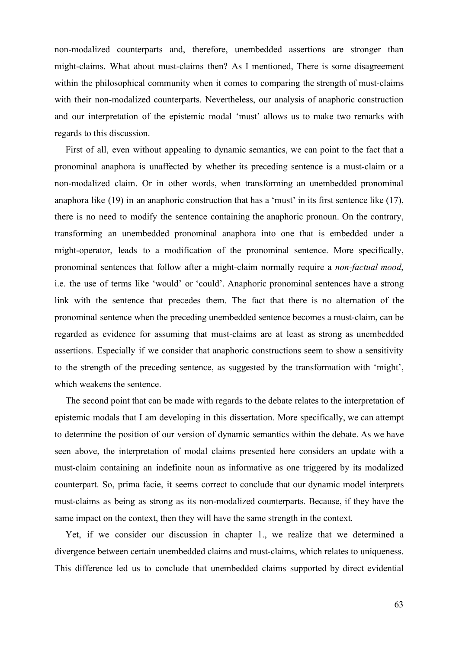non-modalized counterparts and, therefore, unembedded assertions are stronger than might-claims. What about must-claims then? As I mentioned, There is some disagreement within the philosophical community when it comes to comparing the strength of must-claims with their non-modalized counterparts. Nevertheless, our analysis of anaphoric construction and our interpretation of the epistemic modal 'must' allows us to make two remarks with regards to this discussion.

First of all, even without appealing to dynamic semantics, we can point to the fact that a pronominal anaphora is unaffected by whether its preceding sentence is a must-claim or a non-modalized claim. Or in other words, when transforming an unembedded pronominal anaphora like (19) in an anaphoric construction that has a 'must' in its first sentence like (17), there is no need to modify the sentence containing the anaphoric pronoun. On the contrary, transforming an unembedded pronominal anaphora into one that is embedded under a might-operator, leads to a modification of the pronominal sentence. More specifically, pronominal sentences that follow after a might-claim normally require a *non-factual mood*, i.e. the use of terms like 'would' or 'could'. Anaphoric pronominal sentences have a strong link with the sentence that precedes them. The fact that there is no alternation of the pronominal sentence when the preceding unembedded sentence becomes a must-claim, can be regarded as evidence for assuming that must-claims are at least as strong as unembedded assertions. Especially if we consider that anaphoric constructions seem to show a sensitivity to the strength of the preceding sentence, as suggested by the transformation with 'might', which weakens the sentence.

The second point that can be made with regards to the debate relates to the interpretation of epistemic modals that I am developing in this dissertation. More specifically, we can attempt to determine the position of our version of dynamic semantics within the debate. As we have seen above, the interpretation of modal claims presented here considers an update with a must-claim containing an indefinite noun as informative as one triggered by its modalized counterpart. So, prima facie, it seems correct to conclude that our dynamic model interprets must-claims as being as strong as its non-modalized counterparts. Because, if they have the same impact on the context, then they will have the same strength in the context.

Yet, if we consider our discussion in chapter 1., we realize that we determined a divergence between certain unembedded claims and must-claims, which relates to uniqueness. This difference led us to conclude that unembedded claims supported by direct evidential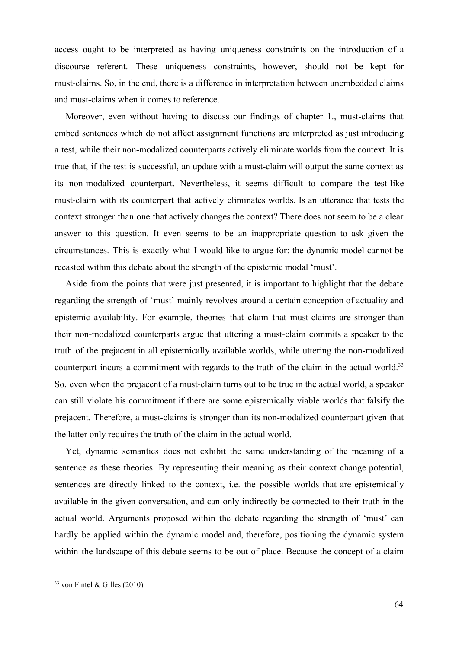access ought to be interpreted as having uniqueness constraints on the introduction of a discourse referent. These uniqueness constraints, however, should not be kept for must-claims. So, in the end, there is a difference in interpretation between unembedded claims and must-claims when it comes to reference.

Moreover, even without having to discuss our findings of chapter 1., must-claims that embed sentences which do not affect assignment functions are interpreted as just introducing a test, while their non-modalized counterparts actively eliminate worlds from the context. It is true that, if the test is successful, an update with a must-claim will output the same context as its non-modalized counterpart. Nevertheless, it seems difficult to compare the test-like must-claim with its counterpart that actively eliminates worlds. Is an utterance that tests the context stronger than one that actively changes the context? There does not seem to be a clear answer to this question. It even seems to be an inappropriate question to ask given the circumstances. This is exactly what I would like to argue for: the dynamic model cannot be recasted within this debate about the strength of the epistemic modal 'must'.

Aside from the points that were just presented, it is important to highlight that the debate regarding the strength of 'must' mainly revolves around a certain conception of actuality and epistemic availability. For example, theories that claim that must-claims are stronger than their non-modalized counterparts argue that uttering a must-claim commits a speaker to the truth of the prejacent in all epistemically available worlds, while uttering the non-modalized counterpart incurs a commitment with regards to the truth of the claim in the actual world.<sup>33</sup> So, even when the prejacent of a must-claim turns out to be true in the actual world, a speaker can still violate his commitment if there are some epistemically viable worlds that falsify the prejacent. Therefore, a must-claims is stronger than its non-modalized counterpart given that the latter only requires the truth of the claim in the actual world.

Yet, dynamic semantics does not exhibit the same understanding of the meaning of a sentence as these theories. By representing their meaning as their context change potential, sentences are directly linked to the context, i.e. the possible worlds that are epistemically available in the given conversation, and can only indirectly be connected to their truth in the actual world. Arguments proposed within the debate regarding the strength of 'must' can hardly be applied within the dynamic model and, therefore, positioning the dynamic system within the landscape of this debate seems to be out of place. Because the concept of a claim

 $33$  von Fintel & Gilles (2010)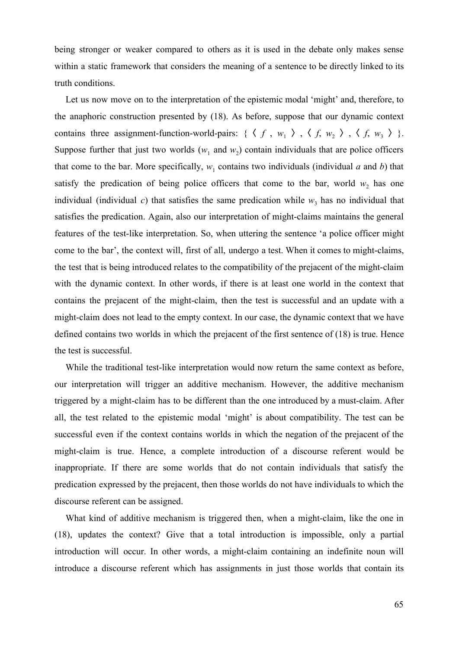being stronger or weaker compared to others as it is used in the debate only makes sense within a static framework that considers the meaning of a sentence to be directly linked to its truth conditions.

Let us now move on to the interpretation of the epistemic modal 'might' and, therefore, to the anaphoric construction presented by (18). As before, suppose that our dynamic context contains three assignment-function-world-pairs: {  $\langle f, w_1 \rangle$ ,  $\langle f, w_2 \rangle$ ,  $\langle f, w_3 \rangle$  }. Suppose further that just two worlds  $(w_1$  and  $w_2)$  contain individuals that are police officers that come to the bar. More specifically,  $w_1$  contains two individuals (individual *a* and *b*) that satisfy the predication of being police officers that come to the bar, world  $w_2$  has one individual (individual *c*) that satisfies the same predication while  $w_3$  has no individual that satisfies the predication. Again, also our interpretation of might-claims maintains the general features of the test-like interpretation. So, when uttering the sentence 'a police officer might come to the bar', the context will, first of all, undergo a test. When it comes to might-claims, the test that is being introduced relates to the compatibility of the prejacent of the might-claim with the dynamic context. In other words, if there is at least one world in the context that contains the prejacent of the might-claim, then the test is successful and an update with a might-claim does not lead to the empty context. In our case, the dynamic context that we have defined contains two worlds in which the prejacent of the first sentence of (18) is true. Hence the test is successful.

While the traditional test-like interpretation would now return the same context as before, our interpretation will trigger an additive mechanism. However, the additive mechanism triggered by a might-claim has to be different than the one introduced by a must-claim. After all, the test related to the epistemic modal 'might' is about compatibility. The test can be successful even if the context contains worlds in which the negation of the prejacent of the might-claim is true. Hence, a complete introduction of a discourse referent would be inappropriate. If there are some worlds that do not contain individuals that satisfy the predication expressed by the prejacent, then those worlds do not have individuals to which the discourse referent can be assigned.

What kind of additive mechanism is triggered then, when a might-claim, like the one in (18), updates the context? Give that a total introduction is impossible, only a partial introduction will occur. In other words, a might-claim containing an indefinite noun will introduce a discourse referent which has assignments in just those worlds that contain its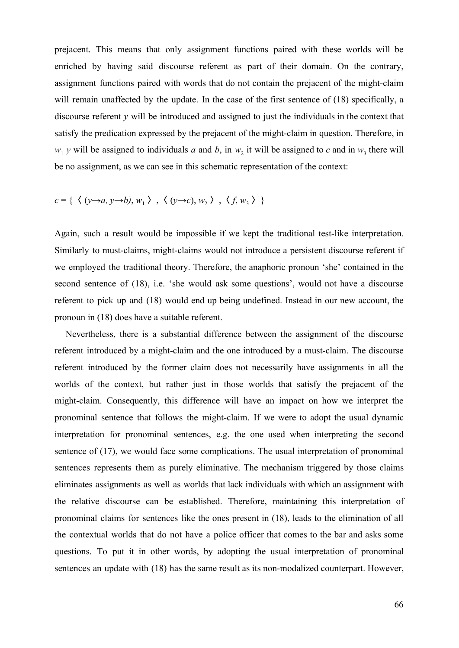prejacent. This means that only assignment functions paired with these worlds will be enriched by having said discourse referent as part of their domain. On the contrary, assignment functions paired with words that do not contain the prejacent of the might-claim will remain unaffected by the update. In the case of the first sentence of (18) specifically, a discourse referent *y* will be introduced and assigned to just the individuals in the context that satisfy the predication expressed by the prejacent of the might-claim in question. Therefore, in  $w_1$  *y* will be assigned to individuals *a* and *b*, in  $w_2$  it will be assigned to *c* and in  $w_3$  there will be no assignment, as we can see in this schematic representation of the context:

$$
c = \{ \langle (y \rightarrow a, y \rightarrow b), w_1 \rangle , \langle (y \rightarrow c), w_2 \rangle , \langle f, w_3 \rangle \}
$$

Again, such a result would be impossible if we kept the traditional test-like interpretation. Similarly to must-claims, might-claims would not introduce a persistent discourse referent if we employed the traditional theory. Therefore, the anaphoric pronoun 'she' contained in the second sentence of (18), i.e. 'she would ask some questions', would not have a discourse referent to pick up and (18) would end up being undefined. Instead in our new account, the pronoun in (18) does have a suitable referent.

Nevertheless, there is a substantial difference between the assignment of the discourse referent introduced by a might-claim and the one introduced by a must-claim. The discourse referent introduced by the former claim does not necessarily have assignments in all the worlds of the context, but rather just in those worlds that satisfy the prejacent of the might-claim. Consequently, this difference will have an impact on how we interpret the pronominal sentence that follows the might-claim. If we were to adopt the usual dynamic interpretation for pronominal sentences, e.g. the one used when interpreting the second sentence of (17), we would face some complications. The usual interpretation of pronominal sentences represents them as purely eliminative. The mechanism triggered by those claims eliminates assignments as well as worlds that lack individuals with which an assignment with the relative discourse can be established. Therefore, maintaining this interpretation of pronominal claims for sentences like the ones present in (18), leads to the elimination of all the contextual worlds that do not have a police officer that comes to the bar and asks some questions. To put it in other words, by adopting the usual interpretation of pronominal sentences an update with (18) has the same result as its non-modalized counterpart. However,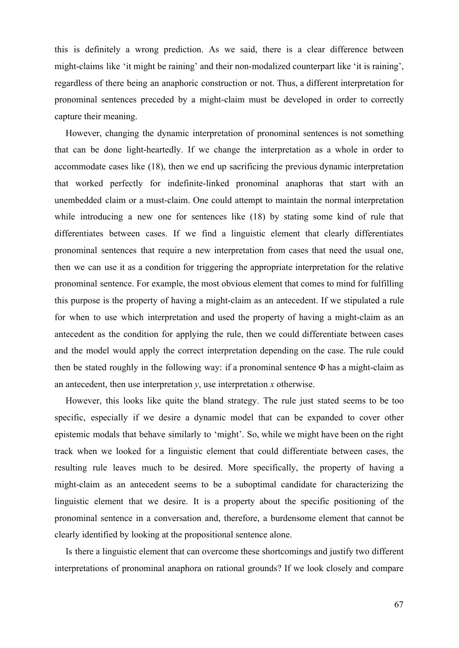this is definitely a wrong prediction. As we said, there is a clear difference between might-claims like 'it might be raining' and their non-modalized counterpart like 'it is raining', regardless of there being an anaphoric construction or not. Thus, a different interpretation for pronominal sentences preceded by a might-claim must be developed in order to correctly capture their meaning.

However, changing the dynamic interpretation of pronominal sentences is not something that can be done light-heartedly. If we change the interpretation as a whole in order to accommodate cases like (18), then we end up sacrificing the previous dynamic interpretation that worked perfectly for indefinite-linked pronominal anaphoras that start with an unembedded claim or a must-claim. One could attempt to maintain the normal interpretation while introducing a new one for sentences like (18) by stating some kind of rule that differentiates between cases. If we find a linguistic element that clearly differentiates pronominal sentences that require a new interpretation from cases that need the usual one, then we can use it as a condition for triggering the appropriate interpretation for the relative pronominal sentence. For example, the most obvious element that comes to mind for fulfilling this purpose is the property of having a might-claim as an antecedent. If we stipulated a rule for when to use which interpretation and used the property of having a might-claim as an antecedent as the condition for applying the rule, then we could differentiate between cases and the model would apply the correct interpretation depending on the case. The rule could then be stated roughly in the following way: if a pronominal sentence  $\Phi$  has a might-claim as an antecedent, then use interpretation *y*, use interpretation *x* otherwise.

However, this looks like quite the bland strategy. The rule just stated seems to be too specific, especially if we desire a dynamic model that can be expanded to cover other epistemic modals that behave similarly to 'might'. So, while we might have been on the right track when we looked for a linguistic element that could differentiate between cases, the resulting rule leaves much to be desired. More specifically, the property of having a might-claim as an antecedent seems to be a suboptimal candidate for characterizing the linguistic element that we desire. It is a property about the specific positioning of the pronominal sentence in a conversation and, therefore, a burdensome element that cannot be clearly identified by looking at the propositional sentence alone.

Is there a linguistic element that can overcome these shortcomings and justify two different interpretations of pronominal anaphora on rational grounds? If we look closely and compare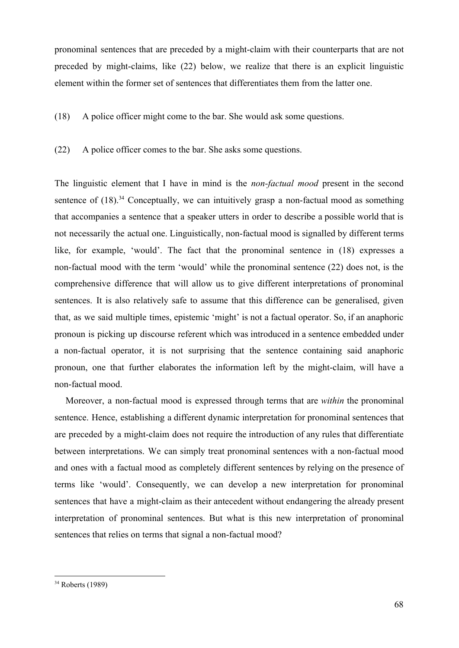pronominal sentences that are preceded by a might-claim with their counterparts that are not preceded by might-claims, like (22) below, we realize that there is an explicit linguistic element within the former set of sentences that differentiates them from the latter one.

(18) A police officer might come to the bar. She would ask some questions.

(22) A police officer comes to the bar. She asks some questions.

The linguistic element that I have in mind is the *non-factual mood* present in the second sentence of  $(18)$ .<sup>34</sup> Conceptually, we can intuitively grasp a non-factual mood as something that accompanies a sentence that a speaker utters in order to describe a possible world that is not necessarily the actual one. Linguistically, non-factual mood is signalled by different terms like, for example, 'would'. The fact that the pronominal sentence in (18) expresses a non-factual mood with the term 'would' while the pronominal sentence (22) does not, is the comprehensive difference that will allow us to give different interpretations of pronominal sentences. It is also relatively safe to assume that this difference can be generalised, given that, as we said multiple times, epistemic 'might' is not a factual operator. So, if an anaphoric pronoun is picking up discourse referent which was introduced in a sentence embedded under a non-factual operator, it is not surprising that the sentence containing said anaphoric pronoun, one that further elaborates the information left by the might-claim, will have a non-factual mood.

Moreover, a non-factual mood is expressed through terms that are *within* the pronominal sentence. Hence, establishing a different dynamic interpretation for pronominal sentences that are preceded by a might-claim does not require the introduction of any rules that differentiate between interpretations. We can simply treat pronominal sentences with a non-factual mood and ones with a factual mood as completely different sentences by relying on the presence of terms like 'would'. Consequently, we can develop a new interpretation for pronominal sentences that have a might-claim as their antecedent without endangering the already present interpretation of pronominal sentences. But what is this new interpretation of pronominal sentences that relies on terms that signal a non-factual mood?

<sup>34</sup> Roberts (1989)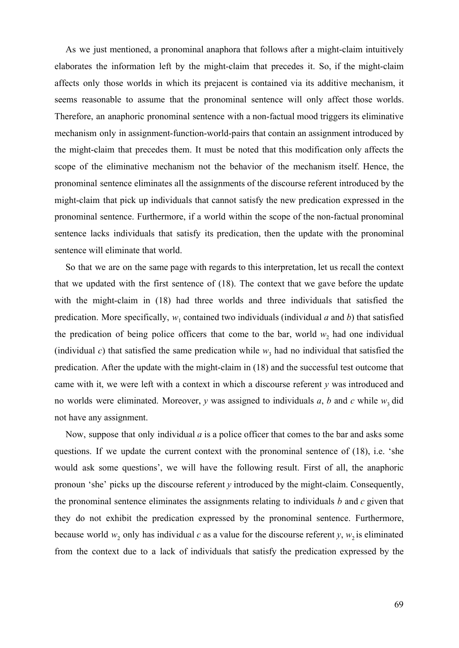As we just mentioned, a pronominal anaphora that follows after a might-claim intuitively elaborates the information left by the might-claim that precedes it. So, if the might-claim affects only those worlds in which its prejacent is contained via its additive mechanism, it seems reasonable to assume that the pronominal sentence will only affect those worlds. Therefore, an anaphoric pronominal sentence with a non-factual mood triggers its eliminative mechanism only in assignment-function-world-pairs that contain an assignment introduced by the might-claim that precedes them. It must be noted that this modification only affects the scope of the eliminative mechanism not the behavior of the mechanism itself. Hence, the pronominal sentence eliminates all the assignments of the discourse referent introduced by the might-claim that pick up individuals that cannot satisfy the new predication expressed in the pronominal sentence. Furthermore, if a world within the scope of the non-factual pronominal sentence lacks individuals that satisfy its predication, then the update with the pronominal sentence will eliminate that world.

So that we are on the same page with regards to this interpretation, let us recall the context that we updated with the first sentence of (18). The context that we gave before the update with the might-claim in (18) had three worlds and three individuals that satisfied the predication. More specifically,  $w_1$  contained two individuals (individual *a* and *b*) that satisfied the predication of being police officers that come to the bar, world  $w_2$  had one individual (individual *c*) that satisfied the same predication while  $w_3$  had no individual that satisfied the predication. After the update with the might-claim in (18) and the successful test outcome that came with it, we were left with a context in which a discourse referent *y* was introduced and no worlds were eliminated. Moreover,  $y$  was assigned to individuals  $a$ ,  $b$  and  $c$  while  $w_3$  did not have any assignment.

Now, suppose that only individual *a* is a police officer that comes to the bar and asks some questions. If we update the current context with the pronominal sentence of (18), i.e. 'she would ask some questions', we will have the following result. First of all, the anaphoric pronoun 'she' picks up the discourse referent *y* introduced by the might-claim. Consequently, the pronominal sentence eliminates the assignments relating to individuals *b* and *c* given that they do not exhibit the predication expressed by the pronominal sentence. Furthermore, because world  $w_2$  only has individual *c* as a value for the discourse referent *y*,  $w_2$  is eliminated from the context due to a lack of individuals that satisfy the predication expressed by the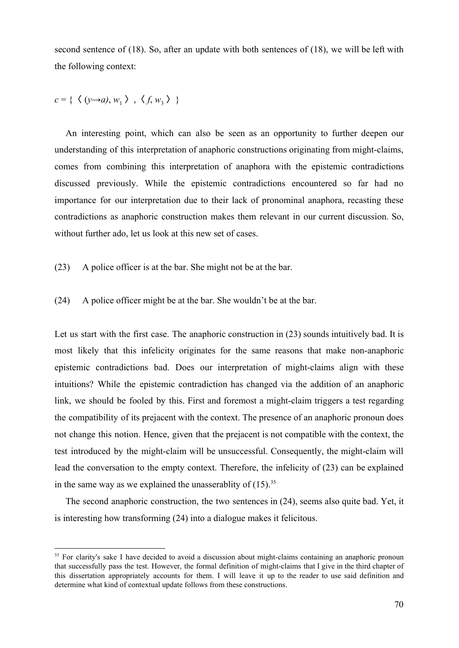second sentence of (18). So, after an update with both sentences of (18), we will be left with the following context:

$$
c = \{ \langle (y \rightarrow a), w_1 \rangle, \langle f, w_3 \rangle \}
$$

An interesting point, which can also be seen as an opportunity to further deepen our understanding of this interpretation of anaphoric constructions originating from might-claims, comes from combining this interpretation of anaphora with the epistemic contradictions discussed previously. While the epistemic contradictions encountered so far had no importance for our interpretation due to their lack of pronominal anaphora, recasting these contradictions as anaphoric construction makes them relevant in our current discussion. So, without further ado, let us look at this new set of cases.

- (23) A police officer is at the bar. She might not be at the bar.
- (24) A police officer might be at the bar. She wouldn't be at the bar.

Let us start with the first case. The anaphoric construction in (23) sounds intuitively bad. It is most likely that this infelicity originates for the same reasons that make non-anaphoric epistemic contradictions bad. Does our interpretation of might-claims align with these intuitions? While the epistemic contradiction has changed via the addition of an anaphoric link, we should be fooled by this. First and foremost a might-claim triggers a test regarding the compatibility of its prejacent with the context. The presence of an anaphoric pronoun does not change this notion. Hence, given that the prejacent is not compatible with the context, the test introduced by the might-claim will be unsuccessful. Consequently, the might-claim will lead the conversation to the empty context. Therefore, the infelicity of (23) can be explained in the same way as we explained the unasserablity of  $(15)^{35}$ 

The second anaphoric construction, the two sentences in (24), seems also quite bad. Yet, it is interesting how transforming (24) into a dialogue makes it felicitous.

<sup>&</sup>lt;sup>35</sup> For clarity's sake I have decided to avoid a discussion about might-claims containing an anaphoric pronoun that successfully pass the test. However, the formal definition of might-claims that I give in the third chapter of this dissertation appropriately accounts for them. I will leave it up to the reader to use said definition and determine what kind of contextual update follows from these constructions.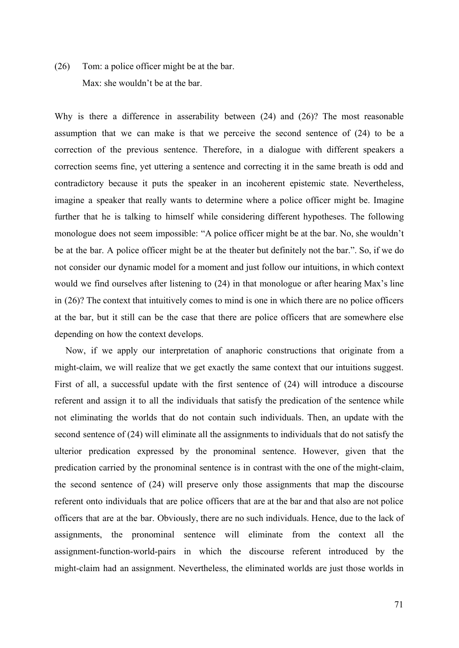# (26) Tom: a police officer might be at the bar. Max: she wouldn't be at the bar.

Why is there a difference in asserability between (24) and (26)? The most reasonable assumption that we can make is that we perceive the second sentence of (24) to be a correction of the previous sentence. Therefore, in a dialogue with different speakers a correction seems fine, yet uttering a sentence and correcting it in the same breath is odd and contradictory because it puts the speaker in an incoherent epistemic state. Nevertheless, imagine a speaker that really wants to determine where a police officer might be. Imagine further that he is talking to himself while considering different hypotheses. The following monologue does not seem impossible: "A police officer might be at the bar. No, she wouldn't be at the bar. A police officer might be at the theater but definitely not the bar.". So, if we do not consider our dynamic model for a moment and just follow our intuitions, in which context would we find ourselves after listening to (24) in that monologue or after hearing Max's line in (26)? The context that intuitively comes to mind is one in which there are no police officers at the bar, but it still can be the case that there are police officers that are somewhere else depending on how the context develops.

Now, if we apply our interpretation of anaphoric constructions that originate from a might-claim, we will realize that we get exactly the same context that our intuitions suggest. First of all, a successful update with the first sentence of (24) will introduce a discourse referent and assign it to all the individuals that satisfy the predication of the sentence while not eliminating the worlds that do not contain such individuals. Then, an update with the second sentence of (24) will eliminate all the assignments to individuals that do not satisfy the ulterior predication expressed by the pronominal sentence. However, given that the predication carried by the pronominal sentence is in contrast with the one of the might-claim, the second sentence of (24) will preserve only those assignments that map the discourse referent onto individuals that are police officers that are at the bar and that also are not police officers that are at the bar. Obviously, there are no such individuals. Hence, due to the lack of assignments, the pronominal sentence will eliminate from the context all the assignment-function-world-pairs in which the discourse referent introduced by the might-claim had an assignment. Nevertheless, the eliminated worlds are just those worlds in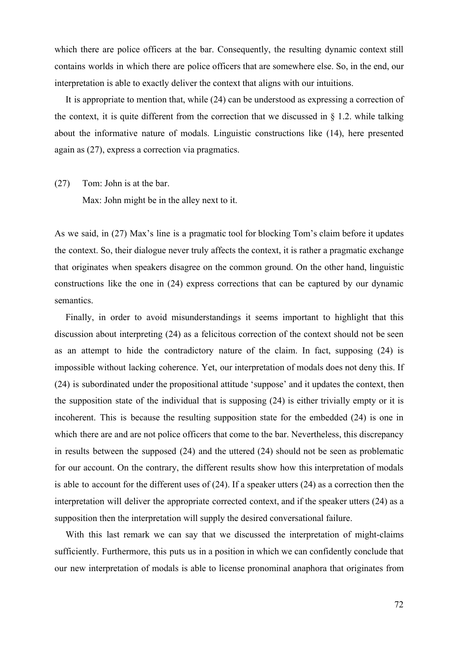which there are police officers at the bar. Consequently, the resulting dynamic context still contains worlds in which there are police officers that are somewhere else. So, in the end, our interpretation is able to exactly deliver the context that aligns with our intuitions.

It is appropriate to mention that, while (24) can be understood as expressing a correction of the context, it is quite different from the correction that we discussed in  $\S$  1.2. while talking about the informative nature of modals. Linguistic constructions like (14), here presented again as (27), express a correction via pragmatics.

(27) Tom: John is at the bar.

Max: John might be in the alley next to it.

As we said, in (27) Max's line is a pragmatic tool for blocking Tom's claim before it updates the context. So, their dialogue never truly affects the context, it is rather a pragmatic exchange that originates when speakers disagree on the common ground. On the other hand, linguistic constructions like the one in (24) express corrections that can be captured by our dynamic semantics.

Finally, in order to avoid misunderstandings it seems important to highlight that this discussion about interpreting (24) as a felicitous correction of the context should not be seen as an attempt to hide the contradictory nature of the claim. In fact, supposing (24) is impossible without lacking coherence. Yet, our interpretation of modals does not deny this. If (24) is subordinated under the propositional attitude 'suppose' and it updates the context, then the supposition state of the individual that is supposing (24) is either trivially empty or it is incoherent. This is because the resulting supposition state for the embedded (24) is one in which there are and are not police officers that come to the bar. Nevertheless, this discrepancy in results between the supposed (24) and the uttered (24) should not be seen as problematic for our account. On the contrary, the different results show how this interpretation of modals is able to account for the different uses of (24). If a speaker utters (24) as a correction then the interpretation will deliver the appropriate corrected context, and if the speaker utters (24) as a supposition then the interpretation will supply the desired conversational failure.

With this last remark we can say that we discussed the interpretation of might-claims sufficiently. Furthermore, this puts us in a position in which we can confidently conclude that our new interpretation of modals is able to license pronominal anaphora that originates from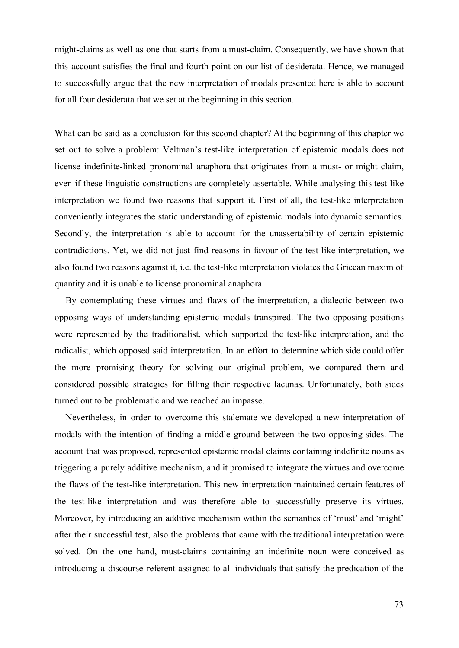might-claims as well as one that starts from a must-claim. Consequently, we have shown that this account satisfies the final and fourth point on our list of desiderata. Hence, we managed to successfully argue that the new interpretation of modals presented here is able to account for all four desiderata that we set at the beginning in this section.

What can be said as a conclusion for this second chapter? At the beginning of this chapter we set out to solve a problem: Veltman's test-like interpretation of epistemic modals does not license indefinite-linked pronominal anaphora that originates from a must- or might claim, even if these linguistic constructions are completely assertable. While analysing this test-like interpretation we found two reasons that support it. First of all, the test-like interpretation conveniently integrates the static understanding of epistemic modals into dynamic semantics. Secondly, the interpretation is able to account for the unassertability of certain epistemic contradictions. Yet, we did not just find reasons in favour of the test-like interpretation, we also found two reasons against it, i.e. the test-like interpretation violates the Gricean maxim of quantity and it is unable to license pronominal anaphora.

By contemplating these virtues and flaws of the interpretation, a dialectic between two opposing ways of understanding epistemic modals transpired. The two opposing positions were represented by the traditionalist, which supported the test-like interpretation, and the radicalist, which opposed said interpretation. In an effort to determine which side could offer the more promising theory for solving our original problem, we compared them and considered possible strategies for filling their respective lacunas. Unfortunately, both sides turned out to be problematic and we reached an impasse.

Nevertheless, in order to overcome this stalemate we developed a new interpretation of modals with the intention of finding a middle ground between the two opposing sides. The account that was proposed, represented epistemic modal claims containing indefinite nouns as triggering a purely additive mechanism, and it promised to integrate the virtues and overcome the flaws of the test-like interpretation. This new interpretation maintained certain features of the test-like interpretation and was therefore able to successfully preserve its virtues. Moreover, by introducing an additive mechanism within the semantics of 'must' and 'might' after their successful test, also the problems that came with the traditional interpretation were solved. On the one hand, must-claims containing an indefinite noun were conceived as introducing a discourse referent assigned to all individuals that satisfy the predication of the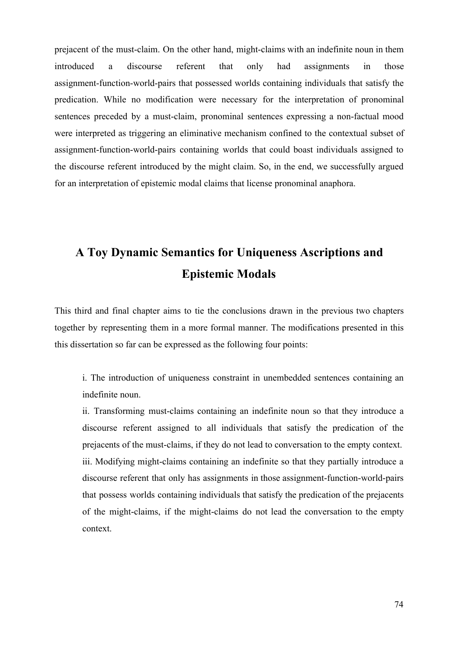prejacent of the must-claim. On the other hand, might-claims with an indefinite noun in them introduced a discourse referent that only had assignments in those assignment-function-world-pairs that possessed worlds containing individuals that satisfy the predication. While no modification were necessary for the interpretation of pronominal sentences preceded by a must-claim, pronominal sentences expressing a non-factual mood were interpreted as triggering an eliminative mechanism confined to the contextual subset of assignment-function-world-pairs containing worlds that could boast individuals assigned to the discourse referent introduced by the might claim. So, in the end, we successfully argued for an interpretation of epistemic modal claims that license pronominal anaphora.

# **A Toy Dynamic Semantics for Uniqueness Ascriptions and Epistemic Modals**

This third and final chapter aims to tie the conclusions drawn in the previous two chapters together by representing them in a more formal manner. The modifications presented in this this dissertation so far can be expressed as the following four points:

i. The introduction of uniqueness constraint in unembedded sentences containing an indefinite noun.

ii. Transforming must-claims containing an indefinite noun so that they introduce a discourse referent assigned to all individuals that satisfy the predication of the prejacents of the must-claims, if they do not lead to conversation to the empty context. iii. Modifying might-claims containing an indefinite so that they partially introduce a discourse referent that only has assignments in those assignment-function-world-pairs that possess worlds containing individuals that satisfy the predication of the prejacents of the might-claims, if the might-claims do not lead the conversation to the empty context.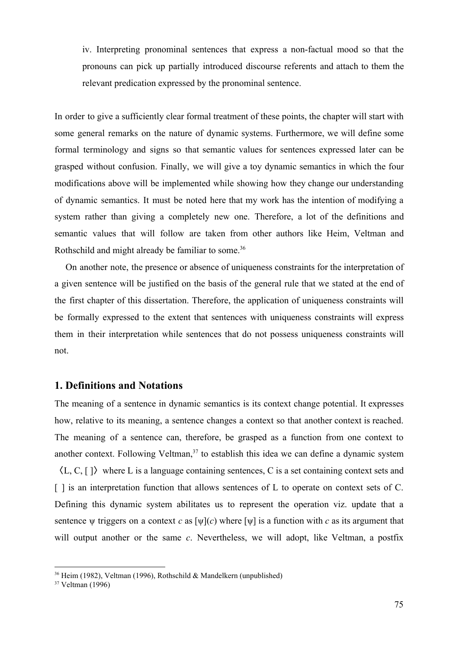iv. Interpreting pronominal sentences that express a non-factual mood so that the pronouns can pick up partially introduced discourse referents and attach to them the relevant predication expressed by the pronominal sentence.

In order to give a sufficiently clear formal treatment of these points, the chapter will start with some general remarks on the nature of dynamic systems. Furthermore, we will define some formal terminology and signs so that semantic values for sentences expressed later can be grasped without confusion. Finally, we will give a toy dynamic semantics in which the four modifications above will be implemented while showing how they change our understanding of dynamic semantics. It must be noted here that my work has the intention of modifying a system rather than giving a completely new one. Therefore, a lot of the definitions and semantic values that will follow are taken from other authors like Heim, Veltman and Rothschild and might already be familiar to some.<sup>36</sup>

On another note, the presence or absence of uniqueness constraints for the interpretation of a given sentence will be justified on the basis of the general rule that we stated at the end of the first chapter of this dissertation. Therefore, the application of uniqueness constraints will be formally expressed to the extent that sentences with uniqueness constraints will express them in their interpretation while sentences that do not possess uniqueness constraints will not.

#### **1. Definitions and Notations**

The meaning of a sentence in dynamic semantics is its context change potential. It expresses how, relative to its meaning, a sentence changes a context so that another context is reached. The meaning of a sentence can, therefore, be grasped as a function from one context to another context. Following Veltman, $37$  to establish this idea we can define a dynamic system  $\langle L, C, \lceil \rceil$  where L is a language containing sentences, C is a set containing context sets and [ ] is an interpretation function that allows sentences of L to operate on context sets of C. Defining this dynamic system abilitates us to represent the operation viz. update that a sentence  $\psi$  triggers on a context *c* as  $[\psi](c)$  where  $[\psi]$  is a function with *c* as its argument that will output another or the same *c*. Nevertheless, we will adopt, like Veltman, a postfix

<sup>36</sup> Heim (1982), Veltman (1996), Rothschild & Mandelkern (unpublished)

<sup>37</sup> Veltman (1996)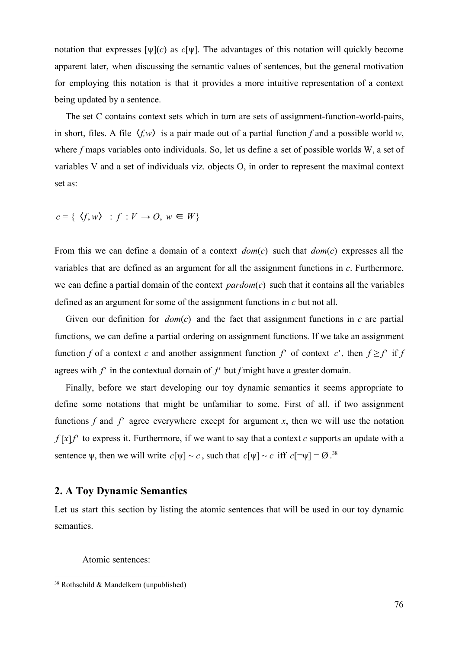notation that expresses [ψ](*c*) as *c*[ψ]. The advantages of this notation will quickly become apparent later, when discussing the semantic values of sentences, but the general motivation for employing this notation is that it provides a more intuitive representation of a context being updated by a sentence.

The set C contains context sets which in turn are sets of assignment-function-world-pairs, in short, files. A file  $\langle f, w \rangle$  is a pair made out of a partial function f and a possible world *w*, where *f* maps variables onto individuals. So, let us define a set of possible worlds W, a set of variables V and a set of individuals viz. objects O, in order to represent the maximal context set as:

 $c = \{ \langle f, w \rangle : f : V \to O, w \in W \}$ 

From this we can define a domain of a context *dom*(*c*) such that *dom*(*c*) expresses all the variables that are defined as an argument for all the assignment functions in *c*. Furthermore, we can define a partial domain of the context *pardom*(*c*) such that it contains all the variables defined as an argument for some of the assignment functions in *c* but not all.

Given our definition for *dom*(*c*) and the fact that assignment functions in *c* are partial functions, we can define a partial ordering on assignment functions. If we take an assignment function *f* of a context *c* and another assignment function  $f'$  of context  $c'$ , then  $f \ge f'$  if  $f$ agrees with *f*′ in the contextual domain of *f*′ but *f* might have a greater domain.

Finally, before we start developing our toy dynamic semantics it seems appropriate to define some notations that might be unfamiliar to some. First of all, if two assignment functions  $f$  and  $f'$  agree everywhere except for argument  $x$ , then we will use the notation  $f[x]$ <sup> $f'$ </sup> to express it. Furthermore, if we want to say that a context  $c$  supports an update with a sentence  $\psi$ , then we will write  $c[\psi] \sim c$ , such that  $c[\psi] \sim c$  iff  $c[\neg \psi] = \emptyset$ .<sup>38</sup>

### **2. A Toy Dynamic Semantics**

Let us start this section by listing the atomic sentences that will be used in our toy dynamic semantics.

Atomic sentences:

<sup>38</sup> Rothschild & Mandelkern (unpublished)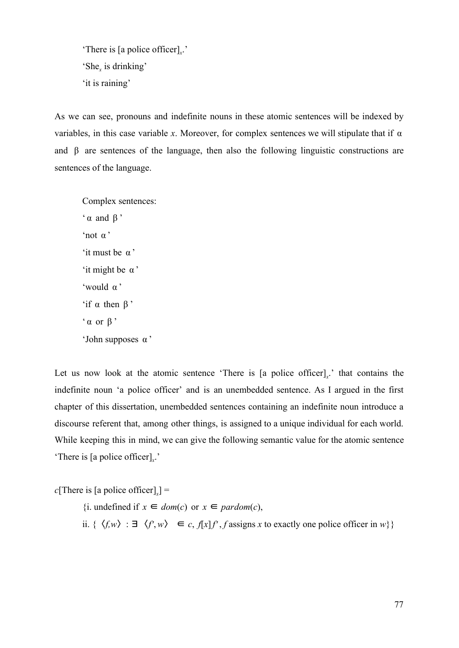'There is [a police officer]*<sup>x</sup>* .' 'She*<sup>x</sup>* is drinking' 'it is raining'

As we can see, pronouns and indefinite nouns in these atomic sentences will be indexed by variables, in this case variable *x*. Moreover, for complex sentences we will stipulate that if  $\alpha$ and β are sentences of the language, then also the following linguistic constructions are sentences of the language.

Complex sentences:  $\alpha$  and  $\beta$ <sup>'</sup> 'not α ' 'it must be α ' 'it might be α ' 'would α ' 'if α then β '  $\alpha$  or  $\beta$ <sup>,</sup> 'John supposes α '

Let us now look at the atomic sentence 'There is [a police officer]<sub>x</sub>.' that contains the indefinite noun 'a police officer' and is an unembedded sentence. As I argued in the first chapter of this dissertation, unembedded sentences containing an indefinite noun introduce a discourse referent that, among other things, is assigned to a unique individual for each world. While keeping this in mind, we can give the following semantic value for the atomic sentence 'There is [a police officer]*<sup>x</sup>* .'

 $c[There is [a police officer]_x] =$ 

{*i.* undefined if *x* ∈ *dom*(*c*) or *x* ∈ *pardom*(*c*), ii. {  $\langle f, w \rangle$  : ∃  $\langle f', w \rangle$  ∈ *c*,  $f[x]f'$ , *f* assigns *x* to exactly one police officer in *w*}}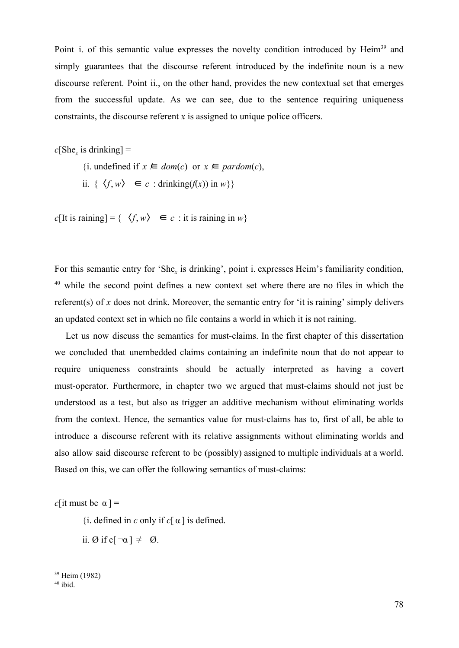Point i. of this semantic value expresses the novelty condition introduced by Heim<sup>39</sup> and simply guarantees that the discourse referent introduced by the indefinite noun is a new discourse referent. Point ii., on the other hand, provides the new contextual set that emerges from the successful update. As we can see, due to the sentence requiring uniqueness constraints, the discourse referent *x* is assigned to unique police officers.

 $c[She<sub>x</sub>$  is drinking] =

{i. undefined if *x* ∈ *dom*(*c*) or *x* ∈ *pardom*(*c*), ii.  $\{\langle f, w \rangle \in c : \text{drinking}(f(x)) \text{ in } w \}$ 

 $c$ [It is raining] = {  $\langle f, w \rangle \in c$  : it is raining in *w*}

For this semantic entry for 'She<sub>x</sub> is drinking', point i. expresses Heim's familiarity condition,  $40$  while the second point defines a new context set where there are no files in which the referent(s) of *x* does not drink. Moreover, the semantic entry for 'it is raining' simply delivers an updated context set in which no file contains a world in which it is not raining.

Let us now discuss the semantics for must-claims. In the first chapter of this dissertation we concluded that unembedded claims containing an indefinite noun that do not appear to require uniqueness constraints should be actually interpreted as having a covert must-operator. Furthermore, in chapter two we argued that must-claims should not just be understood as a test, but also as trigger an additive mechanism without eliminating worlds from the context. Hence, the semantics value for must-claims has to, first of all, be able to introduce a discourse referent with its relative assignments without eliminating worlds and also allow said discourse referent to be (possibly) assigned to multiple individuals at a world. Based on this, we can offer the following semantics of must-claims:

*c*[it must be  $\alpha$ ] =

 $\{i.$  defined in *c* only if  $c[\alpha]$  is defined.

ii. Ø if c $\neg \alpha$   $\neg \neq \emptyset$ .

<sup>39</sup> Heim (1982)

 $40$  ibid.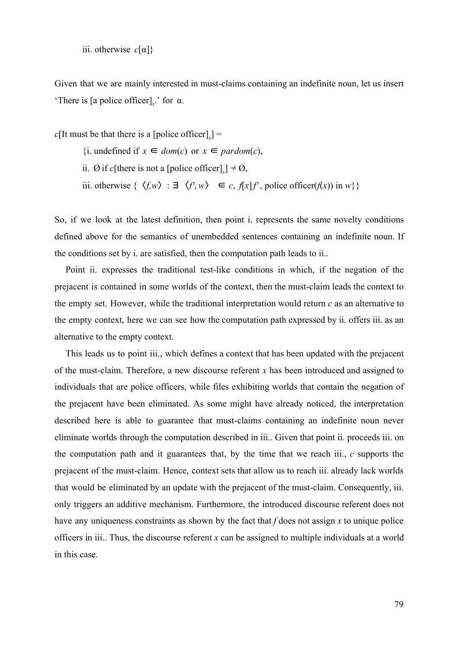iii. otherwise *c*[α]}

Given that we are mainly interested in must-claims containing an indefinite noun, let us insert 'There is [a police officer]<sub>x</sub>' for  $\alpha$ .

 $c[$ It must be that there is a [police officer]<sub>*x*</sub>] =

- {i. undefined if *x* ∈ *dom*(*c*) or *x* ∈ *pardom*(*c*),
- ii. Ø if *c*[there is not a [police officer]]  $\neq \emptyset$ ,
- iii. otherwise {  $\langle f, w \rangle$  : ∃  $\langle f', w \rangle$  ∈ *c*,  $f[x]f'$ , police officer( $f(x)$ ) in  $w$ }}

So, if we look at the latest definition, then point i. represents the same novelty conditions defined above for the semantics of unembedded sentences containing an indefinite noun. If the conditions set by i. are satisfied, then the computation path leads to ii..

Point ii. expresses the traditional test-like conditions in which, if the negation of the prejacent is contained in some worlds of the context, then the must-claim leads the context to the empty set. However, while the traditional interpretation would return *c* as an alternative to the empty context, here we can see how the computation path expressed by ii. offers iii. as an alternative to the empty context.

This leads us to point iii., which defines a context that has been updated with the prejacent of the must-claim. Therefore, a new discourse referent *x* has been introduced and assigned to individuals that are police officers, while files exhibiting worlds that contain the negation of the prejacent have been eliminated. As some might have already noticed, the interpretation described here is able to guarantee that must-claims containing an indefinite noun never eliminate worlds through the computation described in iii.. Given that point ii. proceeds iii. on the computation path and it guarantees that, by the time that we reach iii., *c* supports the prejacent of the must-claim. Hence, context sets that allow us to reach iii. already lack worlds that would be eliminated by an update with the prejacent of the must-claim. Consequently, iii. only triggers an additive mechanism. Furthermore, the introduced discourse referent does not have any uniqueness constraints as shown by the fact that *f* does not assign *x* to unique police officers in iii.. Thus, the discourse referent *x* can be assigned to multiple individuals at a world in this case.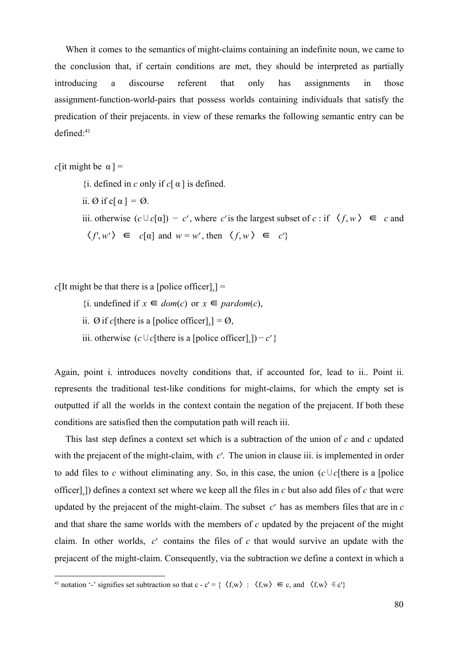When it comes to the semantics of might-claims containing an indefinite noun, we came to the conclusion that, if certain conditions are met, they should be interpreted as partially introducing a discourse referent that only has assignments in those assignment-function-world-pairs that possess worlds containing individuals that satisfy the predication of their prejacents. in view of these remarks the following semantic entry can be defined:<sup>41</sup>

*c*[it might be  $\alpha$ ] =

- $\{i.$  defined in *c* only if *c*[ $\alpha$ ] is defined.
- ii.  $\emptyset$  if c[  $\alpha$ ] =  $\emptyset$ .
- iii. otherwise  $(c \cup c[\alpha]) c'$ , where *c*' is the largest subset of *c* : if  $\langle f, w \rangle \in c$  and  $\langle f', w' \rangle \in c[\alpha]$  and  $w = w'$ , then  $\langle f, w \rangle \in c'$

 $c$ [It might be that there is a [police officer]<sub>*x*</sub>] =

- {i. undefined if *x* ∈ *dom*(*c*) or *x* ∈ *pardom*(*c*),
- ii.  $\emptyset$  if *c*[there is a [police officer]<sub>*x*</sub>] =  $\emptyset$ ,
- iii. otherwise  $(c \cup c[$ there is a [police officer]<sub>*x*</sub>]) *c*' }

Again, point i. introduces novelty conditions that, if accounted for, lead to ii.. Point ii. represents the traditional test-like conditions for might-claims, for which the empty set is outputted if all the worlds in the context contain the negation of the prejacent. If both these conditions are satisfied then the computation path will reach iii.

This last step defines a context set which is a subtraction of the union of *c* and *c* updated with the prejacent of the might-claim, with *c'*. The union in clause iii. is implemented in order to add files to *c* without eliminating any. So, in this case, the union  $(c \cup c)$  [there is a [police officer]*<sup>x</sup>* ]) defines a context set where we keep all the files in *c* but also add files of *c* that were updated by the prejacent of the might-claim. The subset *c*′ has as members files that are in *c* and that share the same worlds with the members of *c* updated by the prejacent of the might claim. In other worlds, *c*′ contains the files of *c* that would survive an update with the prejacent of the might-claim. Consequently, via the subtraction we define a context in which a

<sup>&</sup>lt;sup>41</sup> notation '-' signifies set subtraction so that c - c' = { $\langle f, w \rangle : \langle f, w \rangle \in c$ , and  $\langle f, w \rangle \notin c'$ }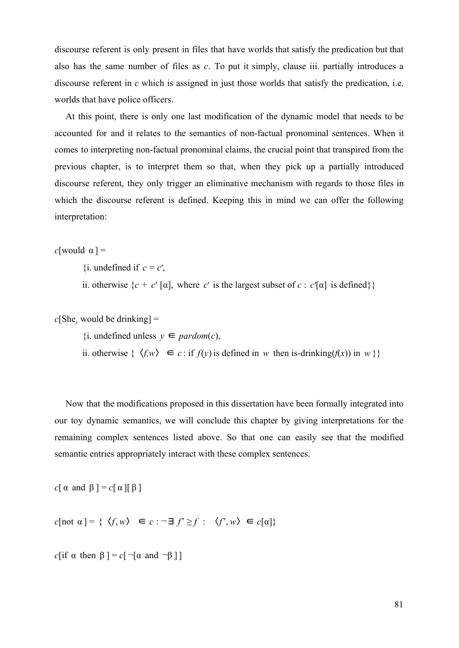discourse referent is only present in files that have worlds that satisfy the predication but that also has the same number of files as *c*. To put it simply, clause iii. partially introduces a discourse referent in *c* which is assigned in just those worlds that satisfy the predication, i.e. worlds that have police officers.

At this point, there is only one last modification of the dynamic model that needs to be accounted for and it relates to the semantics of non-factual pronominal sentences. When it comes to interpreting non-factual pronominal claims, the crucial point that transpired from the previous chapter, is to interpret them so that, when they pick up a partially introduced discourse referent, they only trigger an eliminative mechanism with regards to those files in which the discourse referent is defined. Keeping this in mind we can offer the following interpretation:

*c*[would  $\alpha$ ] =

 $\{i. \text{ undefined if } c = c'\}$ 

ii. otherwise  $\{c + c' \mid \alpha\}$ , where *c'* is the largest subset of *c* :  $c' \mid \alpha$  is defined}}

 $c[She<sub>y</sub>$  would be drinking] =

{i. undefined unless *y* ∈ *pardom*(*c*),

ii. otherwise {  $\langle f, w \rangle$  ∈ *c* : if *f*(*y*) is defined in *w* then is-drinking(*f*(*x*)) in *w* }}

Now that the modifications proposed in this dissertation have been formally integrated into our toy dynamic semantics, we will conclude this chapter by giving interpretations for the remaining complex sentences listed above. So that one can easily see that the modified semantic entries appropriately interact with these complex sentences.

*c*[ $\alpha$  and  $\beta$ ] = *c*[ $\alpha$ ][ $\beta$ ]

 $c[\text{not } \alpha] = \{ \langle f, w \rangle \in c : \neg \exists f' \geq f : \langle f', w \rangle \in c[\alpha] \}$ 

*c*[if  $\alpha$  then  $\beta$ ] = *c*[ $\neg$ [ $\alpha$  and  $\neg \beta$ ]]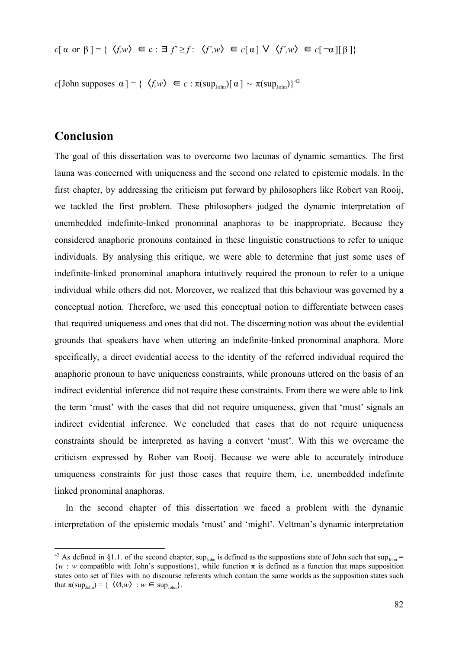$$
c[\alpha \text{ or } \beta] = \{ \langle f, w \rangle \in c : \exists f' \ge f : \langle f', w \rangle \in c[\alpha] \vee \langle f', w \rangle \in c[\neg \alpha][\beta] \}
$$

*c*[John supposes  $\alpha$ ] = { $\langle f, w \rangle \in c : \pi(\sup_{John} [ \alpha ] \sim \pi(\sup_{John} ) \}^{42}$ 

## **Conclusion**

The goal of this dissertation was to overcome two lacunas of dynamic semantics. The first launa was concerned with uniqueness and the second one related to epistemic modals. In the first chapter, by addressing the criticism put forward by philosophers like Robert van Rooij, we tackled the first problem. These philosophers judged the dynamic interpretation of unembedded indefinite-linked pronominal anaphoras to be inappropriate. Because they considered anaphoric pronouns contained in these linguistic constructions to refer to unique individuals. By analysing this critique, we were able to determine that just some uses of indefinite-linked pronominal anaphora intuitively required the pronoun to refer to a unique individual while others did not. Moreover, we realized that this behaviour was governed by a conceptual notion. Therefore, we used this conceptual notion to differentiate between cases that required uniqueness and ones that did not. The discerning notion was about the evidential grounds that speakers have when uttering an indefinite-linked pronominal anaphora. More specifically, a direct evidential access to the identity of the referred individual required the anaphoric pronoun to have uniqueness constraints, while pronouns uttered on the basis of an indirect evidential inference did not require these constraints. From there we were able to link the term 'must' with the cases that did not require uniqueness, given that 'must' signals an indirect evidential inference. We concluded that cases that do not require uniqueness constraints should be interpreted as having a convert 'must'. With this we overcame the criticism expressed by Rober van Rooij. Because we were able to accurately introduce uniqueness constraints for just those cases that require them, i.e. unembedded indefinite linked pronominal anaphoras.

In the second chapter of this dissertation we faced a problem with the dynamic interpretation of the epistemic modals 'must' and 'might'. Veltman's dynamic interpretation

<sup>&</sup>lt;sup>42</sup> As defined in §1.1. of the second chapter, sup<sub>John</sub> is defined as the suppostions state of John such that sup<sub>John</sub> =  ${w : w}$  compatible with John's suppostions}, while function  $\pi$  is defined as a function that maps supposition states onto set of files with no discourse referents which contain the same worlds as the supposition states such that  $\pi(\sup_{\text{John}}) = \{ \langle \varnothing, w \rangle : w \in \sup_{\text{John}} \}.$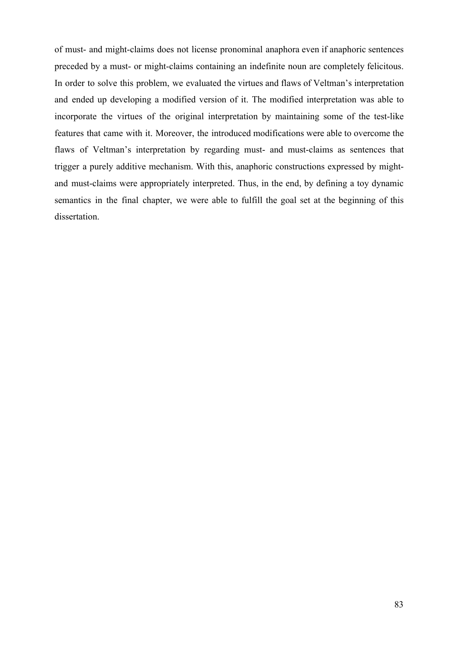of must- and might-claims does not license pronominal anaphora even if anaphoric sentences preceded by a must- or might-claims containing an indefinite noun are completely felicitous. In order to solve this problem, we evaluated the virtues and flaws of Veltman's interpretation and ended up developing a modified version of it. The modified interpretation was able to incorporate the virtues of the original interpretation by maintaining some of the test-like features that came with it. Moreover, the introduced modifications were able to overcome the flaws of Veltman's interpretation by regarding must- and must-claims as sentences that trigger a purely additive mechanism. With this, anaphoric constructions expressed by mightand must-claims were appropriately interpreted. Thus, in the end, by defining a toy dynamic semantics in the final chapter, we were able to fulfill the goal set at the beginning of this dissertation.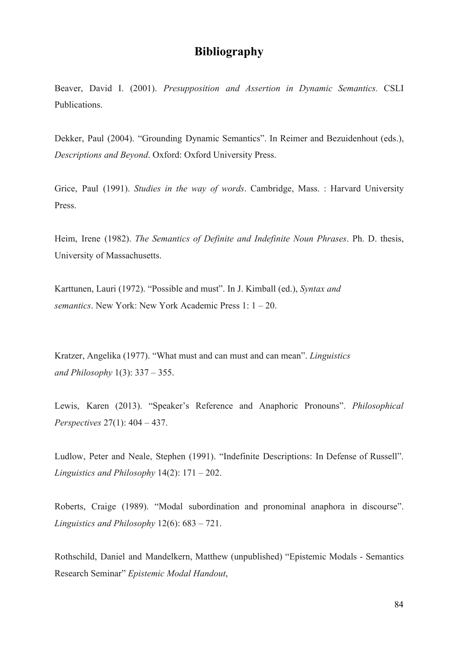## **Bibliography**

Beaver, David I. (2001). *Presupposition and Assertion in Dynamic Semantics.* CSLI Publications.

Dekker, Paul (2004). "Grounding Dynamic Semantics". In Reimer and Bezuidenhout (eds.), *Descriptions and Beyond*. Oxford: Oxford University Press.

Grice, Paul (1991). *Studies in the way of words*. Cambridge, Mass. : Harvard University Press.

Heim, Irene (1982). *The Semantics of Definite and Indefinite Noun Phrases*. Ph. D. thesis, University of Massachusetts.

Karttunen, Lauri (1972). "Possible and must". In J. Kimball (ed.), *Syntax and semantics*. New York: New York Academic Press 1: 1 – 20.

Kratzer, Angelika (1977). "What must and can must and can mean". *Linguistics and Philosophy* 1(3): 337 – 355.

Lewis, Karen (2013). "Speaker's Reference and Anaphoric Pronouns". *Philosophical Perspectives* 27(1): 404 – 437.

Ludlow, Peter and Neale, Stephen (1991). "Indefinite Descriptions: In Defense of Russell". *Linguistics and Philosophy* 14(2): 171 – 202.

Roberts, Craige (1989). "Modal subordination and pronominal anaphora in discourse". *Linguistics and Philosophy* 12(6): 683 – 721.

Rothschild, Daniel and Mandelkern, Matthew (unpublished) "Epistemic Modals - Semantics Research Seminar" *Epistemic Modal Handout*,